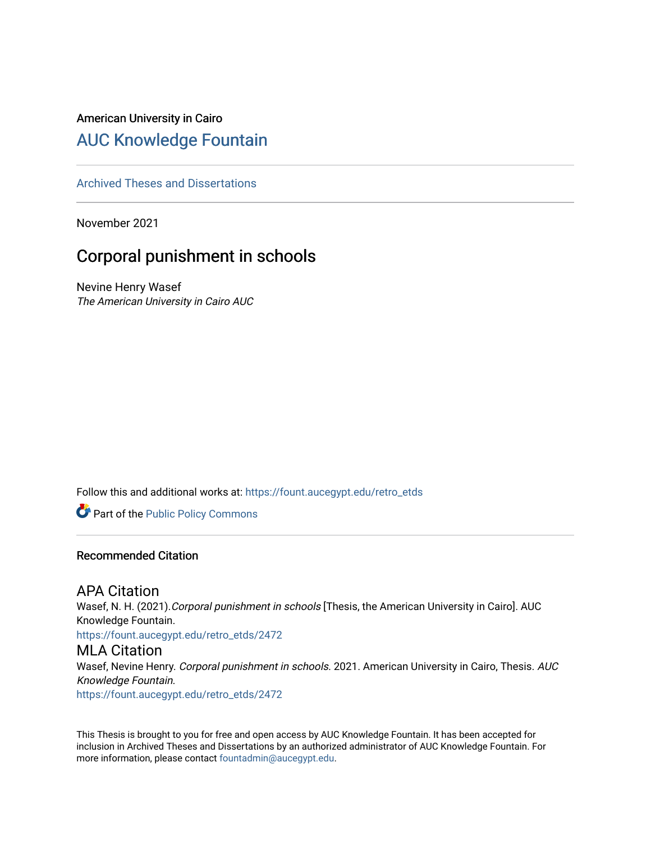# American University in Cairo [AUC Knowledge Fountain](https://fount.aucegypt.edu/)

[Archived Theses and Dissertations](https://fount.aucegypt.edu/retro_etds) 

November 2021

# Corporal punishment in schools

Nevine Henry Wasef The American University in Cairo AUC

Follow this and additional works at: [https://fount.aucegypt.edu/retro\\_etds](https://fount.aucegypt.edu/retro_etds?utm_source=fount.aucegypt.edu%2Fretro_etds%2F2472&utm_medium=PDF&utm_campaign=PDFCoverPages) 

Part of the [Public Policy Commons](http://network.bepress.com/hgg/discipline/400?utm_source=fount.aucegypt.edu%2Fretro_etds%2F2472&utm_medium=PDF&utm_campaign=PDFCoverPages) 

#### Recommended Citation

## APA Citation

Wasef, N. H. (2021). Corporal punishment in schools [Thesis, the American University in Cairo]. AUC Knowledge Fountain.

[https://fount.aucegypt.edu/retro\\_etds/2472](https://fount.aucegypt.edu/retro_etds/2472?utm_source=fount.aucegypt.edu%2Fretro_etds%2F2472&utm_medium=PDF&utm_campaign=PDFCoverPages) 

### MLA Citation

Wasef, Nevine Henry. Corporal punishment in schools. 2021. American University in Cairo, Thesis. AUC Knowledge Fountain.

[https://fount.aucegypt.edu/retro\\_etds/2472](https://fount.aucegypt.edu/retro_etds/2472?utm_source=fount.aucegypt.edu%2Fretro_etds%2F2472&utm_medium=PDF&utm_campaign=PDFCoverPages) 

This Thesis is brought to you for free and open access by AUC Knowledge Fountain. It has been accepted for inclusion in Archived Theses and Dissertations by an authorized administrator of AUC Knowledge Fountain. For more information, please contact [fountadmin@aucegypt.edu.](mailto:fountadmin@aucegypt.edu)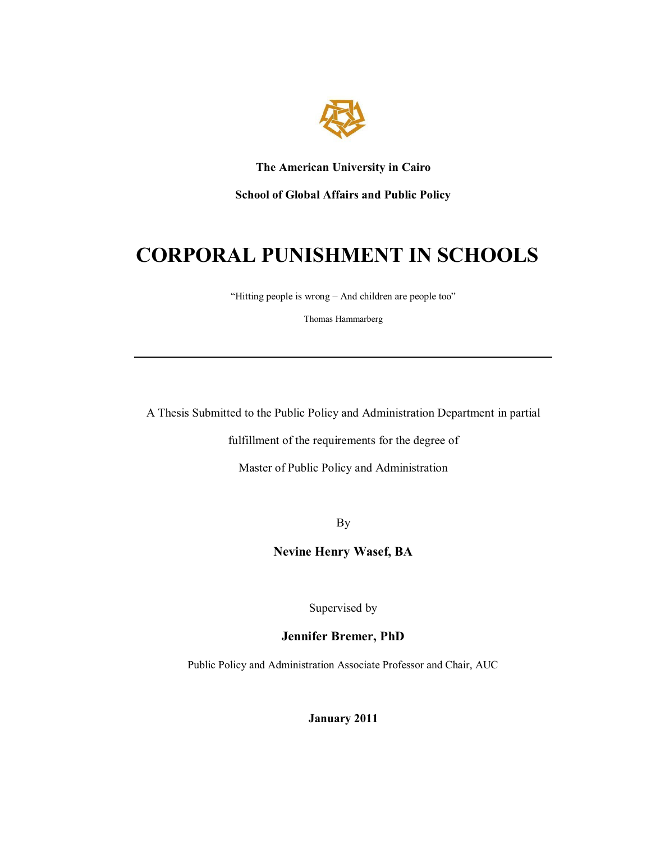

**The American University in Cairo** 

**School of Global Affairs and Public Policy** 

# **CORPORAL PUNISHMENT IN SCHOOLS**

"Hitting people is wrong  $-$  And children are people too"

Thomas Hammarberg

A Thesis Submitted to the Public Policy and Administration Department in partial

fulfillment of the requirements for the degree of

Master of Public Policy and Administration

By

**Nevine Henry Wasef, BA** 

Supervised by

### **Jennifer Bremer, PhD**

Public Policy and Administration Associate Professor and Chair, AUC

**January 2011**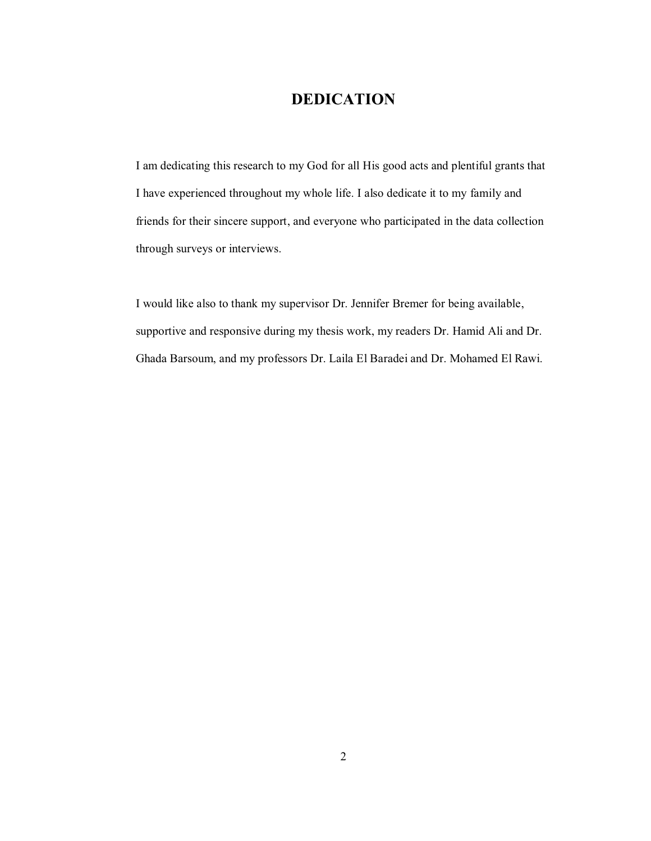# **DEDICATION**

I am dedicating this research to my God for all His good acts and plentiful grants that I have experienced throughout my whole life. I also dedicate it to my family and friends for their sincere support, and everyone who participated in the data collection through surveys or interviews.

I would like also to thank my supervisor Dr. Jennifer Bremer for being available, supportive and responsive during my thesis work, my readers Dr. Hamid Ali and Dr. Ghada Barsoum, and my professors Dr. Laila El Baradei and Dr. Mohamed El Rawi.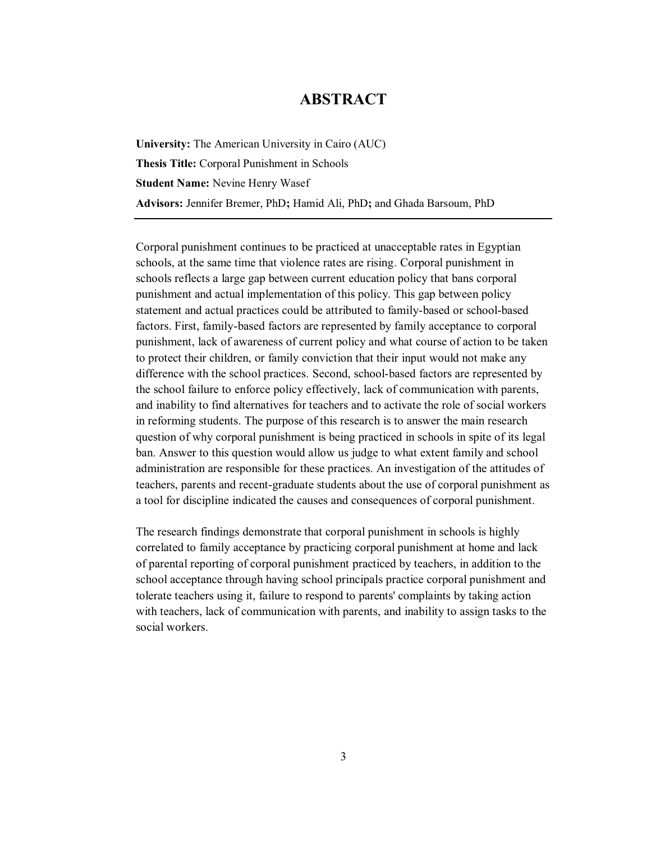# **ABSTRACT**

**University:** The American University in Cairo (AUC) **Thesis Title:** Corporal Punishment in Schools **Student Name:** Nevine Henry Wasef **Advisors:** Jennifer Bremer, PhD**;** Hamid Ali, PhD**;** and Ghada Barsoum, PhD

Corporal punishment continues to be practiced at unacceptable rates in Egyptian schools, at the same time that violence rates are rising. Corporal punishment in schools reflects a large gap between current education policy that bans corporal punishment and actual implementation of this policy. This gap between policy statement and actual practices could be attributed to family-based or school-based factors. First, family-based factors are represented by family acceptance to corporal punishment, lack of awareness of current policy and what course of action to be taken to protect their children, or family conviction that their input would not make any difference with the school practices. Second, school-based factors are represented by the school failure to enforce policy effectively, lack of communication with parents, and inability to find alternatives for teachers and to activate the role of social workers in reforming students. The purpose of this research is to answer the main research question of why corporal punishment is being practiced in schools in spite of its legal ban. Answer to this question would allow us judge to what extent family and school administration are responsible for these practices. An investigation of the attitudes of teachers, parents and recent-graduate students about the use of corporal punishment as a tool for discipline indicated the causes and consequences of corporal punishment.

The research findings demonstrate that corporal punishment in schools is highly correlated to family acceptance by practicing corporal punishment at home and lack of parental reporting of corporal punishment practiced by teachers, in addition to the school acceptance through having school principals practice corporal punishment and tolerate teachers using it, failure to respond to parents' complaints by taking action with teachers, lack of communication with parents, and inability to assign tasks to the social workers.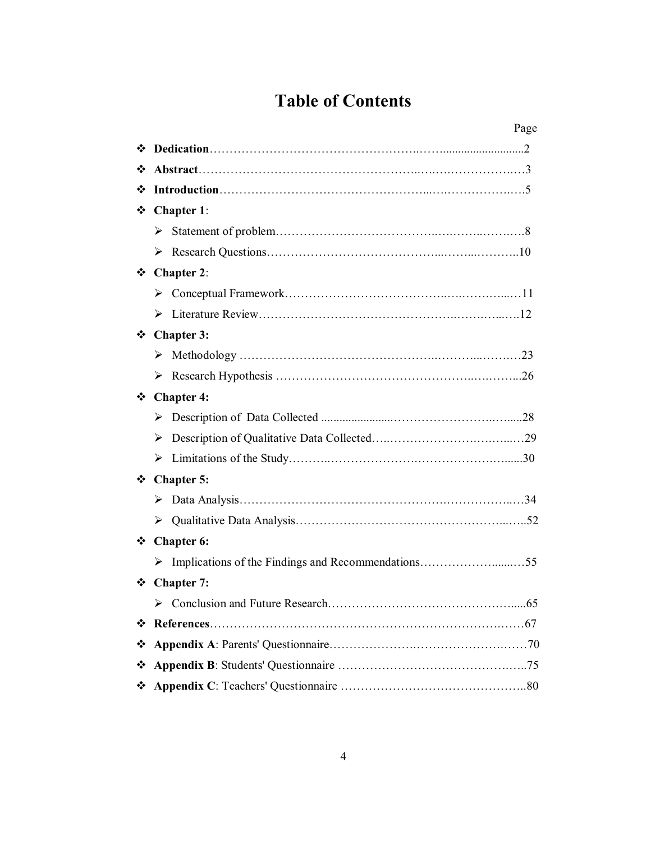# **Table of Contents**

|   | Page              |
|---|-------------------|
|   |                   |
|   |                   |
| ❖ |                   |
|   | ❖ Chapter 1:      |
|   |                   |
|   |                   |
|   | $\div$ Chapter 2: |
|   |                   |
|   |                   |
|   | ❖ Chapter 3:      |
|   |                   |
|   |                   |
|   | ❖ Chapter 4:      |
|   |                   |
|   | ➤                 |
|   |                   |
|   | ❖ Chapter 5:      |
|   |                   |
|   |                   |
|   | ❖ Chapter 6:      |
|   |                   |
| ❖ | <b>Chapter 7:</b> |
|   |                   |
| ❖ |                   |
| ❖ |                   |
|   |                   |
|   |                   |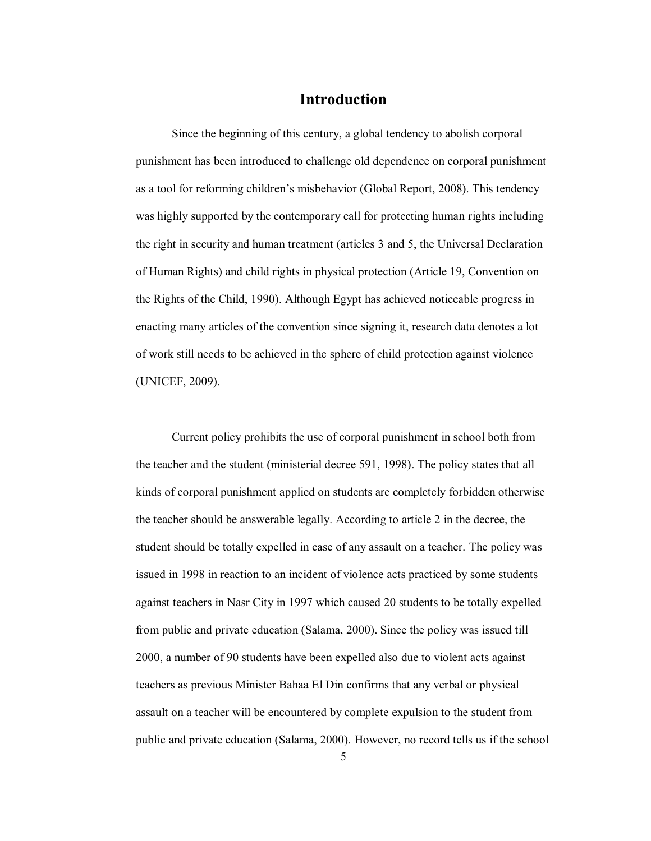### **Introduction**

Since the beginning of this century, a global tendency to abolish corporal punishment has been introduced to challenge old dependence on corporal punishment as a tool for reforming children's misbehavior (Global Report, 2008). This tendency was highly supported by the contemporary call for protecting human rights including the right in security and human treatment (articles 3 and 5, the Universal Declaration of Human Rights) and child rights in physical protection (Article 19, Convention on the Rights of the Child, 1990). Although Egypt has achieved noticeable progress in enacting many articles of the convention since signing it, research data denotes a lot of work still needs to be achieved in the sphere of child protection against violence (UNICEF, 2009).

Current policy prohibits the use of corporal punishment in school both from the teacher and the student (ministerial decree 591, 1998). The policy states that all kinds of corporal punishment applied on students are completely forbidden otherwise the teacher should be answerable legally. According to article 2 in the decree, the student should be totally expelled in case of any assault on a teacher. The policy was issued in 1998 in reaction to an incident of violence acts practiced by some students against teachers in Nasr City in 1997 which caused 20 students to be totally expelled from public and private education (Salama, 2000). Since the policy was issued till 2000, a number of 90 students have been expelled also due to violent acts against teachers as previous Minister Bahaa El Din confirms that any verbal or physical assault on a teacher will be encountered by complete expulsion to the student from public and private education (Salama, 2000). However, no record tells us if the school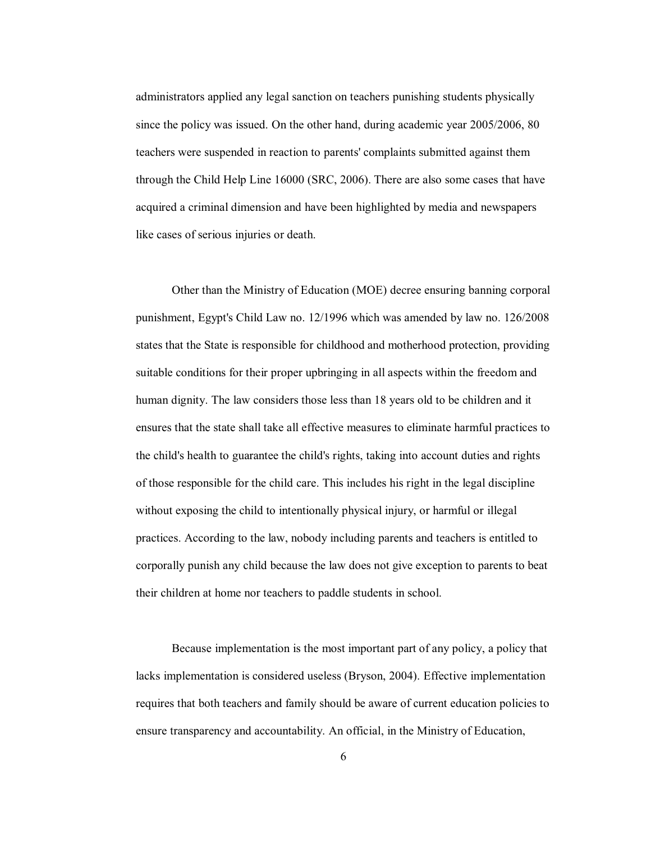administrators applied any legal sanction on teachers punishing students physically since the policy was issued. On the other hand, during academic year 2005/2006, 80 teachers were suspended in reaction to parents' complaints submitted against them through the Child Help Line 16000 (SRC, 2006). There are also some cases that have acquired a criminal dimension and have been highlighted by media and newspapers like cases of serious injuries or death.

Other than the Ministry of Education (MOE) decree ensuring banning corporal punishment, Egypt's Child Law no. 12/1996 which was amended by law no. 126/2008 states that the State is responsible for childhood and motherhood protection, providing suitable conditions for their proper upbringing in all aspects within the freedom and human dignity. The law considers those less than 18 years old to be children and it ensures that the state shall take all effective measures to eliminate harmful practices to the child's health to guarantee the child's rights, taking into account duties and rights of those responsible for the child care. This includes his right in the legal discipline without exposing the child to intentionally physical injury, or harmful or illegal practices. According to the law, nobody including parents and teachers is entitled to corporally punish any child because the law does not give exception to parents to beat their children at home nor teachers to paddle students in school.

Because implementation is the most important part of any policy, a policy that lacks implementation is considered useless (Bryson, 2004). Effective implementation requires that both teachers and family should be aware of current education policies to ensure transparency and accountability. An official, in the Ministry of Education,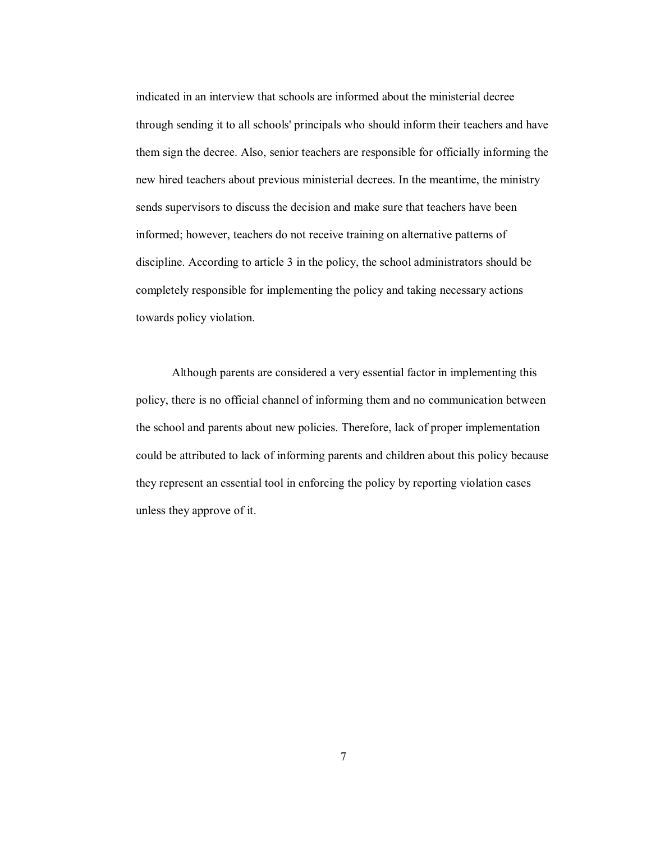indicated in an interview that schools are informed about the ministerial decree through sending it to all schools' principals who should inform their teachers and have them sign the decree. Also, senior teachers are responsible for officially informing the new hired teachers about previous ministerial decrees. In the meantime, the ministry sends supervisors to discuss the decision and make sure that teachers have been informed; however, teachers do not receive training on alternative patterns of discipline. According to article 3 in the policy, the school administrators should be completely responsible for implementing the policy and taking necessary actions towards policy violation.

Although parents are considered a very essential factor in implementing this policy, there is no official channel of informing them and no communication between the school and parents about new policies. Therefore, lack of proper implementation could be attributed to lack of informing parents and children about this policy because they represent an essential tool in enforcing the policy by reporting violation cases unless they approve of it.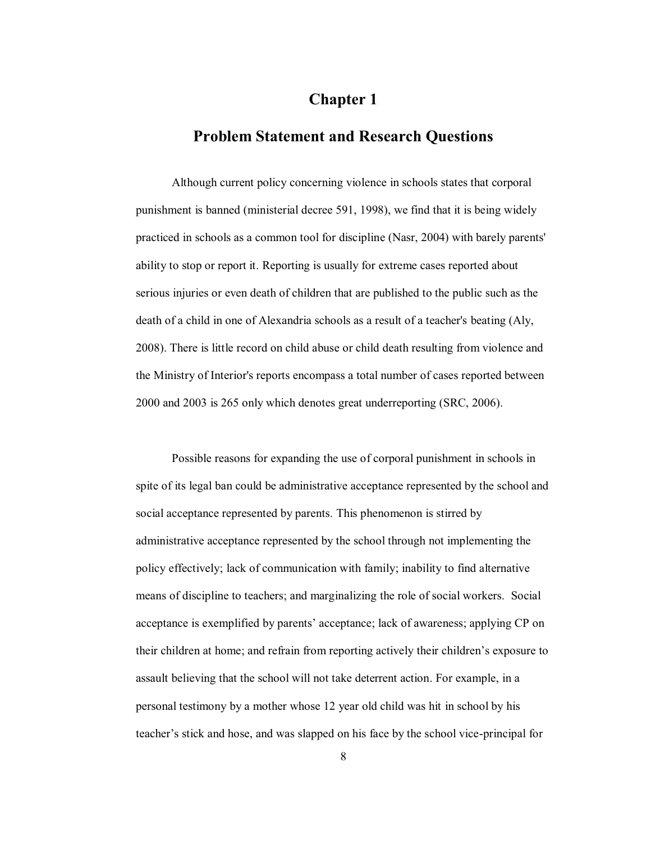# **Chapter 1**

### **Problem Statement and Research Questions**

Although current policy concerning violence in schools states that corporal punishment is banned (ministerial decree 591, 1998), we find that it is being widely practiced in schools as a common tool for discipline (Nasr, 2004) with barely parents' ability to stop or report it. Reporting is usually for extreme cases reported about serious injuries or even death of children that are published to the public such as the death of a child in one of Alexandria schools as a result of a teacher's beating (Aly, 2008). There is little record on child abuse or child death resulting from violence and the Ministry of Interior's reports encompass a total number of cases reported between 2000 and 2003 is 265 only which denotes great underreporting (SRC, 2006).

Possible reasons for expanding the use of corporal punishment in schools in spite of its legal ban could be administrative acceptance represented by the school and social acceptance represented by parents. This phenomenon is stirred by administrative acceptance represented by the school through not implementing the policy effectively; lack of communication with family; inability to find alternative means of discipline to teachers; and marginalizing the role of social workers. Social acceptance is exemplified by parents' acceptance; lack of awareness; applying CP on their children at home; and refrain from reporting actively their children's exposure to assault believing that the school will not take deterrent action. For example, in a personal testimony by a mother whose 12 year old child was hit in school by his teacher's stick and hose, and was slapped on his face by the school vice-principal for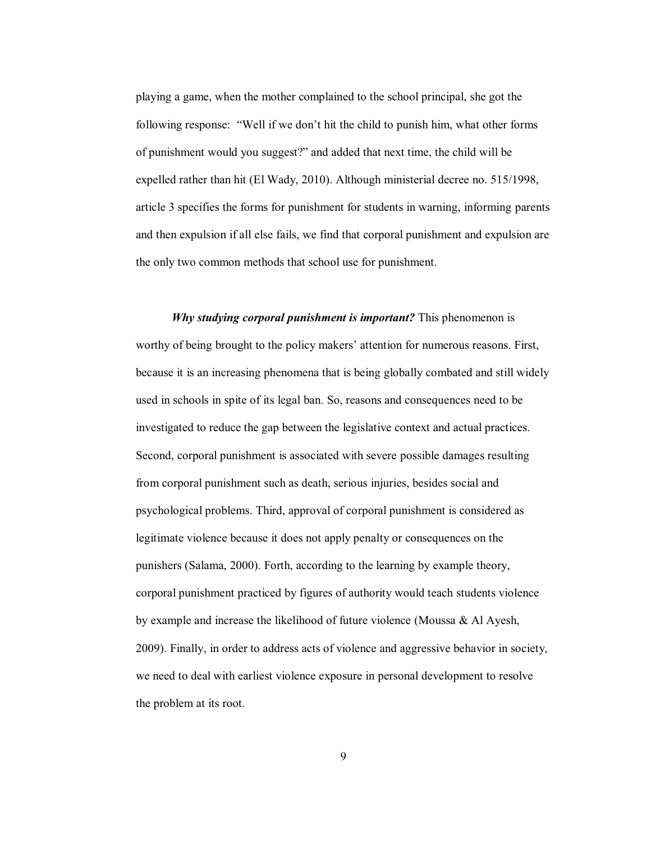playing a game, when the mother complained to the school principal, she got the following response: "Well if we don't hit the child to punish him, what other forms of punishment would you suggest?" and added that next time, the child will be expelled rather than hit (El Wady, 2010). Although ministerial decree no. 515/1998, article 3 specifies the forms for punishment for students in warning, informing parents and then expulsion if all else fails, we find that corporal punishment and expulsion are the only two common methods that school use for punishment.

*Why studying corporal punishment is important?* This phenomenon is worthy of being brought to the policy makers' attention for numerous reasons. First, because it is an increasing phenomena that is being globally combated and still widely used in schools in spite of its legal ban. So, reasons and consequences need to be investigated to reduce the gap between the legislative context and actual practices. Second, corporal punishment is associated with severe possible damages resulting from corporal punishment such as death, serious injuries, besides social and psychological problems. Third, approval of corporal punishment is considered as legitimate violence because it does not apply penalty or consequences on the punishers (Salama, 2000). Forth, according to the learning by example theory, corporal punishment practiced by figures of authority would teach students violence by example and increase the likelihood of future violence (Moussa & Al Ayesh, 2009). Finally, in order to address acts of violence and aggressive behavior in society, we need to deal with earliest violence exposure in personal development to resolve the problem at its root.

9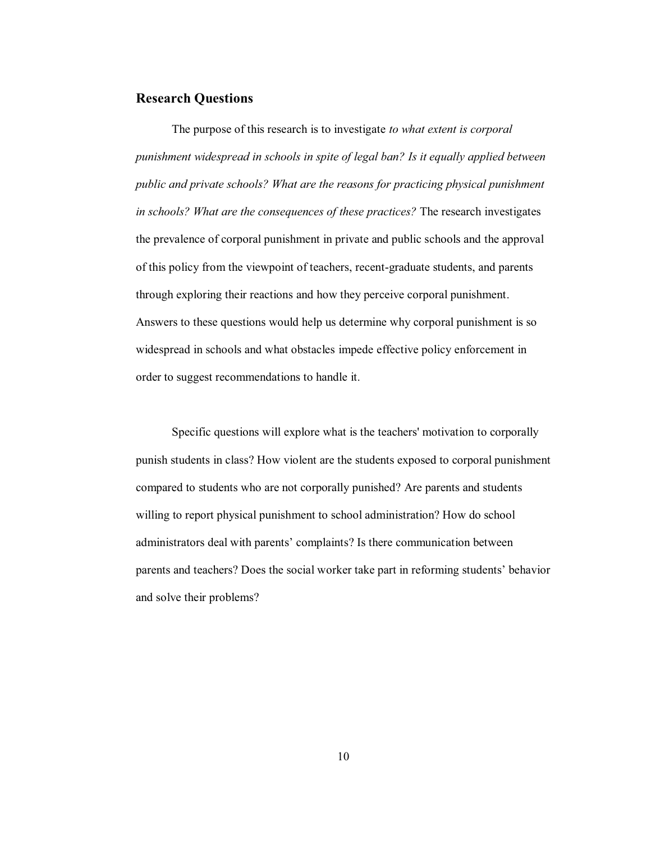#### **Research Questions**

The purpose of this research is to investigate *to what extent is corporal punishment widespread in schools in spite of legal ban? Is it equally applied between public and private schools? What are the reasons for practicing physical punishment in schools? What are the consequences of these practices?* The research investigates the prevalence of corporal punishment in private and public schools and the approval of this policy from the viewpoint of teachers, recent-graduate students, and parents through exploring their reactions and how they perceive corporal punishment. Answers to these questions would help us determine why corporal punishment is so widespread in schools and what obstacles impede effective policy enforcement in order to suggest recommendations to handle it.

Specific questions will explore what is the teachers' motivation to corporally punish students in class? How violent are the students exposed to corporal punishment compared to students who are not corporally punished? Are parents and students willing to report physical punishment to school administration? How do school administrators deal with parents' complaints? Is there communication between parents and teachers? Does the social worker take part in reforming students' behavior and solve their problems?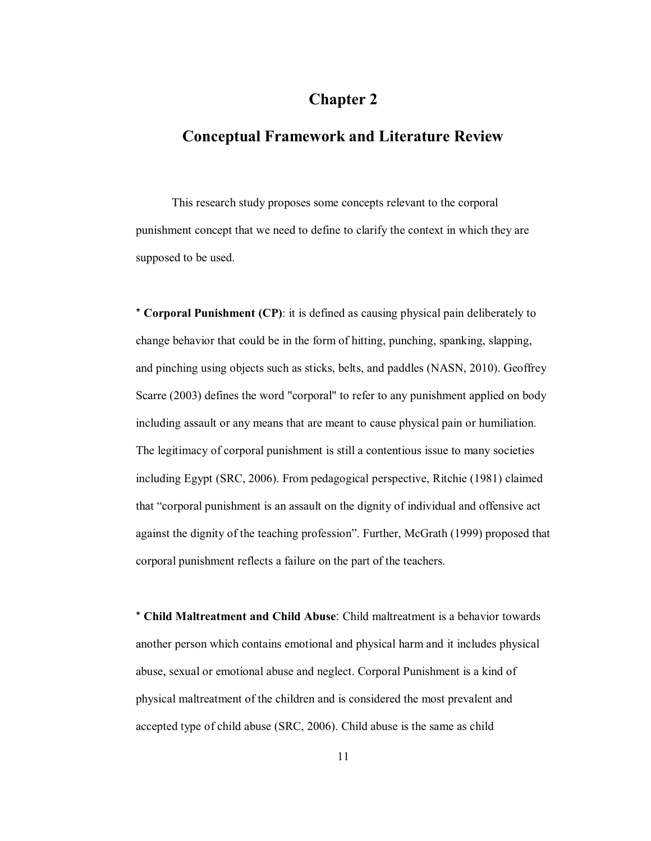# **Chapter 2**

# **Conceptual Framework and Literature Review**

This research study proposes some concepts relevant to the corporal punishment concept that we need to define to clarify the context in which they are supposed to be used.

\* **Corporal Punishment (CP)**: it is defined as causing physical pain deliberately to change behavior that could be in the form of hitting, punching, spanking, slapping, and pinching using objects such as sticks, belts, and paddles (NASN, 2010). Geoffrey Scarre (2003) defines the word "corporal" to refer to any punishment applied on body including assault or any means that are meant to cause physical pain or humiliation. The legitimacy of corporal punishment is still a contentious issue to many societies including Egypt (SRC, 2006). From pedagogical perspective, Ritchie (1981) claimed that "corporal punishment is an assault on the dignity of individual and offensive act against the dignity of the teaching profession". Further, McGrath (1999) proposed that corporal punishment reflects a failure on the part of the teachers.

\* **Child Maltreatment and Child Abuse**: Child maltreatment is a behavior towards another person which contains emotional and physical harm and it includes physical abuse, sexual or emotional abuse and neglect. Corporal Punishment is a kind of physical maltreatment of the children and is considered the most prevalent and accepted type of child abuse (SRC, 2006). Child abuse is the same as child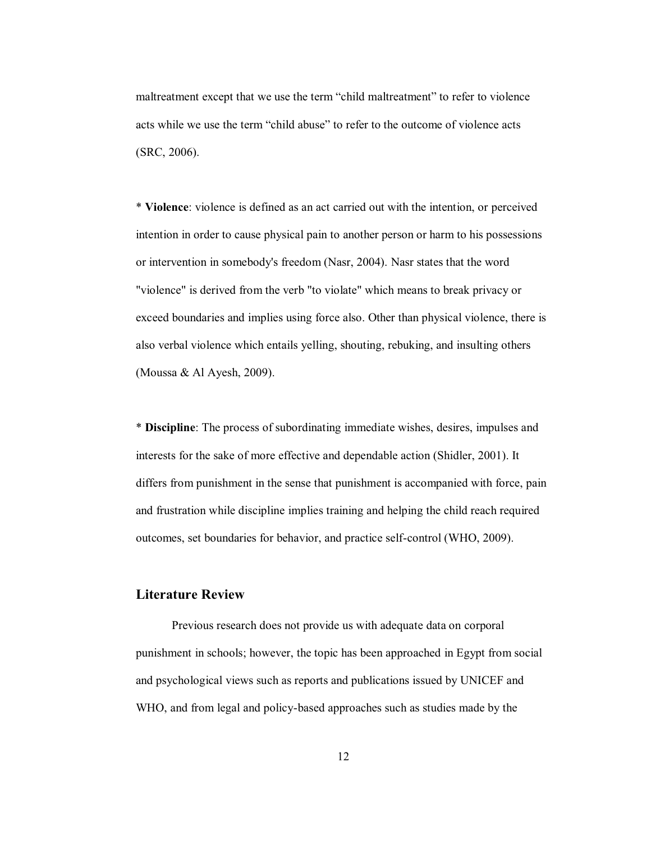maltreatment except that we use the term "child maltreatment" to refer to violence acts while we use the term "child abuse" to refer to the outcome of violence acts (SRC, 2006).

\* **Violence**: violence is defined as an act carried out with the intention, or perceived intention in order to cause physical pain to another person or harm to his possessions or intervention in somebody's freedom (Nasr, 2004). Nasr states that the word "violence" is derived from the verb "to violate" which means to break privacy or exceed boundaries and implies using force also. Other than physical violence, there is also verbal violence which entails yelling, shouting, rebuking, and insulting others (Moussa & Al Ayesh, 2009).

\* **Discipline**: The process of subordinating immediate wishes, desires, impulses and interests for the sake of more effective and dependable action (Shidler, 2001). It differs from punishment in the sense that punishment is accompanied with force, pain and frustration while discipline implies training and helping the child reach required outcomes, set boundaries for behavior, and practice self-control (WHO, 2009).

#### **Literature Review**

Previous research does not provide us with adequate data on corporal punishment in schools; however, the topic has been approached in Egypt from social and psychological views such as reports and publications issued by UNICEF and WHO, and from legal and policy-based approaches such as studies made by the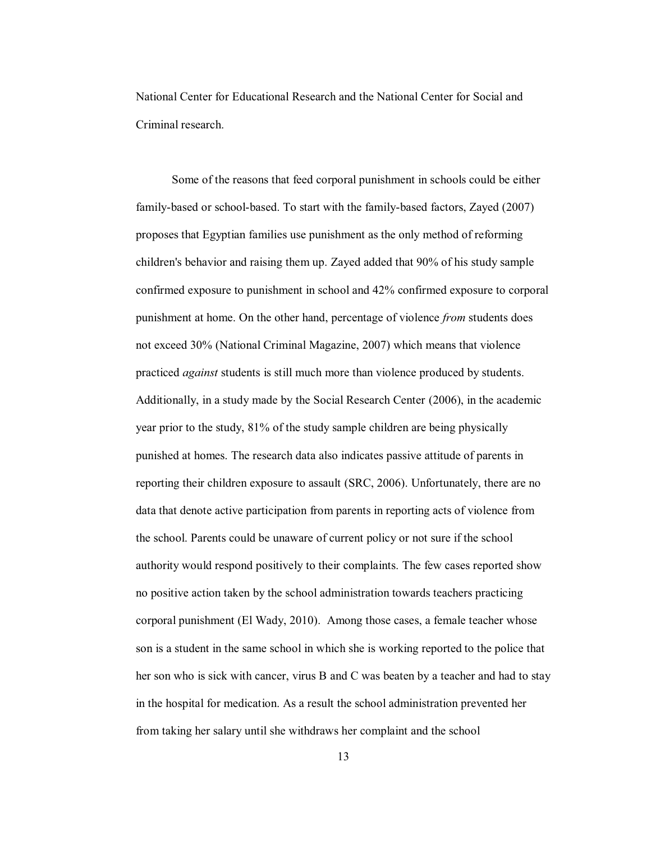National Center for Educational Research and the National Center for Social and Criminal research.

Some of the reasons that feed corporal punishment in schools could be either family-based or school-based. To start with the family-based factors, Zayed (2007) proposes that Egyptian families use punishment as the only method of reforming children's behavior and raising them up. Zayed added that 90% of his study sample confirmed exposure to punishment in school and 42% confirmed exposure to corporal punishment at home. On the other hand, percentage of violence *from* students does not exceed 30% (National Criminal Magazine, 2007) which means that violence practiced *against* students is still much more than violence produced by students. Additionally, in a study made by the Social Research Center (2006), in the academic year prior to the study, 81% of the study sample children are being physically punished at homes. The research data also indicates passive attitude of parents in reporting their children exposure to assault (SRC, 2006). Unfortunately, there are no data that denote active participation from parents in reporting acts of violence from the school. Parents could be unaware of current policy or not sure if the school authority would respond positively to their complaints. The few cases reported show no positive action taken by the school administration towards teachers practicing corporal punishment (El Wady, 2010). Among those cases, a female teacher whose son is a student in the same school in which she is working reported to the police that her son who is sick with cancer, virus B and C was beaten by a teacher and had to stay in the hospital for medication. As a result the school administration prevented her from taking her salary until she withdraws her complaint and the school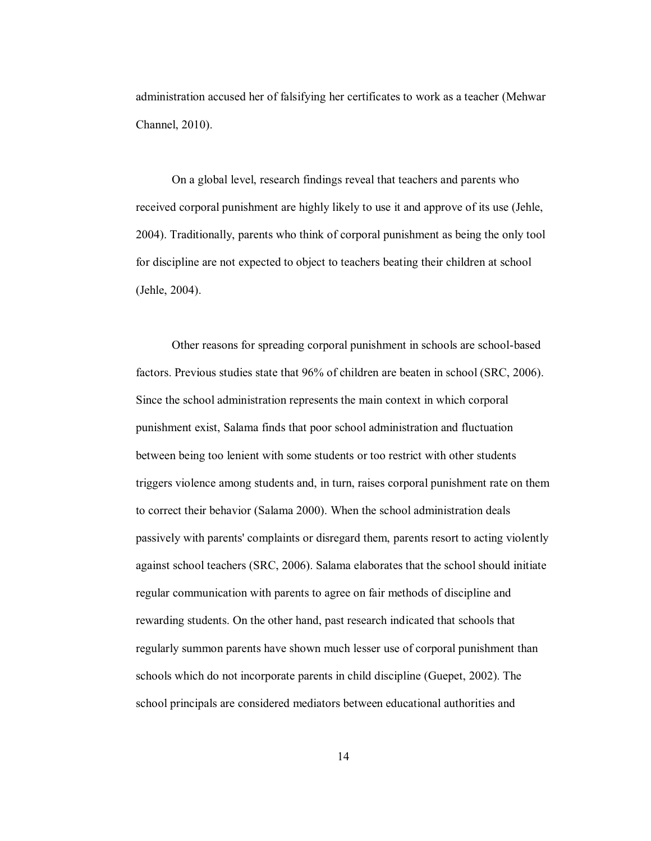administration accused her of falsifying her certificates to work as a teacher (Mehwar Channel, 2010).

On a global level, research findings reveal that teachers and parents who received corporal punishment are highly likely to use it and approve of its use (Jehle, 2004). Traditionally, parents who think of corporal punishment as being the only tool for discipline are not expected to object to teachers beating their children at school (Jehle, 2004).

 Other reasons for spreading corporal punishment in schools are school-based factors. Previous studies state that 96% of children are beaten in school (SRC, 2006). Since the school administration represents the main context in which corporal punishment exist, Salama finds that poor school administration and fluctuation between being too lenient with some students or too restrict with other students triggers violence among students and, in turn, raises corporal punishment rate on them to correct their behavior (Salama 2000). When the school administration deals passively with parents' complaints or disregard them, parents resort to acting violently against school teachers (SRC, 2006). Salama elaborates that the school should initiate regular communication with parents to agree on fair methods of discipline and rewarding students. On the other hand, past research indicated that schools that regularly summon parents have shown much lesser use of corporal punishment than schools which do not incorporate parents in child discipline (Guepet, 2002). The school principals are considered mediators between educational authorities and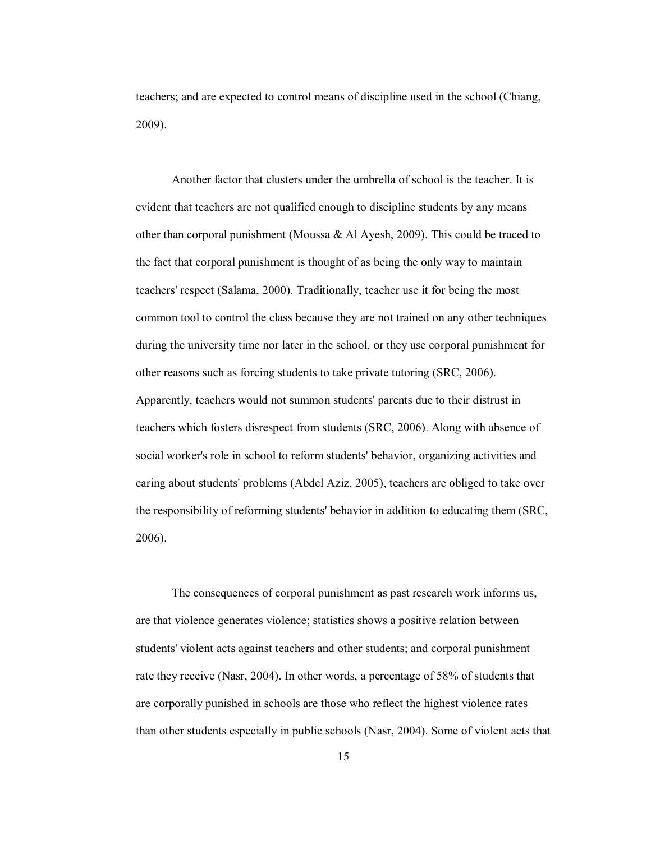teachers; and are expected to control means of discipline used in the school (Chiang, 2009).

Another factor that clusters under the umbrella of school is the teacher. It is evident that teachers are not qualified enough to discipline students by any means other than corporal punishment (Moussa & Al Ayesh, 2009). This could be traced to the fact that corporal punishment is thought of as being the only way to maintain teachers' respect (Salama, 2000). Traditionally, teacher use it for being the most common tool to control the class because they are not trained on any other techniques during the university time nor later in the school, or they use corporal punishment for other reasons such as forcing students to take private tutoring (SRC, 2006). Apparently, teachers would not summon students' parents due to their distrust in teachers which fosters disrespect from students (SRC, 2006). Along with absence of social worker's role in school to reform students' behavior, organizing activities and caring about students' problems (Abdel Aziz, 2005), teachers are obliged to take over the responsibility of reforming students' behavior in addition to educating them (SRC, 2006).

The consequences of corporal punishment as past research work informs us, are that violence generates violence; statistics shows a positive relation between students' violent acts against teachers and other students; and corporal punishment rate they receive (Nasr, 2004). In other words, a percentage of 58% of students that are corporally punished in schools are those who reflect the highest violence rates than other students especially in public schools (Nasr, 2004). Some of violent acts that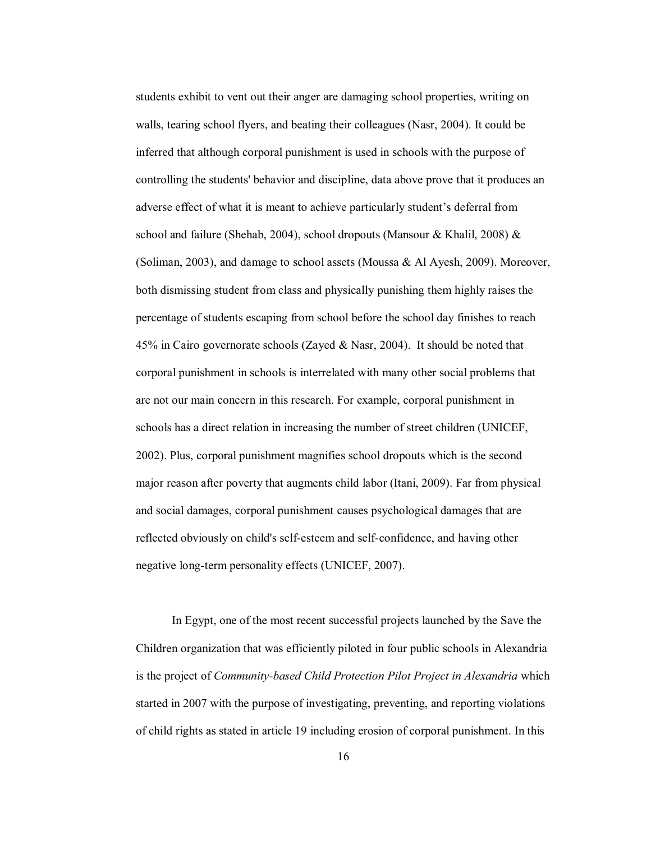students exhibit to vent out their anger are damaging school properties, writing on walls, tearing school flyers, and beating their colleagues (Nasr, 2004). It could be inferred that although corporal punishment is used in schools with the purpose of controlling the students' behavior and discipline, data above prove that it produces an adverse effect of what it is meant to achieve particularly student's deferral from school and failure (Shehab, 2004), school dropouts (Mansour & Khalil, 2008)  $\&$ (Soliman, 2003), and damage to school assets (Moussa  $\&$  Al Ayesh, 2009). Moreover, both dismissing student from class and physically punishing them highly raises the percentage of students escaping from school before the school day finishes to reach 45% in Cairo governorate schools (Zayed & Nasr, 2004). It should be noted that corporal punishment in schools is interrelated with many other social problems that are not our main concern in this research. For example, corporal punishment in schools has a direct relation in increasing the number of street children (UNICEF, 2002). Plus, corporal punishment magnifies school dropouts which is the second major reason after poverty that augments child labor (Itani, 2009). Far from physical and social damages, corporal punishment causes psychological damages that are reflected obviously on child's self-esteem and self-confidence, and having other negative long-term personality effects (UNICEF, 2007).

In Egypt, one of the most recent successful projects launched by the Save the Children organization that was efficiently piloted in four public schools in Alexandria is the project of *Community-based Child Protection Pilot Project in Alexandria* which started in 2007 with the purpose of investigating, preventing, and reporting violations of child rights as stated in article 19 including erosion of corporal punishment. In this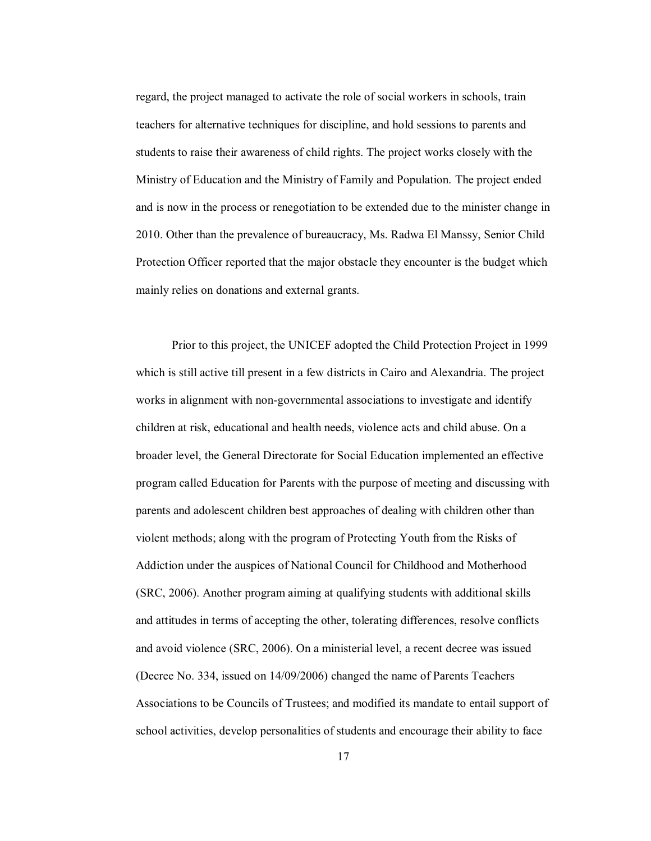regard, the project managed to activate the role of social workers in schools, train teachers for alternative techniques for discipline, and hold sessions to parents and students to raise their awareness of child rights. The project works closely with the Ministry of Education and the Ministry of Family and Population. The project ended and is now in the process or renegotiation to be extended due to the minister change in 2010. Other than the prevalence of bureaucracy, Ms. Radwa El Manssy, Senior Child Protection Officer reported that the major obstacle they encounter is the budget which mainly relies on donations and external grants.

Prior to this project, the UNICEF adopted the Child Protection Project in 1999 which is still active till present in a few districts in Cairo and Alexandria. The project works in alignment with non-governmental associations to investigate and identify children at risk, educational and health needs, violence acts and child abuse. On a broader level, the General Directorate for Social Education implemented an effective program called Education for Parents with the purpose of meeting and discussing with parents and adolescent children best approaches of dealing with children other than violent methods; along with the program of Protecting Youth from the Risks of Addiction under the auspices of National Council for Childhood and Motherhood (SRC, 2006). Another program aiming at qualifying students with additional skills and attitudes in terms of accepting the other, tolerating differences, resolve conflicts and avoid violence (SRC, 2006). On a ministerial level, a recent decree was issued (Decree No. 334, issued on 14/09/2006) changed the name of Parents Teachers Associations to be Councils of Trustees; and modified its mandate to entail support of school activities, develop personalities of students and encourage their ability to face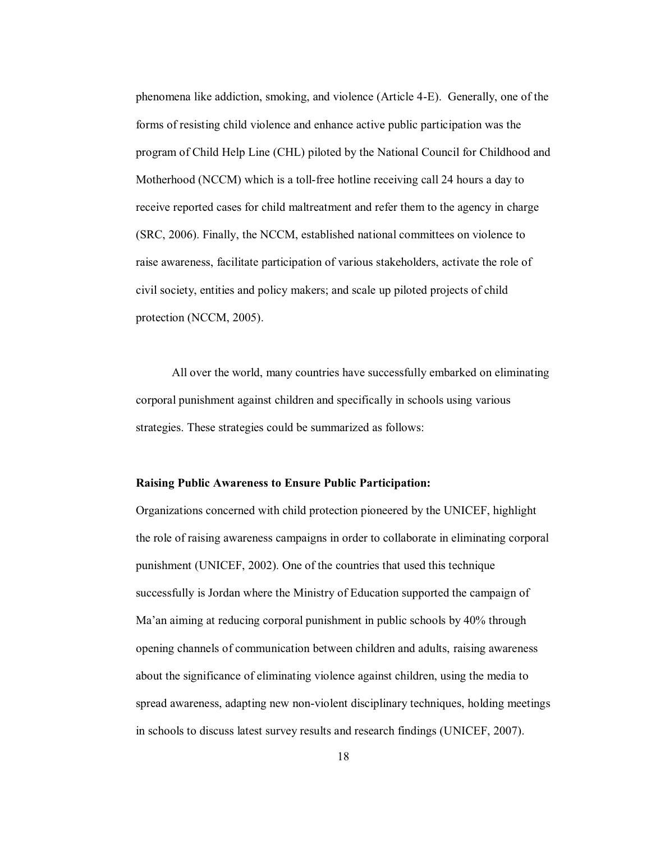phenomena like addiction, smoking, and violence (Article 4-E). Generally, one of the forms of resisting child violence and enhance active public participation was the program of Child Help Line (CHL) piloted by the National Council for Childhood and Motherhood (NCCM) which is a toll-free hotline receiving call 24 hours a day to receive reported cases for child maltreatment and refer them to the agency in charge (SRC, 2006). Finally, the NCCM, established national committees on violence to raise awareness, facilitate participation of various stakeholders, activate the role of civil society, entities and policy makers; and scale up piloted projects of child protection (NCCM, 2005).

All over the world, many countries have successfully embarked on eliminating corporal punishment against children and specifically in schools using various strategies. These strategies could be summarized as follows:

#### **Raising Public Awareness to Ensure Public Participation:**

Organizations concerned with child protection pioneered by the UNICEF, highlight the role of raising awareness campaigns in order to collaborate in eliminating corporal punishment (UNICEF, 2002). One of the countries that used this technique successfully is Jordan where the Ministry of Education supported the campaign of Ma'an aiming at reducing corporal punishment in public schools by 40% through opening channels of communication between children and adults, raising awareness about the significance of eliminating violence against children, using the media to spread awareness, adapting new non-violent disciplinary techniques, holding meetings in schools to discuss latest survey results and research findings (UNICEF, 2007).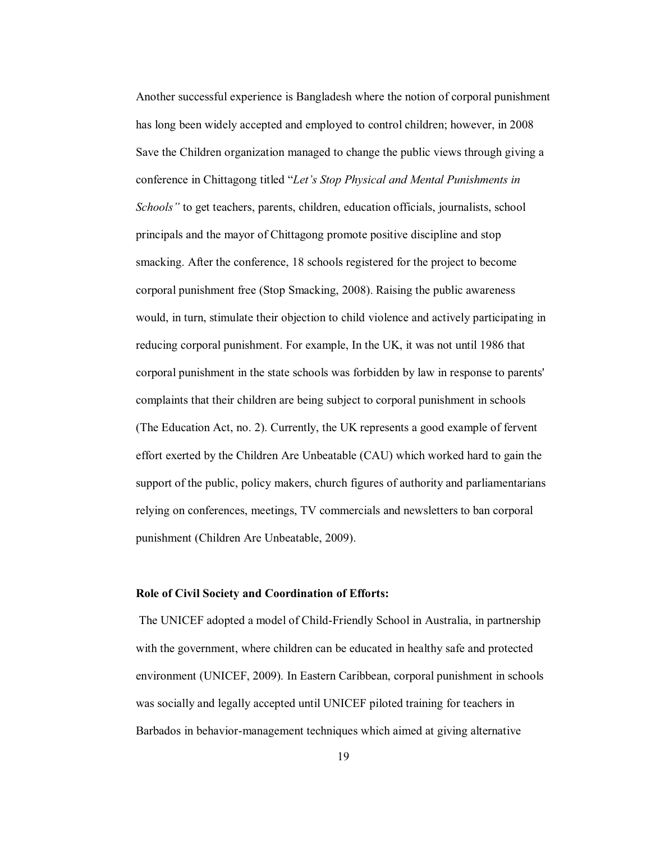Another successful experience is Bangladesh where the notion of corporal punishment has long been widely accepted and employed to control children; however, in 2008 Save the Children organization managed to change the public views through giving a conference in Chittagong titled "Let's Stop Physical and Mental Punishments in *Schools*" to get teachers, parents, children, education officials, journalists, school principals and the mayor of Chittagong promote positive discipline and stop smacking. After the conference, 18 schools registered for the project to become corporal punishment free (Stop Smacking, 2008). Raising the public awareness would, in turn, stimulate their objection to child violence and actively participating in reducing corporal punishment. For example, In the UK, it was not until 1986 that corporal punishment in the state schools was forbidden by law in response to parents' complaints that their children are being subject to corporal punishment in schools (The Education Act, no. 2). Currently, the UK represents a good example of fervent effort exerted by the Children Are Unbeatable (CAU) which worked hard to gain the support of the public, policy makers, church figures of authority and parliamentarians relying on conferences, meetings, TV commercials and newsletters to ban corporal punishment (Children Are Unbeatable, 2009).

#### **Role of Civil Society and Coordination of Efforts:**

 The UNICEF adopted a model of Child-Friendly School in Australia, in partnership with the government, where children can be educated in healthy safe and protected environment (UNICEF, 2009). In Eastern Caribbean, corporal punishment in schools was socially and legally accepted until UNICEF piloted training for teachers in Barbados in behavior-management techniques which aimed at giving alternative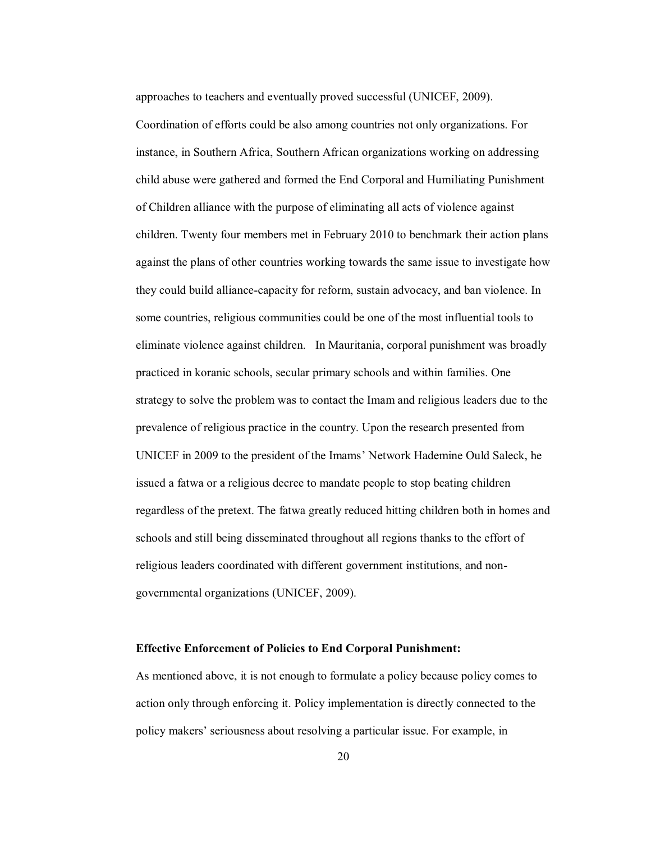approaches to teachers and eventually proved successful (UNICEF, 2009).

Coordination of efforts could be also among countries not only organizations. For instance, in Southern Africa, Southern African organizations working on addressing child abuse were gathered and formed the End Corporal and Humiliating Punishment of Children alliance with the purpose of eliminating all acts of violence against children. Twenty four members met in February 2010 to benchmark their action plans against the plans of other countries working towards the same issue to investigate how they could build alliance-capacity for reform, sustain advocacy, and ban violence. In some countries, religious communities could be one of the most influential tools to eliminate violence against children. In Mauritania, corporal punishment was broadly practiced in koranic schools, secular primary schools and within families. One strategy to solve the problem was to contact the Imam and religious leaders due to the prevalence of religious practice in the country. Upon the research presented from UNICEF in 2009 to the president of the Imams' Network Hademine Ould Saleck, he issued a fatwa or a religious decree to mandate people to stop beating children regardless of the pretext. The fatwa greatly reduced hitting children both in homes and schools and still being disseminated throughout all regions thanks to the effort of religious leaders coordinated with different government institutions, and nongovernmental organizations (UNICEF, 2009).

#### **Effective Enforcement of Policies to End Corporal Punishment:**

As mentioned above, it is not enough to formulate a policy because policy comes to action only through enforcing it. Policy implementation is directly connected to the policy makers' seriousness about resolving a particular issue. For example, in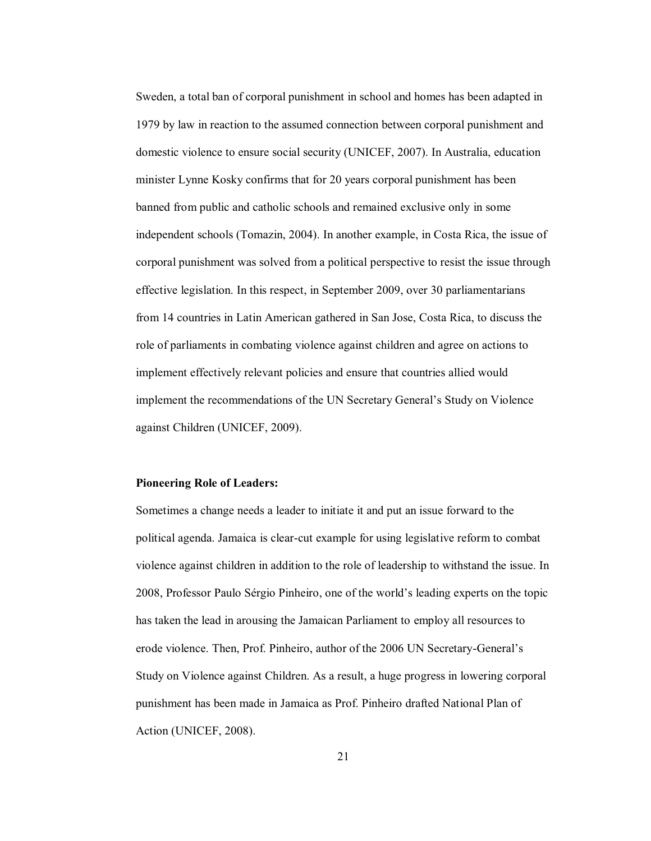Sweden, a total ban of corporal punishment in school and homes has been adapted in 1979 by law in reaction to the assumed connection between corporal punishment and domestic violence to ensure social security (UNICEF, 2007). In Australia, education minister Lynne Kosky confirms that for 20 years corporal punishment has been banned from public and catholic schools and remained exclusive only in some independent schools (Tomazin, 2004). In another example, in Costa Rica, the issue of corporal punishment was solved from a political perspective to resist the issue through effective legislation. In this respect, in September 2009, over 30 parliamentarians from 14 countries in Latin American gathered in San Jose, Costa Rica, to discuss the role of parliaments in combating violence against children and agree on actions to implement effectively relevant policies and ensure that countries allied would implement the recommendations of the UN Secretary General's Study on Violence against Children (UNICEF, 2009).

#### **Pioneering Role of Leaders:**

Sometimes a change needs a leader to initiate it and put an issue forward to the political agenda. Jamaica is clear-cut example for using legislative reform to combat violence against children in addition to the role of leadership to withstand the issue. In 2008, Professor Paulo Sérgio Pinheiro, one of the world's leading experts on the topic has taken the lead in arousing the Jamaican Parliament to employ all resources to erode violence. Then, Prof. Pinheiro, author of the 2006 UN Secretary-General's Study on Violence against Children. As a result, a huge progress in lowering corporal punishment has been made in Jamaica as Prof. Pinheiro drafted National Plan of Action (UNICEF, 2008).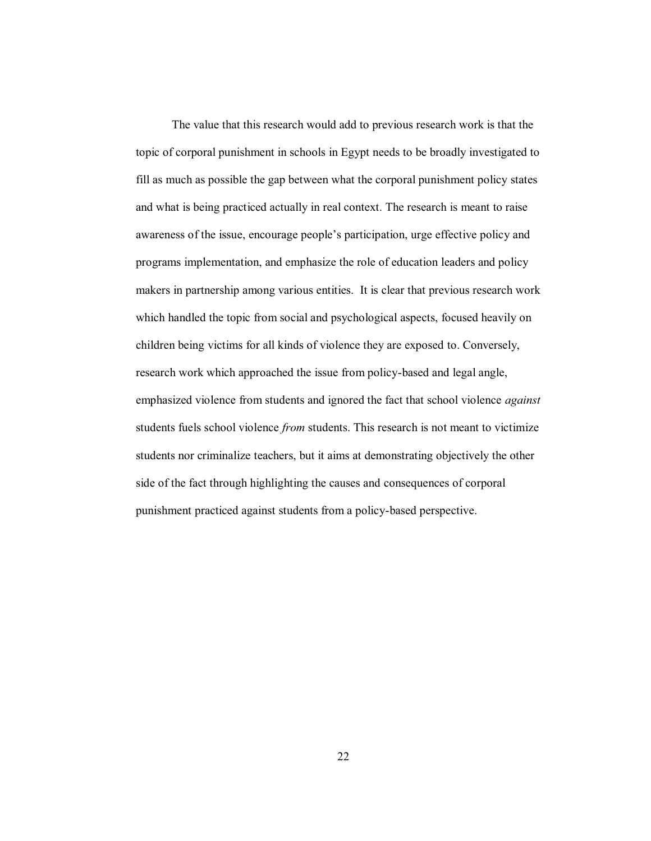The value that this research would add to previous research work is that the topic of corporal punishment in schools in Egypt needs to be broadly investigated to fill as much as possible the gap between what the corporal punishment policy states and what is being practiced actually in real context. The research is meant to raise awareness of the issue, encourage people's participation, urge effective policy and programs implementation, and emphasize the role of education leaders and policy makers in partnership among various entities. It is clear that previous research work which handled the topic from social and psychological aspects, focused heavily on children being victims for all kinds of violence they are exposed to. Conversely, research work which approached the issue from policy-based and legal angle, emphasized violence from students and ignored the fact that school violence *against* students fuels school violence *from* students. This research is not meant to victimize students nor criminalize teachers, but it aims at demonstrating objectively the other side of the fact through highlighting the causes and consequences of corporal punishment practiced against students from a policy-based perspective.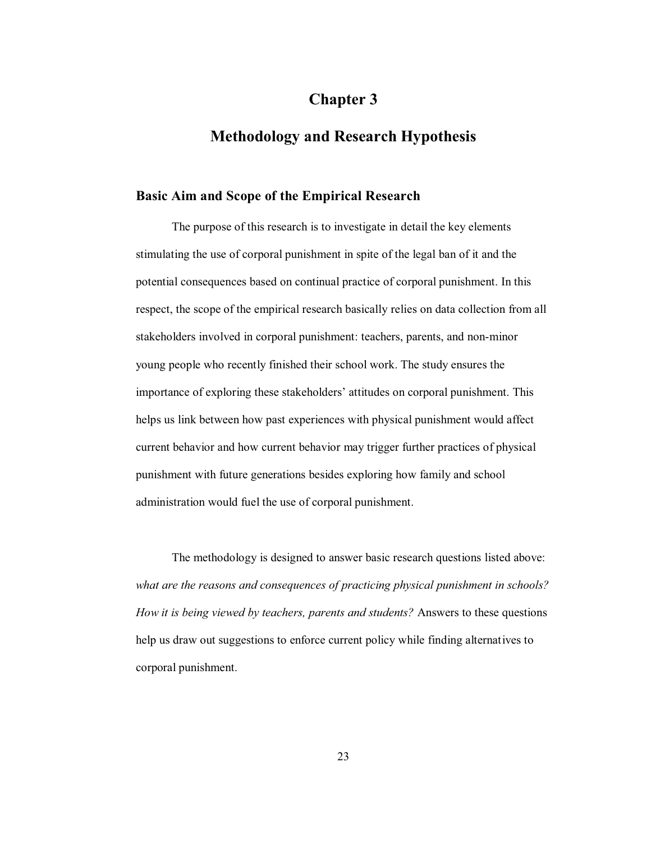# **Chapter 3**

# **Methodology and Research Hypothesis**

#### **Basic Aim and Scope of the Empirical Research**

 The purpose of this research is to investigate in detail the key elements stimulating the use of corporal punishment in spite of the legal ban of it and the potential consequences based on continual practice of corporal punishment. In this respect, the scope of the empirical research basically relies on data collection from all stakeholders involved in corporal punishment: teachers, parents, and non-minor young people who recently finished their school work. The study ensures the importance of exploring these stakeholders' attitudes on corporal punishment. This helps us link between how past experiences with physical punishment would affect current behavior and how current behavior may trigger further practices of physical punishment with future generations besides exploring how family and school administration would fuel the use of corporal punishment.

 The methodology is designed to answer basic research questions listed above: *what are the reasons and consequences of practicing physical punishment in schools? How it is being viewed by teachers, parents and students?* Answers to these questions help us draw out suggestions to enforce current policy while finding alternatives to corporal punishment.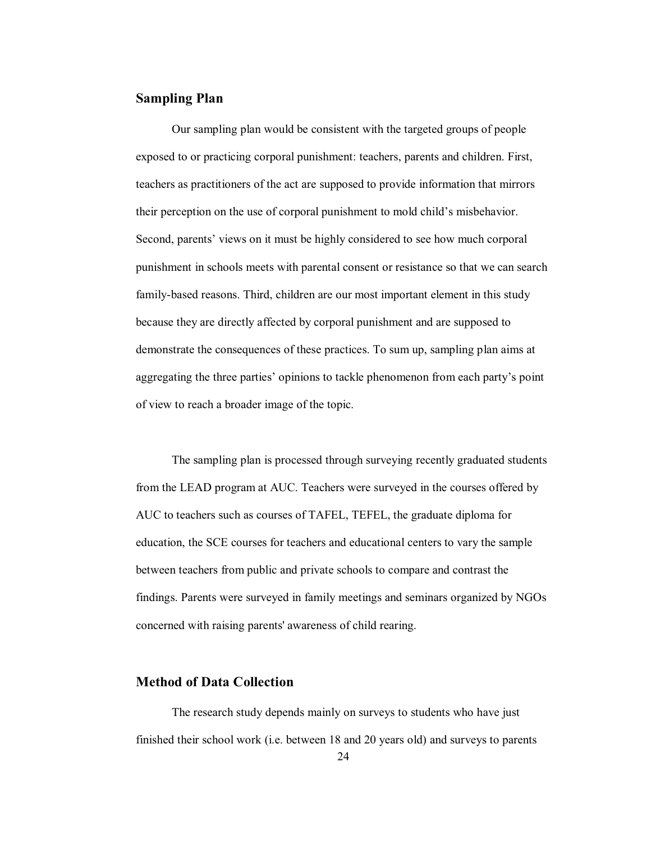#### **Sampling Plan**

Our sampling plan would be consistent with the targeted groups of people exposed to or practicing corporal punishment: teachers, parents and children. First, teachers as practitioners of the act are supposed to provide information that mirrors their perception on the use of corporal punishment to mold child's misbehavior. Second, parents' views on it must be highly considered to see how much corporal punishment in schools meets with parental consent or resistance so that we can search family-based reasons. Third, children are our most important element in this study because they are directly affected by corporal punishment and are supposed to demonstrate the consequences of these practices. To sum up, sampling plan aims at aggregating the three parties' opinions to tackle phenomenon from each party's point of view to reach a broader image of the topic.

The sampling plan is processed through surveying recently graduated students from the LEAD program at AUC. Teachers were surveyed in the courses offered by AUC to teachers such as courses of TAFEL, TEFEL, the graduate diploma for education, the SCE courses for teachers and educational centers to vary the sample between teachers from public and private schools to compare and contrast the findings. Parents were surveyed in family meetings and seminars organized by NGOs concerned with raising parents' awareness of child rearing.

#### **Method of Data Collection**

The research study depends mainly on surveys to students who have just finished their school work (i.e. between 18 and 20 years old) and surveys to parents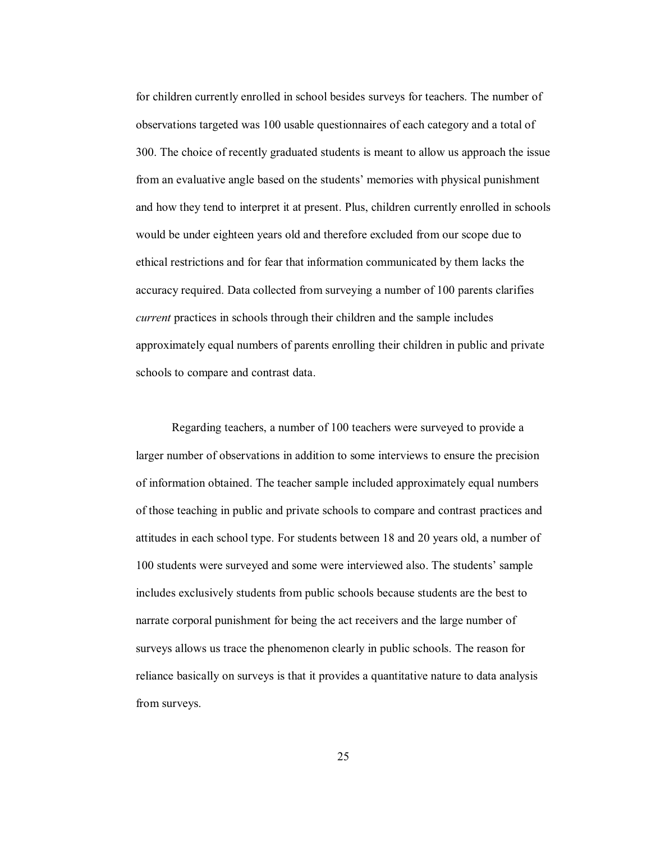for children currently enrolled in school besides surveys for teachers. The number of observations targeted was 100 usable questionnaires of each category and a total of 300. The choice of recently graduated students is meant to allow us approach the issue from an evaluative angle based on the students' memories with physical punishment and how they tend to interpret it at present. Plus, children currently enrolled in schools would be under eighteen years old and therefore excluded from our scope due to ethical restrictions and for fear that information communicated by them lacks the accuracy required. Data collected from surveying a number of 100 parents clarifies *current* practices in schools through their children and the sample includes approximately equal numbers of parents enrolling their children in public and private schools to compare and contrast data.

Regarding teachers, a number of 100 teachers were surveyed to provide a larger number of observations in addition to some interviews to ensure the precision of information obtained. The teacher sample included approximately equal numbers of those teaching in public and private schools to compare and contrast practices and attitudes in each school type. For students between 18 and 20 years old, a number of 100 students were surveyed and some were interviewed also. The students' sample includes exclusively students from public schools because students are the best to narrate corporal punishment for being the act receivers and the large number of surveys allows us trace the phenomenon clearly in public schools. The reason for reliance basically on surveys is that it provides a quantitative nature to data analysis from surveys.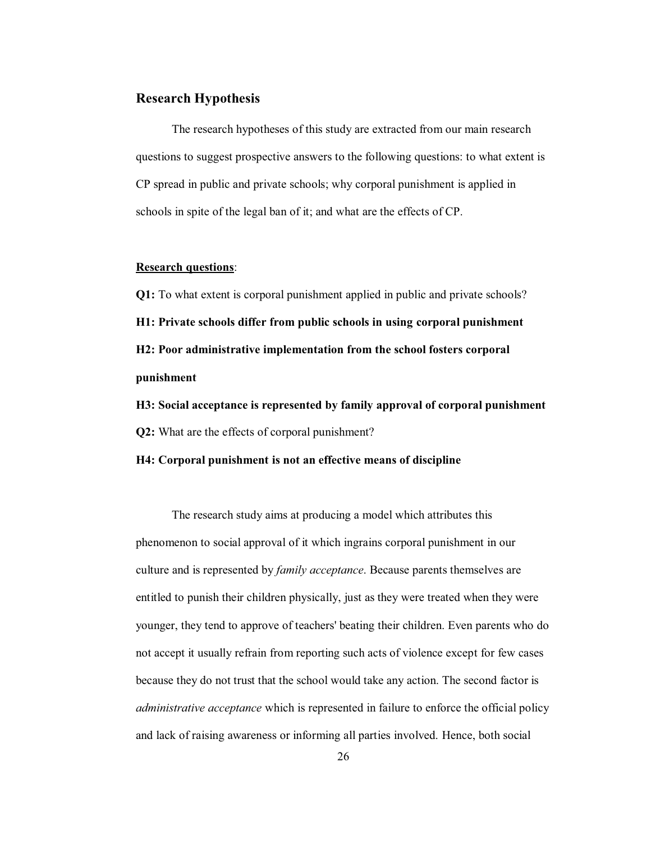#### **Research Hypothesis**

The research hypotheses of this study are extracted from our main research questions to suggest prospective answers to the following questions: to what extent is CP spread in public and private schools; why corporal punishment is applied in schools in spite of the legal ban of it; and what are the effects of CP.

#### **Research questions**:

**Q1:** To what extent is corporal punishment applied in public and private schools? **H1: Private schools differ from public schools in using corporal punishment H2: Poor administrative implementation from the school fosters corporal punishment** 

**H3: Social acceptance is represented by family approval of corporal punishment Q2:** What are the effects of corporal punishment?

#### **H4: Corporal punishment is not an effective means of discipline**

The research study aims at producing a model which attributes this phenomenon to social approval of it which ingrains corporal punishment in our culture and is represented by *family acceptance*. Because parents themselves are entitled to punish their children physically, just as they were treated when they were younger, they tend to approve of teachers' beating their children. Even parents who do not accept it usually refrain from reporting such acts of violence except for few cases because they do not trust that the school would take any action. The second factor is *administrative acceptance* which is represented in failure to enforce the official policy and lack of raising awareness or informing all parties involved. Hence, both social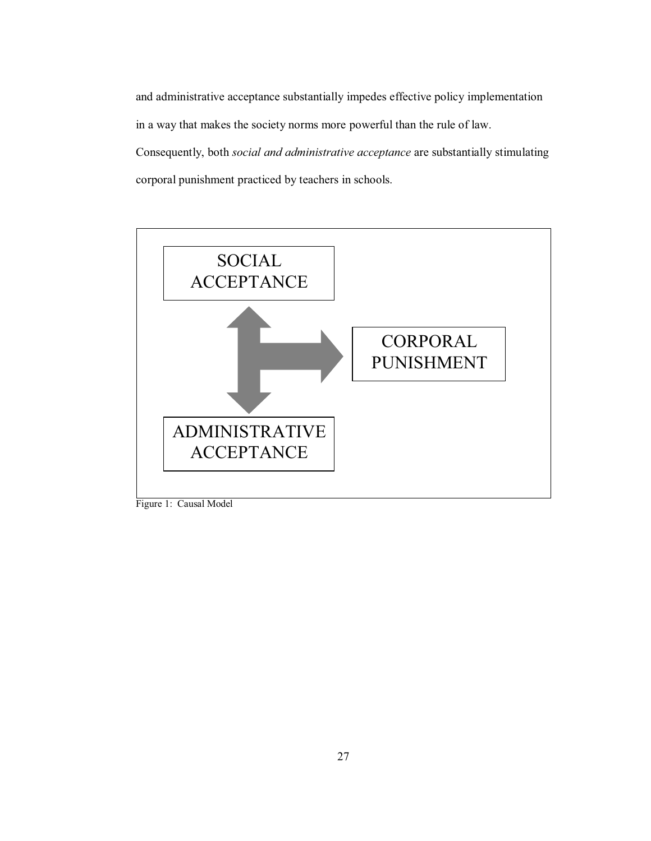and administrative acceptance substantially impedes effective policy implementation in a way that makes the society norms more powerful than the rule of law. Consequently, both *social and administrative acceptance* are substantially stimulating corporal punishment practiced by teachers in schools.



Figure 1: Causal Model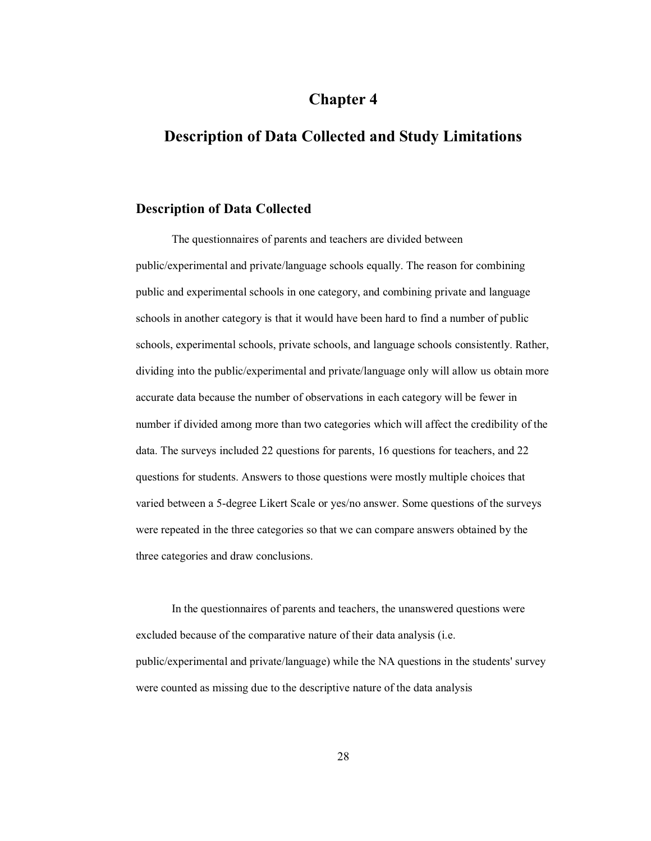# **Chapter 4**

# **Description of Data Collected and Study Limitations**

#### **Description of Data Collected**

The questionnaires of parents and teachers are divided between public/experimental and private/language schools equally. The reason for combining public and experimental schools in one category, and combining private and language schools in another category is that it would have been hard to find a number of public schools, experimental schools, private schools, and language schools consistently. Rather, dividing into the public/experimental and private/language only will allow us obtain more accurate data because the number of observations in each category will be fewer in number if divided among more than two categories which will affect the credibility of the data. The surveys included 22 questions for parents, 16 questions for teachers, and 22 questions for students. Answers to those questions were mostly multiple choices that varied between a 5-degree Likert Scale or yes/no answer. Some questions of the surveys were repeated in the three categories so that we can compare answers obtained by the three categories and draw conclusions.

In the questionnaires of parents and teachers, the unanswered questions were excluded because of the comparative nature of their data analysis (i.e. public/experimental and private/language) while the NA questions in the students' survey were counted as missing due to the descriptive nature of the data analysis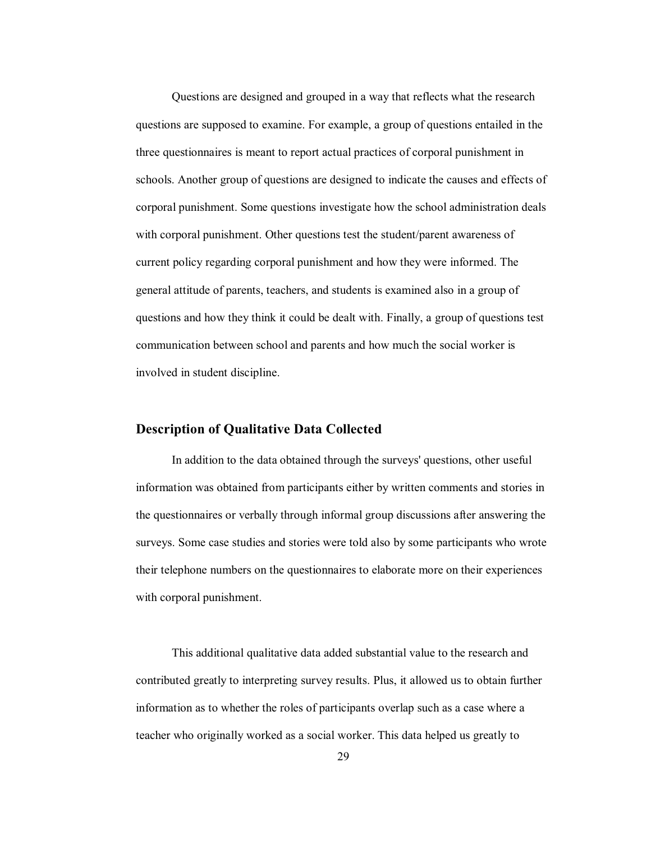Questions are designed and grouped in a way that reflects what the research questions are supposed to examine. For example, a group of questions entailed in the three questionnaires is meant to report actual practices of corporal punishment in schools. Another group of questions are designed to indicate the causes and effects of corporal punishment. Some questions investigate how the school administration deals with corporal punishment. Other questions test the student/parent awareness of current policy regarding corporal punishment and how they were informed. The general attitude of parents, teachers, and students is examined also in a group of questions and how they think it could be dealt with. Finally, a group of questions test communication between school and parents and how much the social worker is involved in student discipline.

#### **Description of Qualitative Data Collected**

In addition to the data obtained through the surveys' questions, other useful information was obtained from participants either by written comments and stories in the questionnaires or verbally through informal group discussions after answering the surveys. Some case studies and stories were told also by some participants who wrote their telephone numbers on the questionnaires to elaborate more on their experiences with corporal punishment.

This additional qualitative data added substantial value to the research and contributed greatly to interpreting survey results. Plus, it allowed us to obtain further information as to whether the roles of participants overlap such as a case where a teacher who originally worked as a social worker. This data helped us greatly to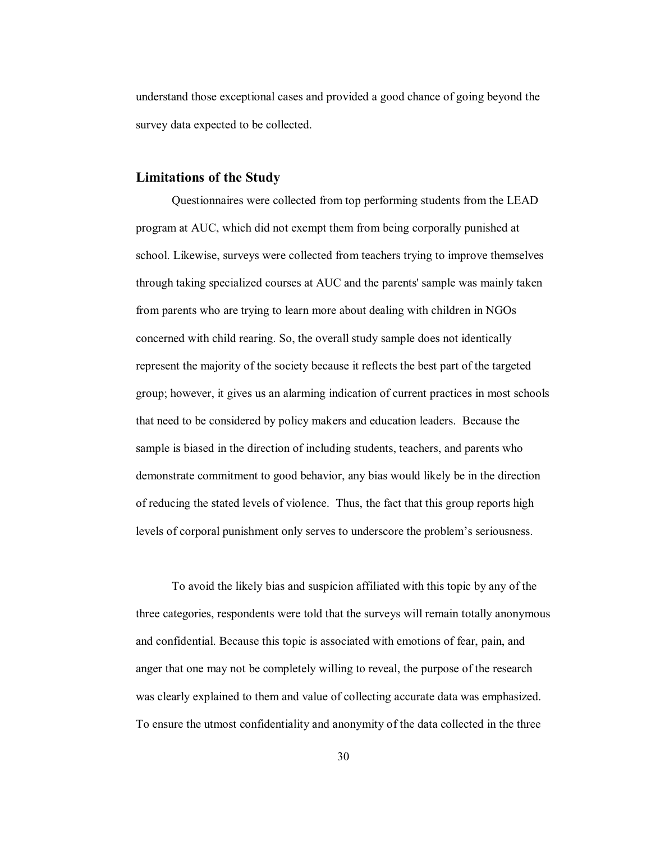understand those exceptional cases and provided a good chance of going beyond the survey data expected to be collected.

#### **Limitations of the Study**

Questionnaires were collected from top performing students from the LEAD program at AUC, which did not exempt them from being corporally punished at school. Likewise, surveys were collected from teachers trying to improve themselves through taking specialized courses at AUC and the parents' sample was mainly taken from parents who are trying to learn more about dealing with children in NGOs concerned with child rearing. So, the overall study sample does not identically represent the majority of the society because it reflects the best part of the targeted group; however, it gives us an alarming indication of current practices in most schools that need to be considered by policy makers and education leaders. Because the sample is biased in the direction of including students, teachers, and parents who demonstrate commitment to good behavior, any bias would likely be in the direction of reducing the stated levels of violence. Thus, the fact that this group reports high levels of corporal punishment only serves to underscore the problem's seriousness.

To avoid the likely bias and suspicion affiliated with this topic by any of the three categories, respondents were told that the surveys will remain totally anonymous and confidential. Because this topic is associated with emotions of fear, pain, and anger that one may not be completely willing to reveal, the purpose of the research was clearly explained to them and value of collecting accurate data was emphasized. To ensure the utmost confidentiality and anonymity of the data collected in the three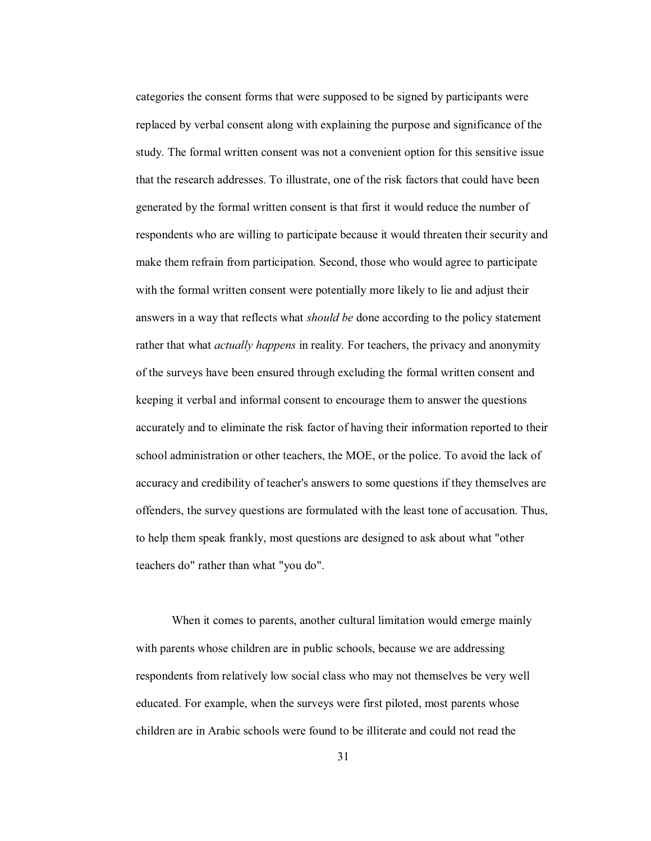categories the consent forms that were supposed to be signed by participants were replaced by verbal consent along with explaining the purpose and significance of the study. The formal written consent was not a convenient option for this sensitive issue that the research addresses. To illustrate, one of the risk factors that could have been generated by the formal written consent is that first it would reduce the number of respondents who are willing to participate because it would threaten their security and make them refrain from participation. Second, those who would agree to participate with the formal written consent were potentially more likely to lie and adjust their answers in a way that reflects what *should be* done according to the policy statement rather that what *actually happens* in reality. For teachers, the privacy and anonymity of the surveys have been ensured through excluding the formal written consent and keeping it verbal and informal consent to encourage them to answer the questions accurately and to eliminate the risk factor of having their information reported to their school administration or other teachers, the MOE, or the police. To avoid the lack of accuracy and credibility of teacher's answers to some questions if they themselves are offenders, the survey questions are formulated with the least tone of accusation. Thus, to help them speak frankly, most questions are designed to ask about what "other teachers do" rather than what "you do".

When it comes to parents, another cultural limitation would emerge mainly with parents whose children are in public schools, because we are addressing respondents from relatively low social class who may not themselves be very well educated. For example, when the surveys were first piloted, most parents whose children are in Arabic schools were found to be illiterate and could not read the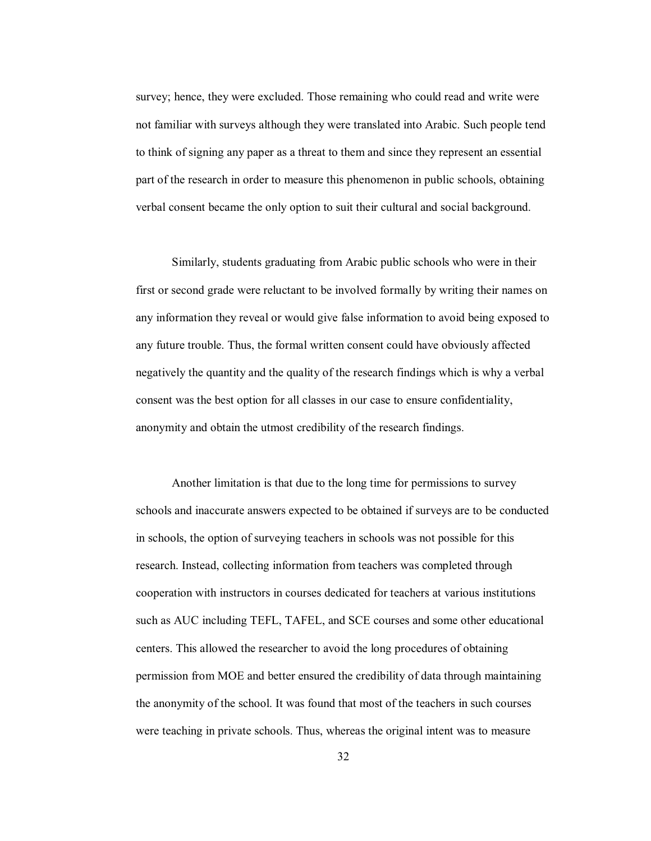survey; hence, they were excluded. Those remaining who could read and write were not familiar with surveys although they were translated into Arabic. Such people tend to think of signing any paper as a threat to them and since they represent an essential part of the research in order to measure this phenomenon in public schools, obtaining verbal consent became the only option to suit their cultural and social background.

Similarly, students graduating from Arabic public schools who were in their first or second grade were reluctant to be involved formally by writing their names on any information they reveal or would give false information to avoid being exposed to any future trouble. Thus, the formal written consent could have obviously affected negatively the quantity and the quality of the research findings which is why a verbal consent was the best option for all classes in our case to ensure confidentiality, anonymity and obtain the utmost credibility of the research findings.

Another limitation is that due to the long time for permissions to survey schools and inaccurate answers expected to be obtained if surveys are to be conducted in schools, the option of surveying teachers in schools was not possible for this research. Instead, collecting information from teachers was completed through cooperation with instructors in courses dedicated for teachers at various institutions such as AUC including TEFL, TAFEL, and SCE courses and some other educational centers. This allowed the researcher to avoid the long procedures of obtaining permission from MOE and better ensured the credibility of data through maintaining the anonymity of the school. It was found that most of the teachers in such courses were teaching in private schools. Thus, whereas the original intent was to measure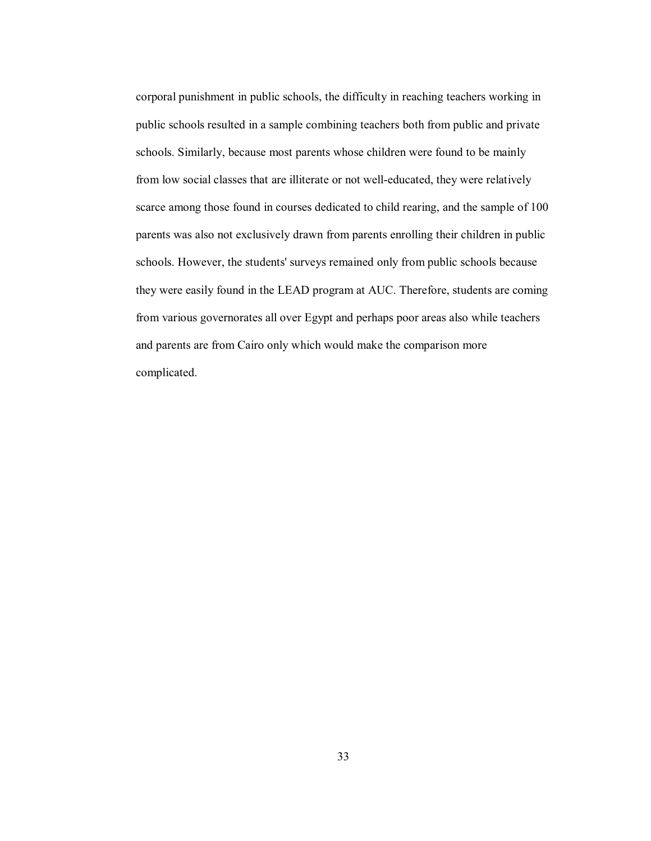corporal punishment in public schools, the difficulty in reaching teachers working in public schools resulted in a sample combining teachers both from public and private schools. Similarly, because most parents whose children were found to be mainly from low social classes that are illiterate or not well-educated, they were relatively scarce among those found in courses dedicated to child rearing, and the sample of 100 parents was also not exclusively drawn from parents enrolling their children in public schools. However, the students' surveys remained only from public schools because they were easily found in the LEAD program at AUC. Therefore, students are coming from various governorates all over Egypt and perhaps poor areas also while teachers and parents are from Cairo only which would make the comparison more complicated.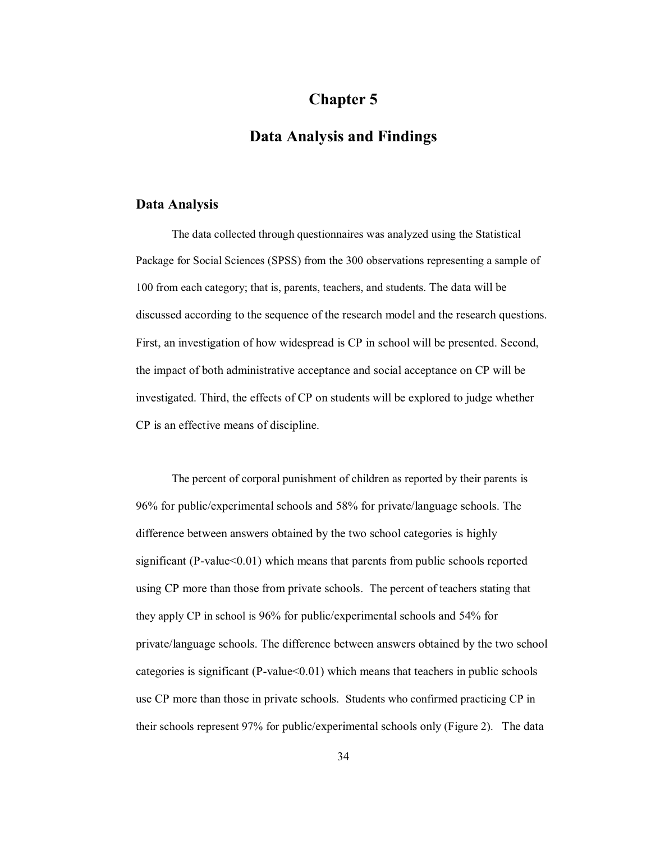# **Chapter 5**

# **Data Analysis and Findings**

#### **Data Analysis**

The data collected through questionnaires was analyzed using the Statistical Package for Social Sciences (SPSS) from the 300 observations representing a sample of 100 from each category; that is, parents, teachers, and students. The data will be discussed according to the sequence of the research model and the research questions. First, an investigation of how widespread is CP in school will be presented. Second, the impact of both administrative acceptance and social acceptance on CP will be investigated. Third, the effects of CP on students will be explored to judge whether CP is an effective means of discipline.

The percent of corporal punishment of children as reported by their parents is 96% for public/experimental schools and 58% for private/language schools. The difference between answers obtained by the two school categories is highly significant (P-value $<0.01$ ) which means that parents from public schools reported using CP more than those from private schools. The percent of teachers stating that they apply CP in school is 96% for public/experimental schools and 54% for private/language schools. The difference between answers obtained by the two school categories is significant (P-value<0.01) which means that teachers in public schools use CP more than those in private schools. Students who confirmed practicing CP in their schools represent 97% for public/experimental schools only (Figure 2). The data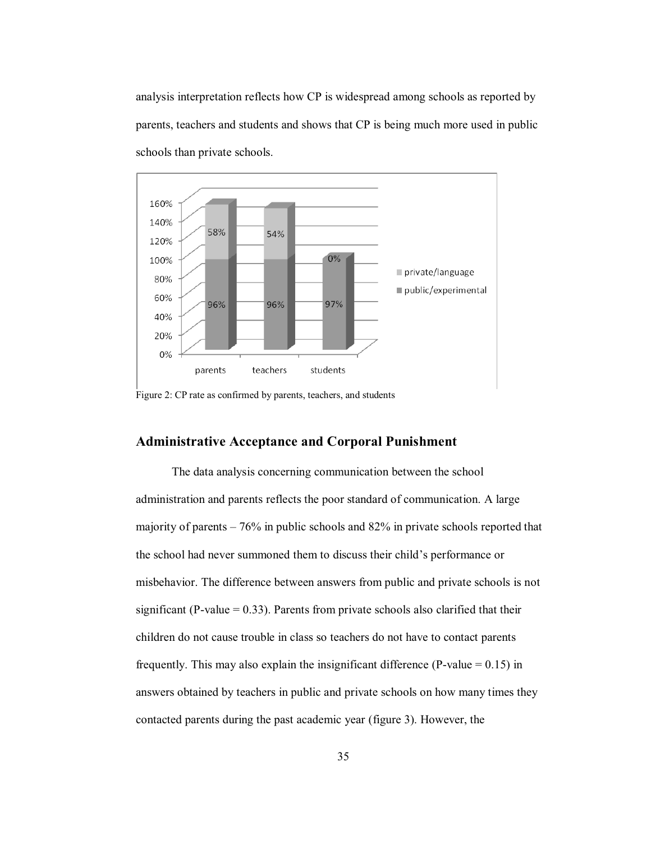analysis interpretation reflects how CP is widespread among schools as reported by parents, teachers and students and shows that CP is being much more used in public schools than private schools.



Figure 2: CP rate as confirmed by parents, teachers, and students

#### **Administrative Acceptance and Corporal Punishment**

 The data analysis concerning communication between the school administration and parents reflects the poor standard of communication. A large majority of parents  $-76\%$  in public schools and 82% in private schools reported that the school had never summoned them to discuss their child's performance or misbehavior. The difference between answers from public and private schools is not significant (P-value  $= 0.33$ ). Parents from private schools also clarified that their children do not cause trouble in class so teachers do not have to contact parents frequently. This may also explain the insignificant difference (P-value  $= 0.15$ ) in answers obtained by teachers in public and private schools on how many times they contacted parents during the past academic year (figure 3). However, the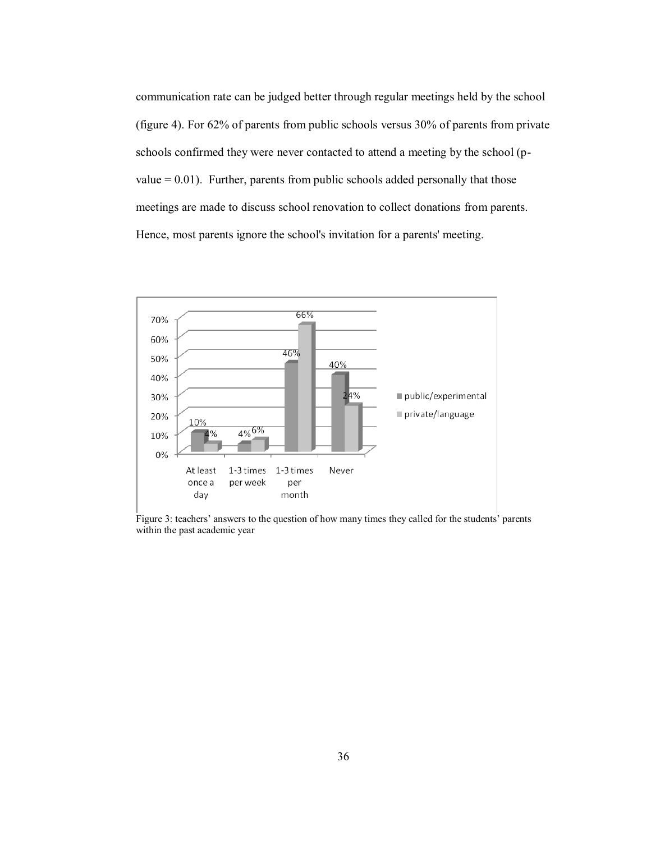communication rate can be judged better through regular meetings held by the school (figure 4). For 62% of parents from public schools versus 30% of parents from private schools confirmed they were never contacted to attend a meeting by the school (pvalue  $= 0.01$ ). Further, parents from public schools added personally that those meetings are made to discuss school renovation to collect donations from parents. Hence, most parents ignore the school's invitation for a parents' meeting.



Figure 3: teachers' answers to the question of how many times they called for the students' parents within the past academic year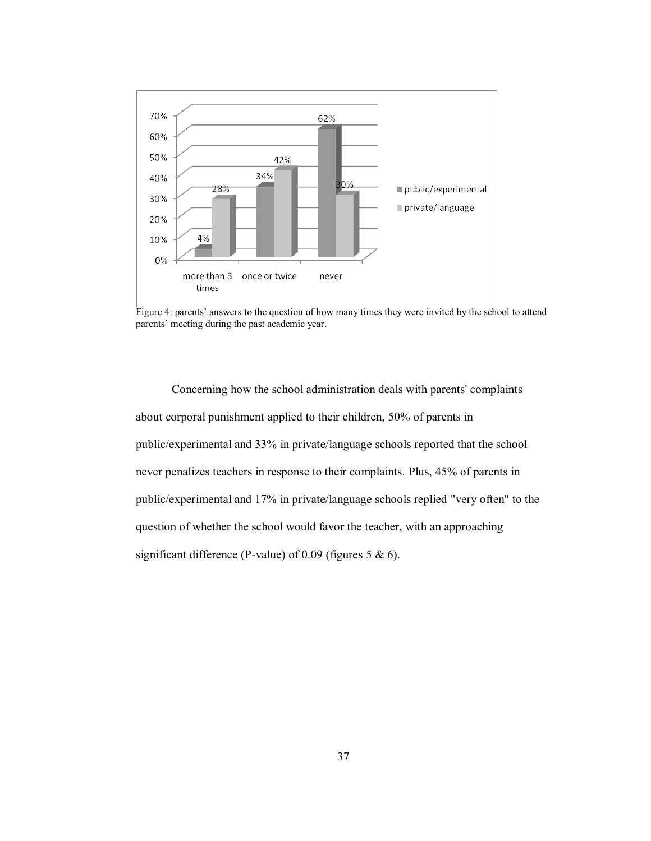

Figure 4: parents' answers to the question of how many times they were invited by the school to attend parents' meeting during the past academic year.

Concerning how the school administration deals with parents' complaints about corporal punishment applied to their children, 50% of parents in public/experimental and 33% in private/language schools reported that the school never penalizes teachers in response to their complaints. Plus, 45% of parents in public/experimental and 17% in private/language schools replied "very often" to the question of whether the school would favor the teacher, with an approaching significant difference (P-value) of 0.09 (figures 5 & 6).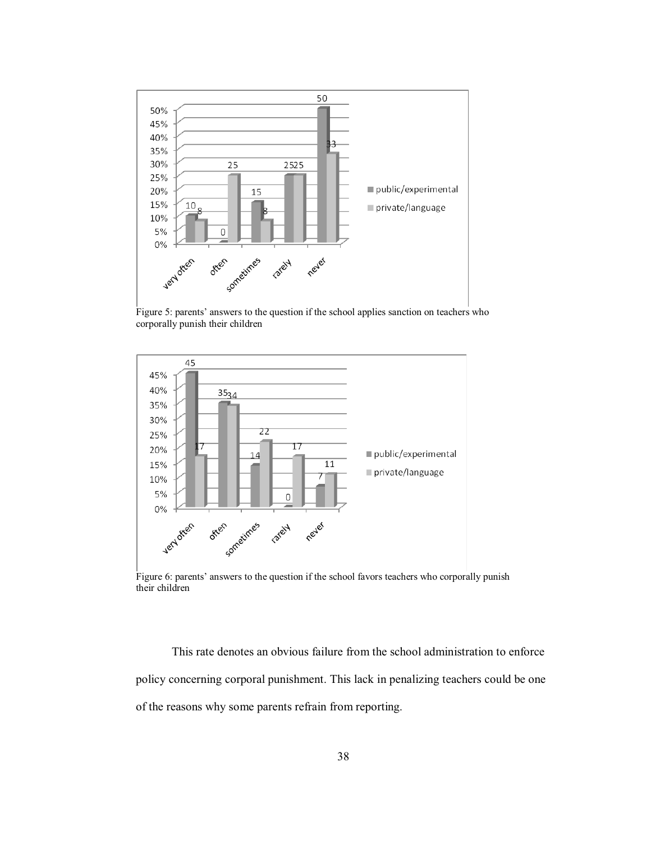

Figure 5: parents' answers to the question if the school applies sanction on teachers who corporally punish their children



Figure 6: parents' answers to the question if the school favors teachers who corporally punish their children

This rate denotes an obvious failure from the school administration to enforce policy concerning corporal punishment. This lack in penalizing teachers could be one of the reasons why some parents refrain from reporting.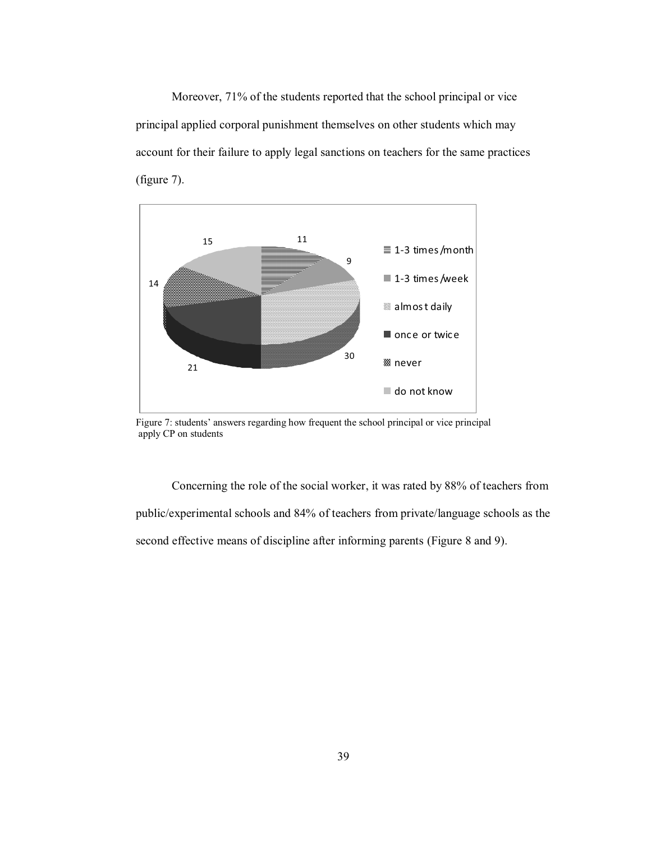Moreover, 71% of the students reported that the school principal or vice principal applied corporal punishment themselves on other students which may account for their failure to apply legal sanctions on teachers for the same practices (figure 7).



Figure 7: students' answers regarding how frequent the school principal or vice principal apply CP on students

Concerning the role of the social worker, it was rated by 88% of teachers from public/experimental schools and 84% of teachers from private/language schools as the second effective means of discipline after informing parents (Figure 8 and 9).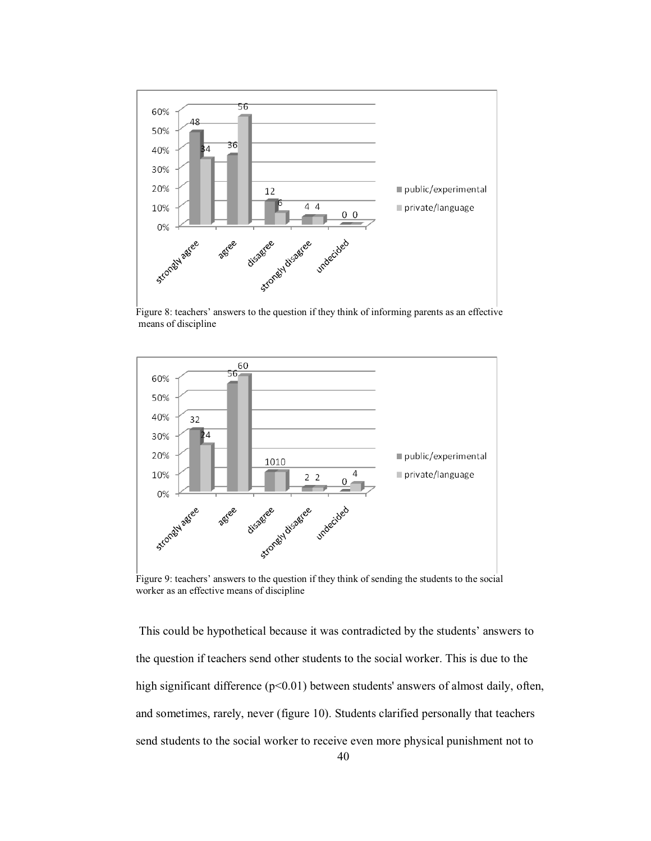

Figure 8: teachers' answers to the question if they think of informing parents as an effective means of discipline



Figure 9: teachers' answers to the question if they think of sending the students to the social worker as an effective means of discipline

This could be hypothetical because it was contradicted by the students' answers to the question if teachers send other students to the social worker. This is due to the high significant difference (p<0.01) between students' answers of almost daily, often, and sometimes, rarely, never (figure 10). Students clarified personally that teachers send students to the social worker to receive even more physical punishment not to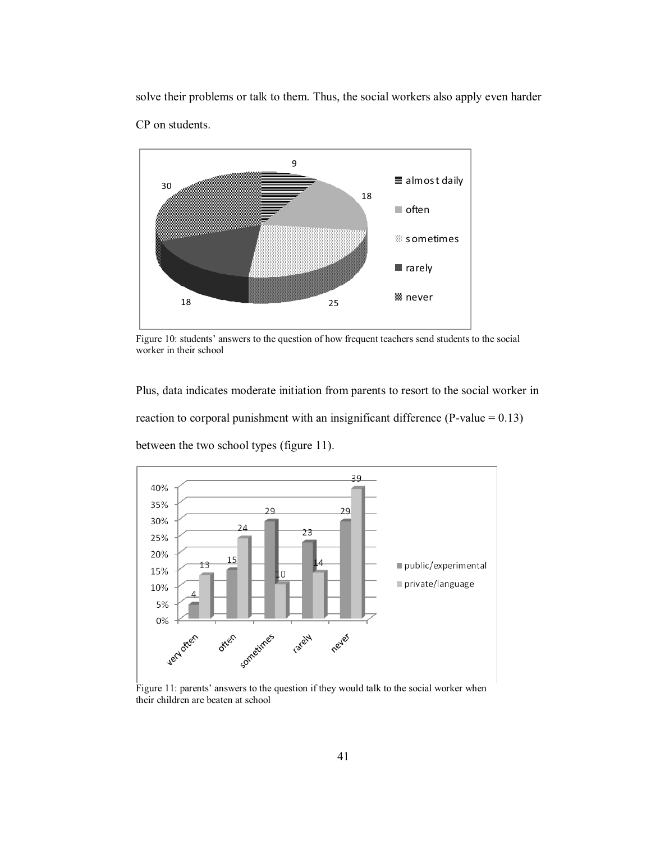solve their problems or talk to them. Thus, the social workers also apply even harder CP on students.



Figure 10: students' answers to the question of how frequent teachers send students to the social worker in their school

Plus, data indicates moderate initiation from parents to resort to the social worker in reaction to corporal punishment with an insignificant difference (P-value  $= 0.13$ ) between the two school types (figure 11).



Figure 11: parents' answers to the question if they would talk to the social worker when their children are beaten at school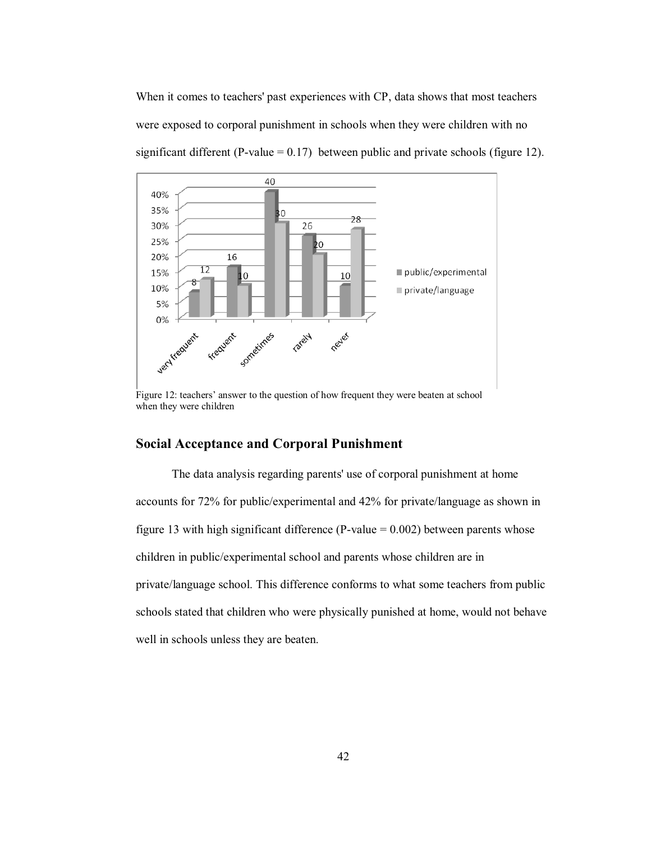When it comes to teachers' past experiences with CP, data shows that most teachers were exposed to corporal punishment in schools when they were children with no significant different (P-value =  $0.17$ ) between public and private schools (figure 12).



Figure 12: teachers' answer to the question of how frequent they were beaten at school when they were children

### **Social Acceptance and Corporal Punishment**

The data analysis regarding parents' use of corporal punishment at home accounts for 72% for public/experimental and 42% for private/language as shown in figure 13 with high significant difference (P-value  $= 0.002$ ) between parents whose children in public/experimental school and parents whose children are in private/language school. This difference conforms to what some teachers from public schools stated that children who were physically punished at home, would not behave well in schools unless they are beaten.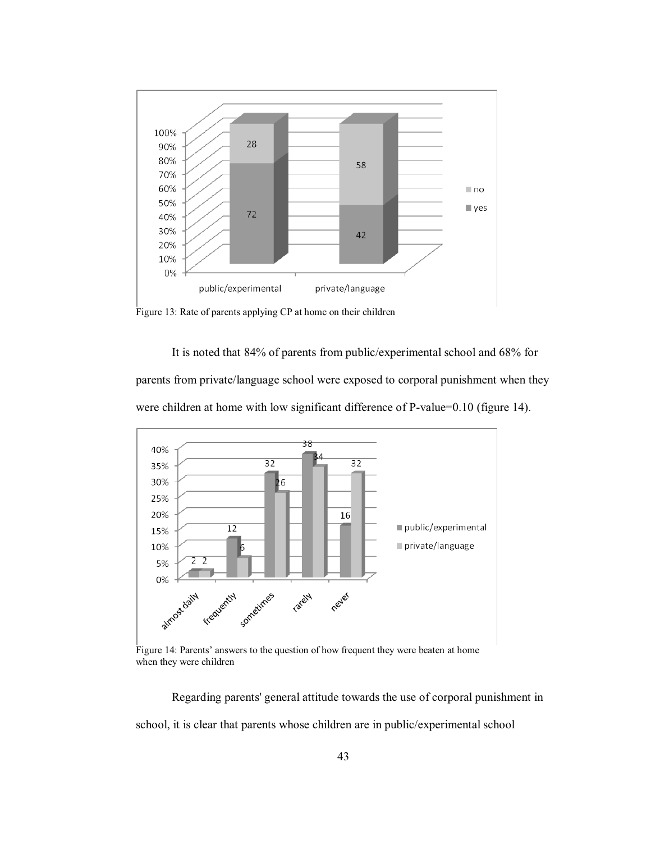

Figure 13: Rate of parents applying CP at home on their children

It is noted that 84% of parents from public/experimental school and 68% for parents from private/language school were exposed to corporal punishment when they were children at home with low significant difference of P-value=0.10 (figure 14).



Figure 14: Parents' answers to the question of how frequent they were beaten at home when they were children

Regarding parents' general attitude towards the use of corporal punishment in school, it is clear that parents whose children are in public/experimental school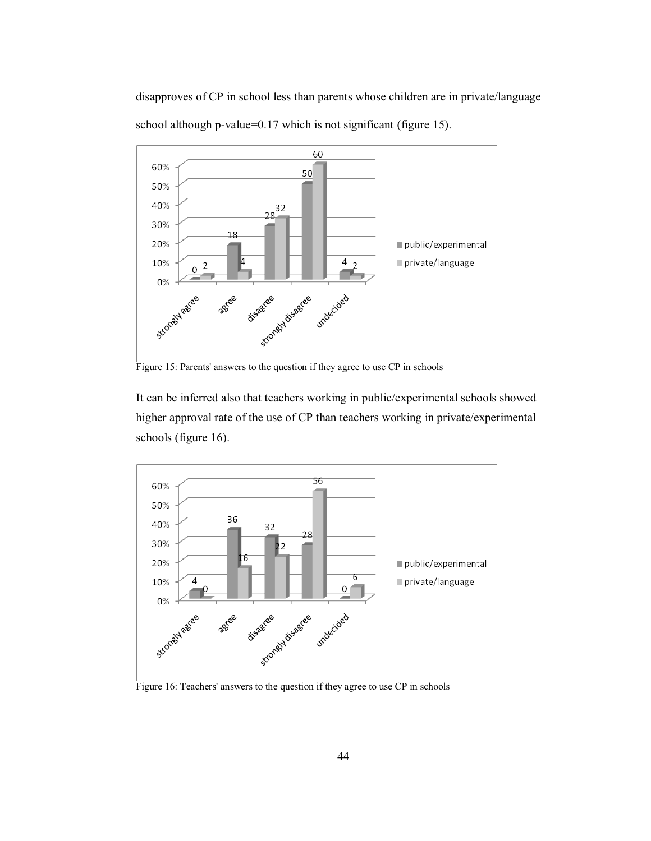disapproves of CP in school less than parents whose children are in private/language school although p-value=0.17 which is not significant (figure 15).



Figure 15: Parents' answers to the question if they agree to use CP in schools

It can be inferred also that teachers working in public/experimental schools showed higher approval rate of the use of CP than teachers working in private/experimental schools (figure 16).



Figure 16: Teachers' answers to the question if they agree to use CP in schools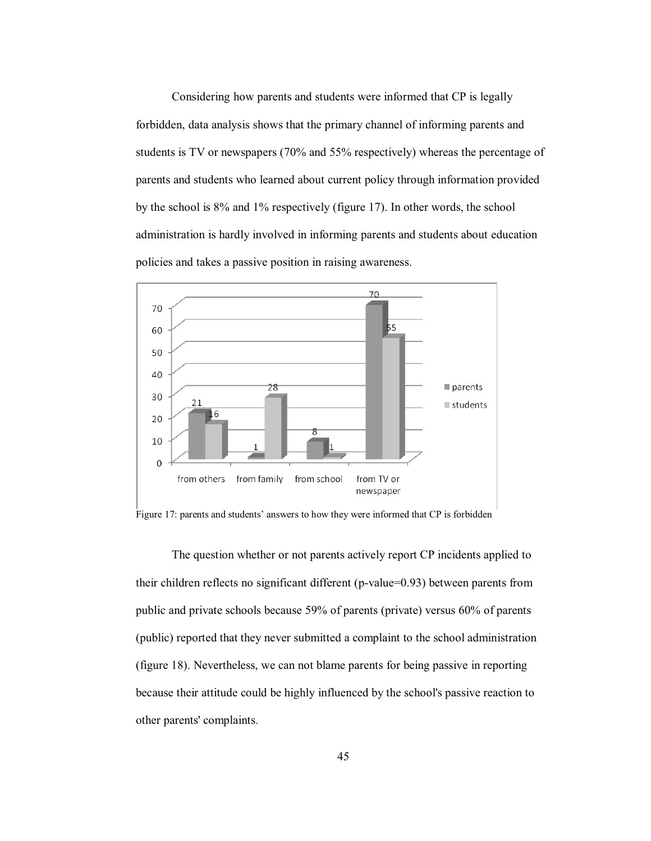Considering how parents and students were informed that CP is legally forbidden, data analysis shows that the primary channel of informing parents and students is TV or newspapers (70% and 55% respectively) whereas the percentage of parents and students who learned about current policy through information provided by the school is 8% and 1% respectively (figure 17). In other words, the school administration is hardly involved in informing parents and students about education policies and takes a passive position in raising awareness.



Figure 17: parents and students' answers to how they were informed that CP is forbidden

The question whether or not parents actively report CP incidents applied to their children reflects no significant different (p-value=0.93) between parents from public and private schools because 59% of parents (private) versus 60% of parents (public) reported that they never submitted a complaint to the school administration (figure 18). Nevertheless, we can not blame parents for being passive in reporting because their attitude could be highly influenced by the school's passive reaction to other parents' complaints.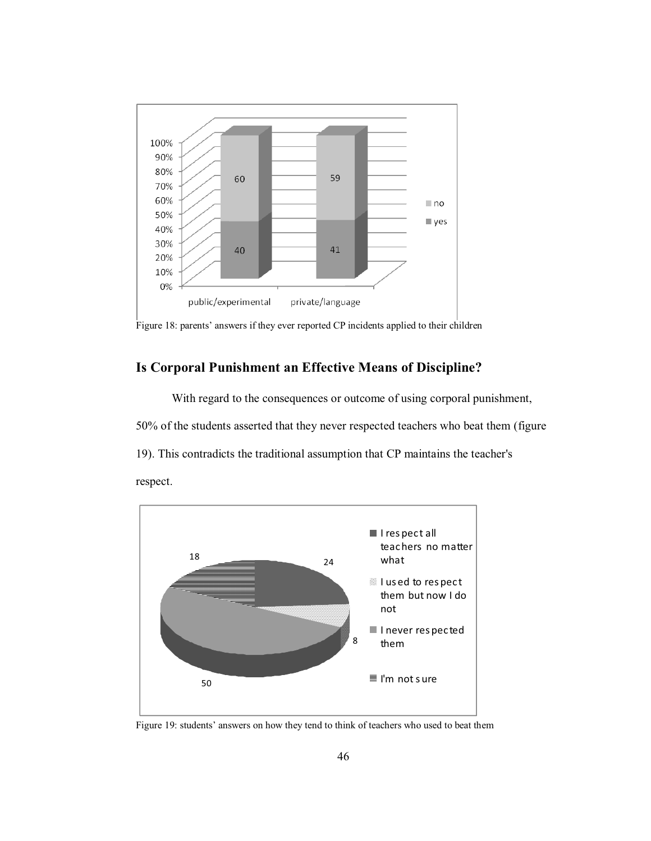

Figure 18: parents' answers if they ever reported CP incidents applied to their children

### **Is Corporal Punishment an Effective Means of Discipline?**

With regard to the consequences or outcome of using corporal punishment, 50% of the students asserted that they never respected teachers who beat them (figure 19). This contradicts the traditional assumption that CP maintains the teacher's respect.



Figure 19: students' answers on how they tend to think of teachers who used to beat them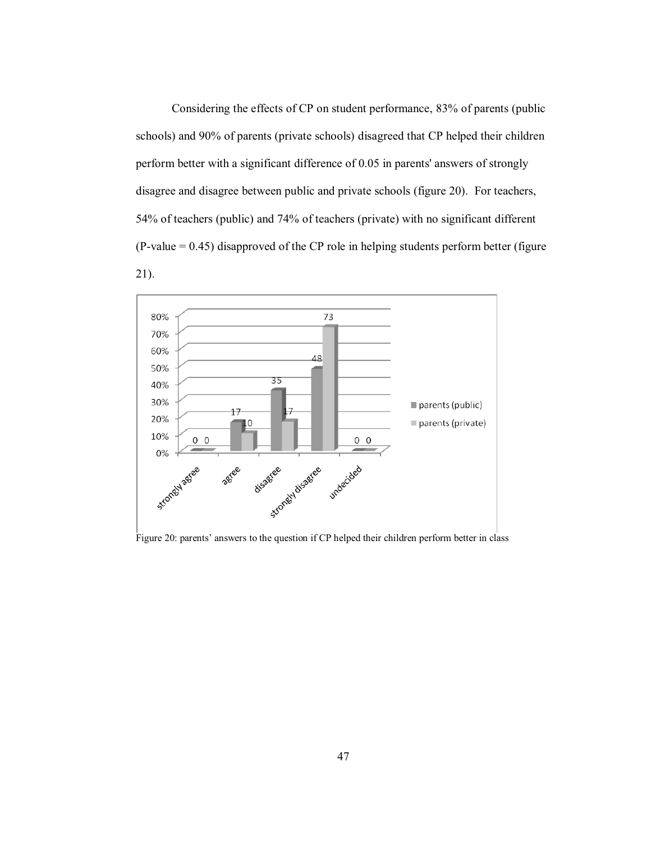Considering the effects of CP on student performance, 83% of parents (public schools) and 90% of parents (private schools) disagreed that CP helped their children perform better with a significant difference of 0.05 in parents' answers of strongly disagree and disagree between public and private schools (figure 20). For teachers, 54% of teachers (public) and 74% of teachers (private) with no significant different  $(P-value = 0.45)$  disapproved of the CP role in helping students perform better (figure 21).



Figure 20: parents' answers to the question if  $CP$  helped their children perform better in class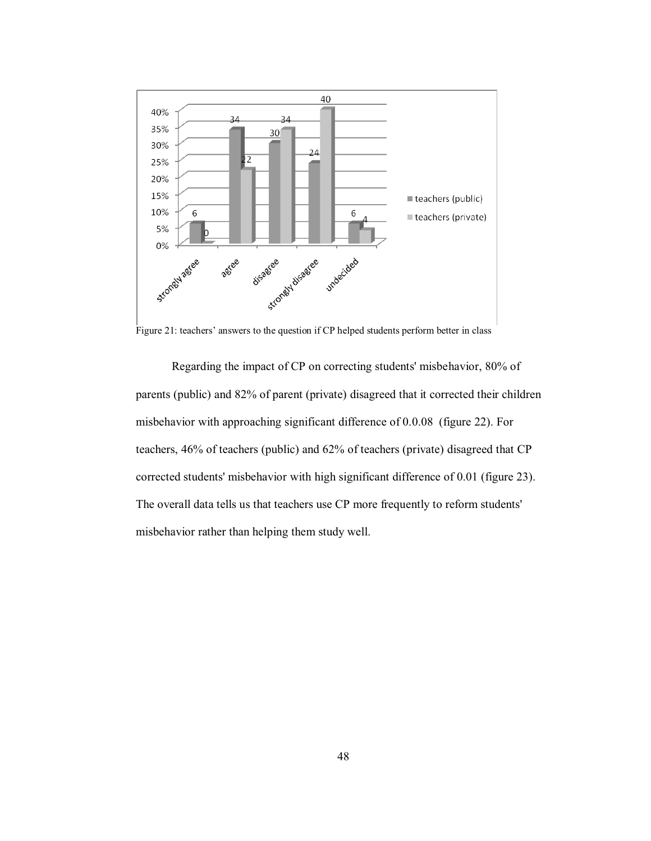

Figure 21: teachers' answers to the question if CP helped students perform better in class

Regarding the impact of CP on correcting students' misbehavior, 80% of parents (public) and 82% of parent (private) disagreed that it corrected their children misbehavior with approaching significant difference of 0.0.08 (figure 22). For teachers, 46% of teachers (public) and 62% of teachers (private) disagreed that CP corrected students' misbehavior with high significant difference of 0.01 (figure 23). The overall data tells us that teachers use CP more frequently to reform students' misbehavior rather than helping them study well.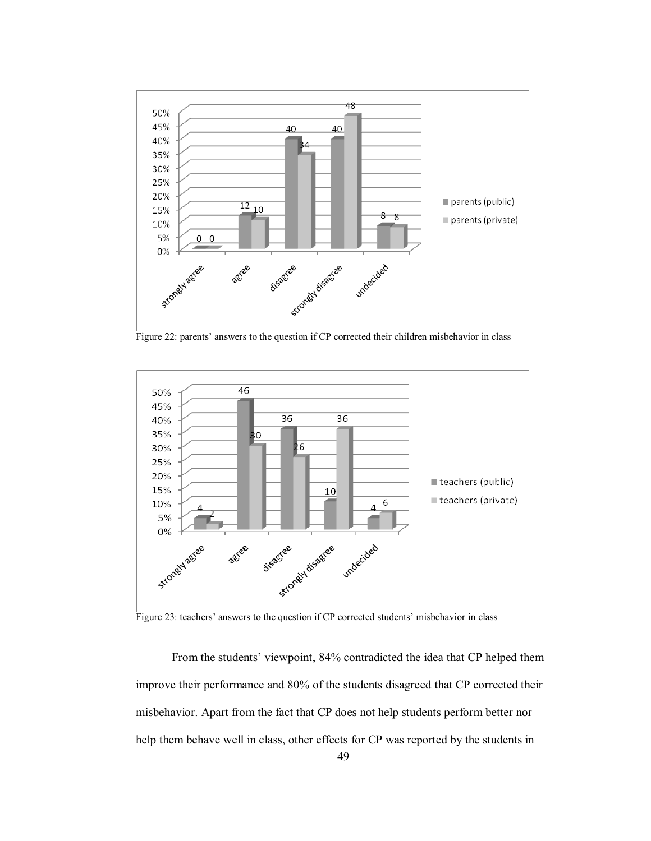

Figure 22: parents' answers to the question if CP corrected their children misbehavior in class



Figure 23: teachers' answers to the question if CP corrected students' misbehavior in class

From the students' viewpoint, 84% contradicted the idea that CP helped them improve their performance and 80% of the students disagreed that CP corrected their misbehavior. Apart from the fact that CP does not help students perform better nor help them behave well in class, other effects for CP was reported by the students in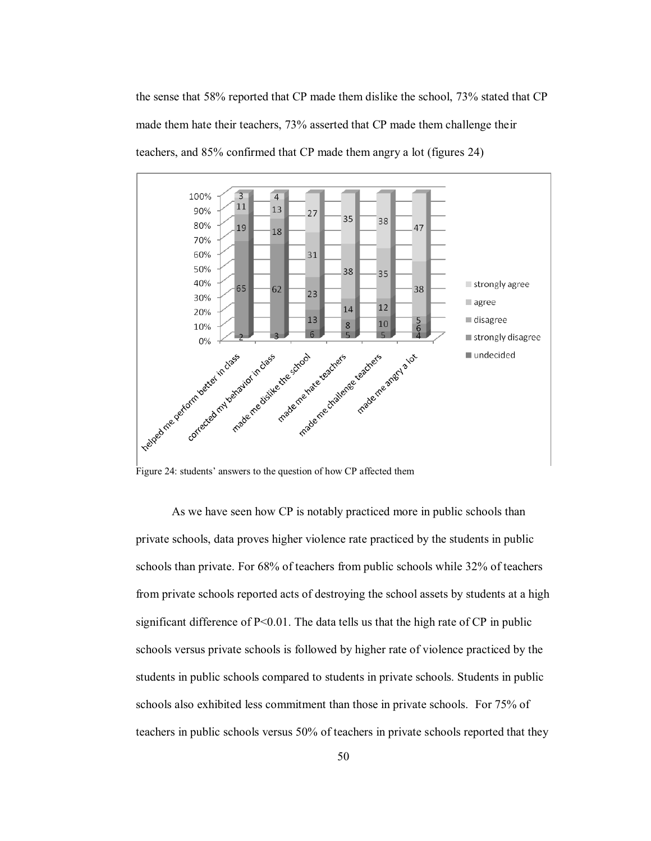the sense that 58% reported that CP made them dislike the school, 73% stated that CP made them hate their teachers, 73% asserted that CP made them challenge their teachers, and 85% confirmed that CP made them angry a lot (figures 24)



Figure 24: students' answers to the question of how CP affected them

As we have seen how CP is notably practiced more in public schools than private schools, data proves higher violence rate practiced by the students in public schools than private. For 68% of teachers from public schools while 32% of teachers from private schools reported acts of destroying the school assets by students at a high significant difference of  $P<0.01$ . The data tells us that the high rate of CP in public schools versus private schools is followed by higher rate of violence practiced by the students in public schools compared to students in private schools. Students in public schools also exhibited less commitment than those in private schools. For 75% of teachers in public schools versus 50% of teachers in private schools reported that they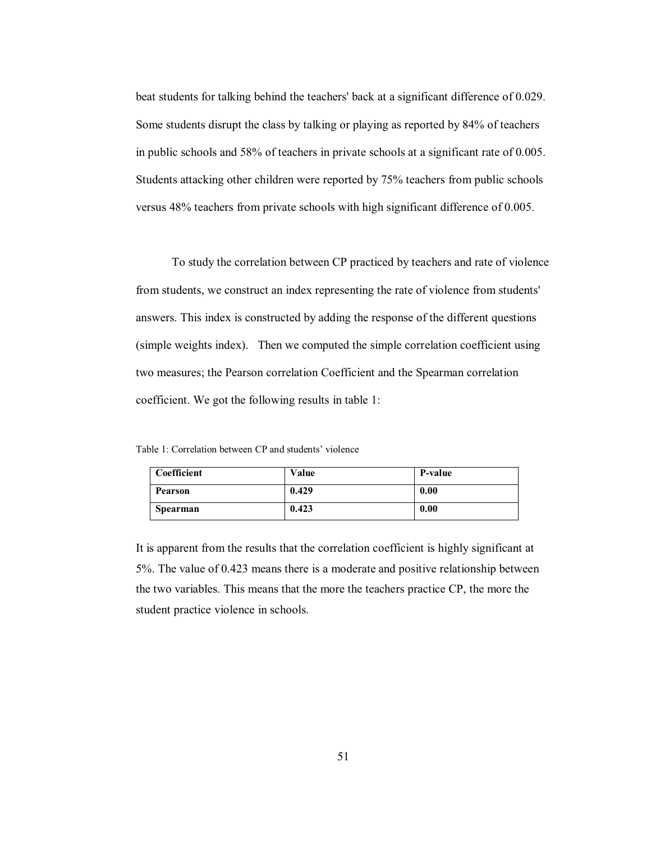beat students for talking behind the teachers' back at a significant difference of 0.029. Some students disrupt the class by talking or playing as reported by 84% of teachers in public schools and 58% of teachers in private schools at a significant rate of 0.005. Students attacking other children were reported by 75% teachers from public schools versus 48% teachers from private schools with high significant difference of 0.005.

To study the correlation between CP practiced by teachers and rate of violence from students, we construct an index representing the rate of violence from students' answers. This index is constructed by adding the response of the different questions (simple weights index). Then we computed the simple correlation coefficient using two measures; the Pearson correlation Coefficient and the Spearman correlation coefficient. We got the following results in table 1:

Table 1: Correlation between CP and students' violence

| Coefficient     | Value | <b>P-value</b> |
|-----------------|-------|----------------|
| <b>Pearson</b>  | 0.429 | 0.00           |
| <b>Spearman</b> | 0.423 | 0.00           |

It is apparent from the results that the correlation coefficient is highly significant at 5%. The value of 0.423 means there is a moderate and positive relationship between the two variables. This means that the more the teachers practice CP, the more the student practice violence in schools.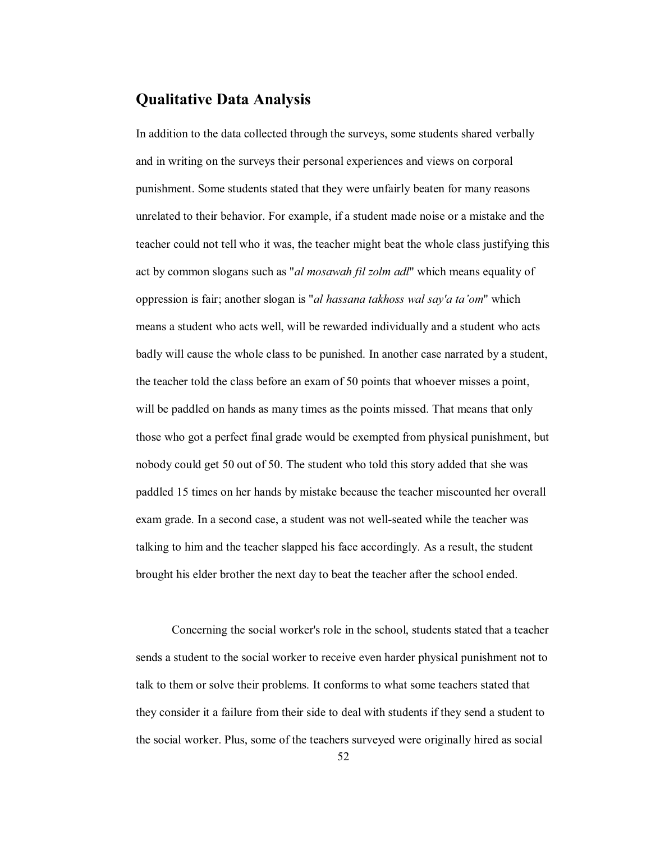# **Qualitative Data Analysis**

In addition to the data collected through the surveys, some students shared verbally and in writing on the surveys their personal experiences and views on corporal punishment. Some students stated that they were unfairly beaten for many reasons unrelated to their behavior. For example, if a student made noise or a mistake and the teacher could not tell who it was, the teacher might beat the whole class justifying this act by common slogans such as "*al mosawah fil zolm adl*" which means equality of oppression is fair; another slogan is "*al hassana takhoss wal say'a ta'om*" which means a student who acts well, will be rewarded individually and a student who acts badly will cause the whole class to be punished. In another case narrated by a student, the teacher told the class before an exam of 50 points that whoever misses a point, will be paddled on hands as many times as the points missed. That means that only those who got a perfect final grade would be exempted from physical punishment, but nobody could get 50 out of 50. The student who told this story added that she was paddled 15 times on her hands by mistake because the teacher miscounted her overall exam grade. In a second case, a student was not well-seated while the teacher was talking to him and the teacher slapped his face accordingly. As a result, the student brought his elder brother the next day to beat the teacher after the school ended.

Concerning the social worker's role in the school, students stated that a teacher sends a student to the social worker to receive even harder physical punishment not to talk to them or solve their problems. It conforms to what some teachers stated that they consider it a failure from their side to deal with students if they send a student to the social worker. Plus, some of the teachers surveyed were originally hired as social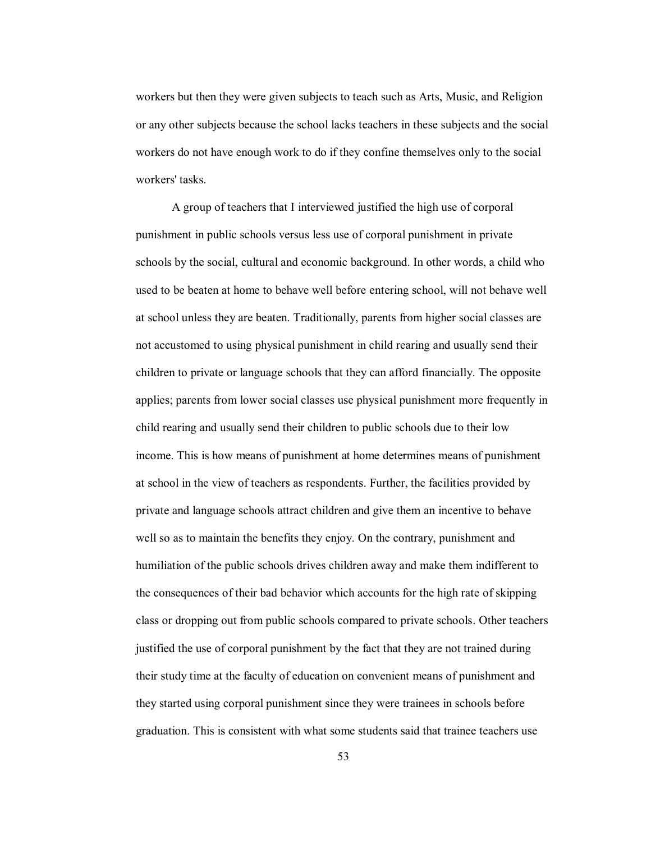workers but then they were given subjects to teach such as Arts, Music, and Religion or any other subjects because the school lacks teachers in these subjects and the social workers do not have enough work to do if they confine themselves only to the social workers' tasks.

A group of teachers that I interviewed justified the high use of corporal punishment in public schools versus less use of corporal punishment in private schools by the social, cultural and economic background. In other words, a child who used to be beaten at home to behave well before entering school, will not behave well at school unless they are beaten. Traditionally, parents from higher social classes are not accustomed to using physical punishment in child rearing and usually send their children to private or language schools that they can afford financially. The opposite applies; parents from lower social classes use physical punishment more frequently in child rearing and usually send their children to public schools due to their low income. This is how means of punishment at home determines means of punishment at school in the view of teachers as respondents. Further, the facilities provided by private and language schools attract children and give them an incentive to behave well so as to maintain the benefits they enjoy. On the contrary, punishment and humiliation of the public schools drives children away and make them indifferent to the consequences of their bad behavior which accounts for the high rate of skipping class or dropping out from public schools compared to private schools. Other teachers justified the use of corporal punishment by the fact that they are not trained during their study time at the faculty of education on convenient means of punishment and they started using corporal punishment since they were trainees in schools before graduation. This is consistent with what some students said that trainee teachers use

53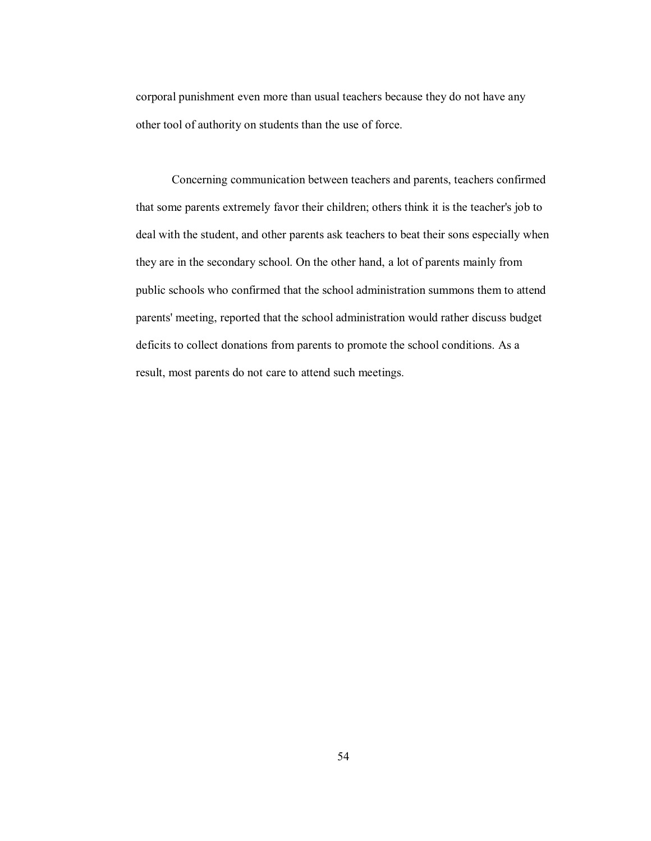corporal punishment even more than usual teachers because they do not have any other tool of authority on students than the use of force.

 Concerning communication between teachers and parents, teachers confirmed that some parents extremely favor their children; others think it is the teacher's job to deal with the student, and other parents ask teachers to beat their sons especially when they are in the secondary school. On the other hand, a lot of parents mainly from public schools who confirmed that the school administration summons them to attend parents' meeting, reported that the school administration would rather discuss budget deficits to collect donations from parents to promote the school conditions. As a result, most parents do not care to attend such meetings.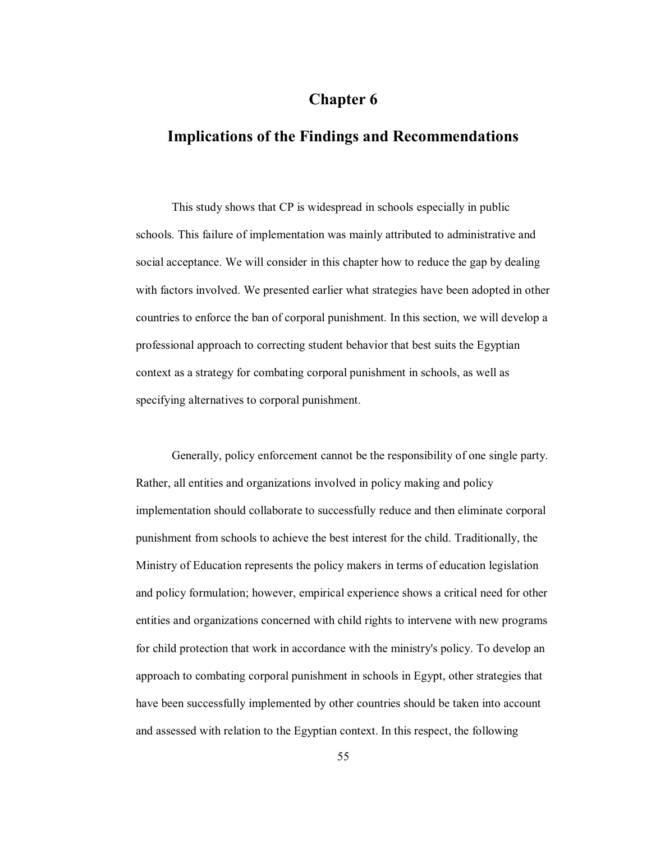# **Chapter 6**

# **Implications of the Findings and Recommendations**

This study shows that CP is widespread in schools especially in public schools. This failure of implementation was mainly attributed to administrative and social acceptance. We will consider in this chapter how to reduce the gap by dealing with factors involved. We presented earlier what strategies have been adopted in other countries to enforce the ban of corporal punishment. In this section, we will develop a professional approach to correcting student behavior that best suits the Egyptian context as a strategy for combating corporal punishment in schools, as well as specifying alternatives to corporal punishment.

Generally, policy enforcement cannot be the responsibility of one single party. Rather, all entities and organizations involved in policy making and policy implementation should collaborate to successfully reduce and then eliminate corporal punishment from schools to achieve the best interest for the child. Traditionally, the Ministry of Education represents the policy makers in terms of education legislation and policy formulation; however, empirical experience shows a critical need for other entities and organizations concerned with child rights to intervene with new programs for child protection that work in accordance with the ministry's policy. To develop an approach to combating corporal punishment in schools in Egypt, other strategies that have been successfully implemented by other countries should be taken into account and assessed with relation to the Egyptian context. In this respect, the following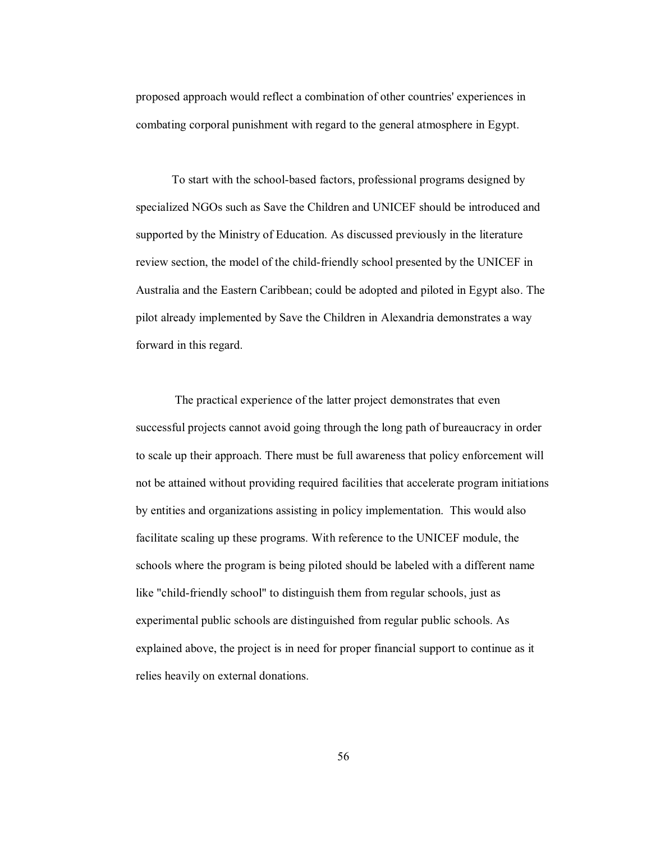proposed approach would reflect a combination of other countries' experiences in combating corporal punishment with regard to the general atmosphere in Egypt.

To start with the school-based factors, professional programs designed by specialized NGOs such as Save the Children and UNICEF should be introduced and supported by the Ministry of Education. As discussed previously in the literature review section, the model of the child-friendly school presented by the UNICEF in Australia and the Eastern Caribbean; could be adopted and piloted in Egypt also. The pilot already implemented by Save the Children in Alexandria demonstrates a way forward in this regard.

 The practical experience of the latter project demonstrates that even successful projects cannot avoid going through the long path of bureaucracy in order to scale up their approach. There must be full awareness that policy enforcement will not be attained without providing required facilities that accelerate program initiations by entities and organizations assisting in policy implementation. This would also facilitate scaling up these programs. With reference to the UNICEF module, the schools where the program is being piloted should be labeled with a different name like "child-friendly school" to distinguish them from regular schools, just as experimental public schools are distinguished from regular public schools. As explained above, the project is in need for proper financial support to continue as it relies heavily on external donations.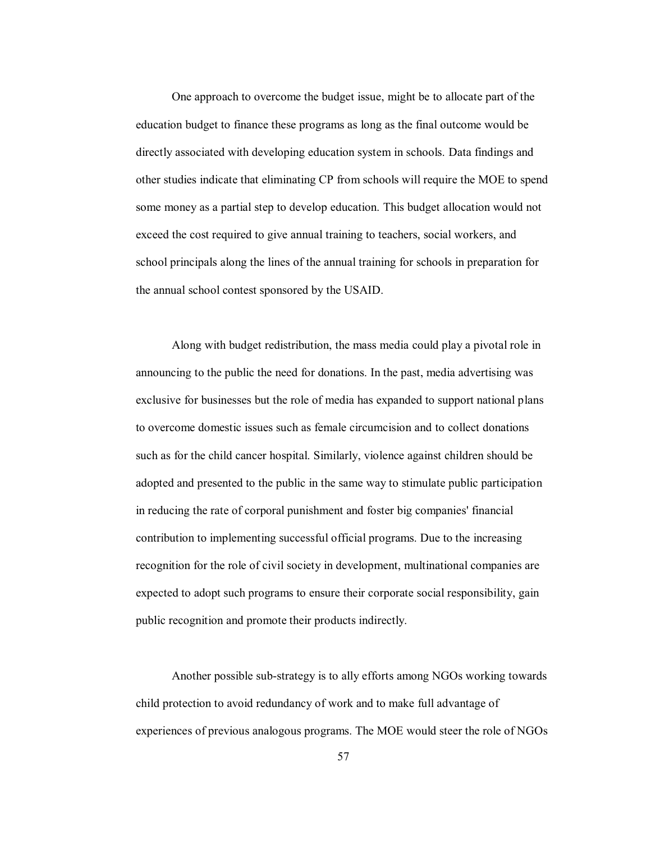One approach to overcome the budget issue, might be to allocate part of the education budget to finance these programs as long as the final outcome would be directly associated with developing education system in schools. Data findings and other studies indicate that eliminating CP from schools will require the MOE to spend some money as a partial step to develop education. This budget allocation would not exceed the cost required to give annual training to teachers, social workers, and school principals along the lines of the annual training for schools in preparation for the annual school contest sponsored by the USAID.

Along with budget redistribution, the mass media could play a pivotal role in announcing to the public the need for donations. In the past, media advertising was exclusive for businesses but the role of media has expanded to support national plans to overcome domestic issues such as female circumcision and to collect donations such as for the child cancer hospital. Similarly, violence against children should be adopted and presented to the public in the same way to stimulate public participation in reducing the rate of corporal punishment and foster big companies' financial contribution to implementing successful official programs. Due to the increasing recognition for the role of civil society in development, multinational companies are expected to adopt such programs to ensure their corporate social responsibility, gain public recognition and promote their products indirectly.

Another possible sub-strategy is to ally efforts among NGOs working towards child protection to avoid redundancy of work and to make full advantage of experiences of previous analogous programs. The MOE would steer the role of NGOs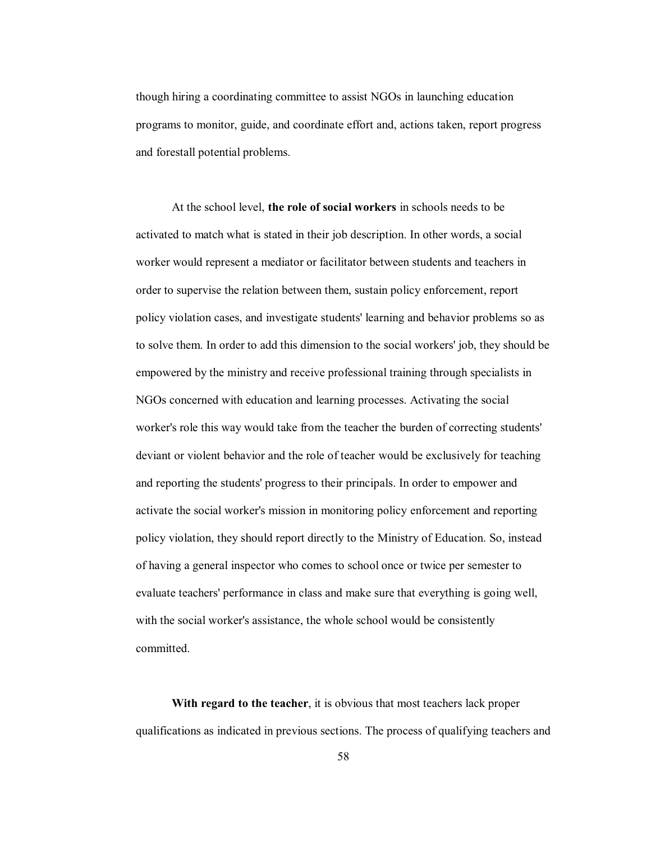though hiring a coordinating committee to assist NGOs in launching education programs to monitor, guide, and coordinate effort and, actions taken, report progress and forestall potential problems.

At the school level, **the role of social workers** in schools needs to be activated to match what is stated in their job description. In other words, a social worker would represent a mediator or facilitator between students and teachers in order to supervise the relation between them, sustain policy enforcement, report policy violation cases, and investigate students' learning and behavior problems so as to solve them. In order to add this dimension to the social workers' job, they should be empowered by the ministry and receive professional training through specialists in NGOs concerned with education and learning processes. Activating the social worker's role this way would take from the teacher the burden of correcting students' deviant or violent behavior and the role of teacher would be exclusively for teaching and reporting the students' progress to their principals. In order to empower and activate the social worker's mission in monitoring policy enforcement and reporting policy violation, they should report directly to the Ministry of Education. So, instead of having a general inspector who comes to school once or twice per semester to evaluate teachers' performance in class and make sure that everything is going well, with the social worker's assistance, the whole school would be consistently committed.

**With regard to the teacher**, it is obvious that most teachers lack proper qualifications as indicated in previous sections. The process of qualifying teachers and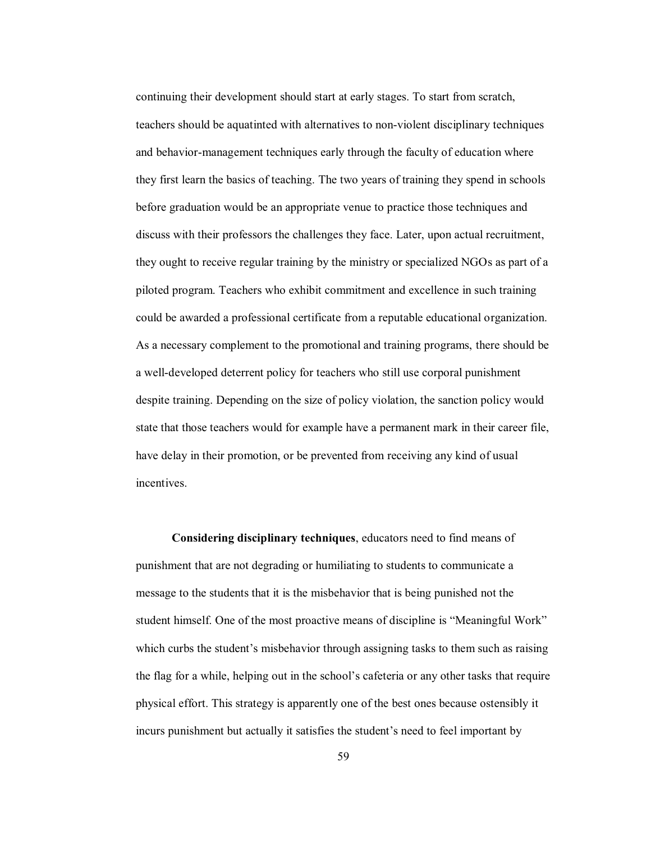continuing their development should start at early stages. To start from scratch, teachers should be aquatinted with alternatives to non-violent disciplinary techniques and behavior-management techniques early through the faculty of education where they first learn the basics of teaching. The two years of training they spend in schools before graduation would be an appropriate venue to practice those techniques and discuss with their professors the challenges they face. Later, upon actual recruitment, they ought to receive regular training by the ministry or specialized NGOs as part of a piloted program. Teachers who exhibit commitment and excellence in such training could be awarded a professional certificate from a reputable educational organization. As a necessary complement to the promotional and training programs, there should be a well-developed deterrent policy for teachers who still use corporal punishment despite training. Depending on the size of policy violation, the sanction policy would state that those teachers would for example have a permanent mark in their career file, have delay in their promotion, or be prevented from receiving any kind of usual incentives.

**Considering disciplinary techniques**, educators need to find means of punishment that are not degrading or humiliating to students to communicate a message to the students that it is the misbehavior that is being punished not the student himself. One of the most proactive means of discipline is "Meaningful Work" which curbs the student's misbehavior through assigning tasks to them such as raising the flag for a while, helping out in the school's cafeteria or any other tasks that require physical effort. This strategy is apparently one of the best ones because ostensibly it incurs punishment but actually it satisfies the student's need to feel important by

59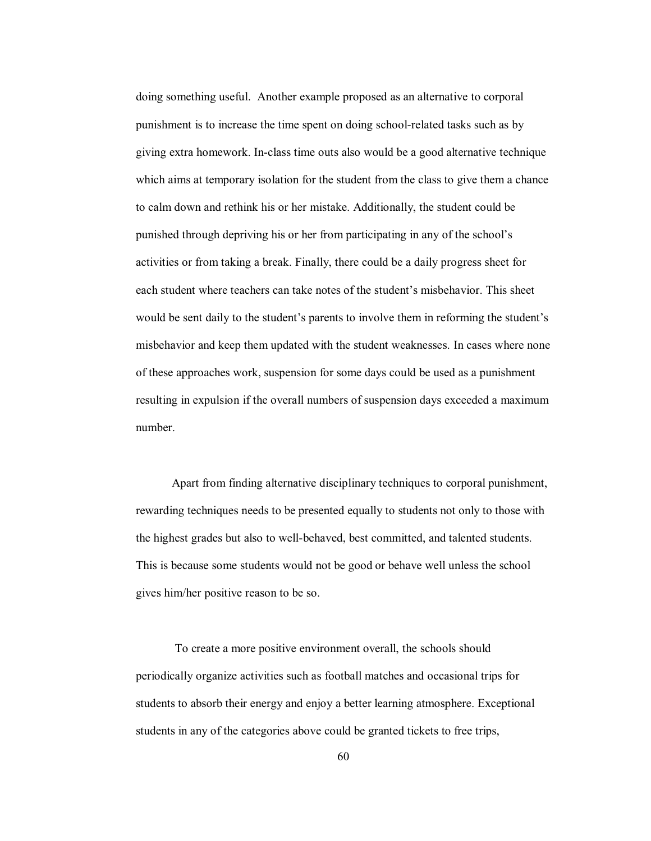doing something useful. Another example proposed as an alternative to corporal punishment is to increase the time spent on doing school-related tasks such as by giving extra homework. In-class time outs also would be a good alternative technique which aims at temporary isolation for the student from the class to give them a chance to calm down and rethink his or her mistake. Additionally, the student could be punished through depriving his or her from participating in any of the school's activities or from taking a break. Finally, there could be a daily progress sheet for each student where teachers can take notes of the student's misbehavior. This sheet would be sent daily to the student's parents to involve them in reforming the student's misbehavior and keep them updated with the student weaknesses. In cases where none of these approaches work, suspension for some days could be used as a punishment resulting in expulsion if the overall numbers of suspension days exceeded a maximum number.

Apart from finding alternative disciplinary techniques to corporal punishment, rewarding techniques needs to be presented equally to students not only to those with the highest grades but also to well-behaved, best committed, and talented students. This is because some students would not be good or behave well unless the school gives him/her positive reason to be so.

 To create a more positive environment overall, the schools should periodically organize activities such as football matches and occasional trips for students to absorb their energy and enjoy a better learning atmosphere. Exceptional students in any of the categories above could be granted tickets to free trips,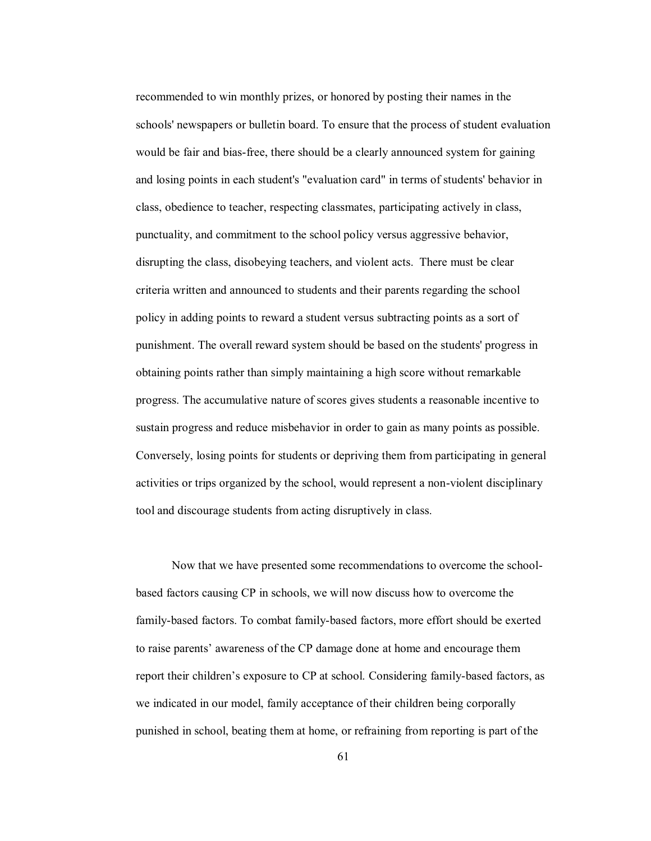recommended to win monthly prizes, or honored by posting their names in the schools' newspapers or bulletin board. To ensure that the process of student evaluation would be fair and bias-free, there should be a clearly announced system for gaining and losing points in each student's "evaluation card" in terms of students' behavior in class, obedience to teacher, respecting classmates, participating actively in class, punctuality, and commitment to the school policy versus aggressive behavior, disrupting the class, disobeying teachers, and violent acts. There must be clear criteria written and announced to students and their parents regarding the school policy in adding points to reward a student versus subtracting points as a sort of punishment. The overall reward system should be based on the students' progress in obtaining points rather than simply maintaining a high score without remarkable progress. The accumulative nature of scores gives students a reasonable incentive to sustain progress and reduce misbehavior in order to gain as many points as possible. Conversely, losing points for students or depriving them from participating in general activities or trips organized by the school, would represent a non-violent disciplinary tool and discourage students from acting disruptively in class.

Now that we have presented some recommendations to overcome the schoolbased factors causing CP in schools, we will now discuss how to overcome the family-based factors. To combat family-based factors, more effort should be exerted to raise parents' awareness of the CP damage done at home and encourage them report their children's exposure to CP at school. Considering family-based factors, as we indicated in our model, family acceptance of their children being corporally punished in school, beating them at home, or refraining from reporting is part of the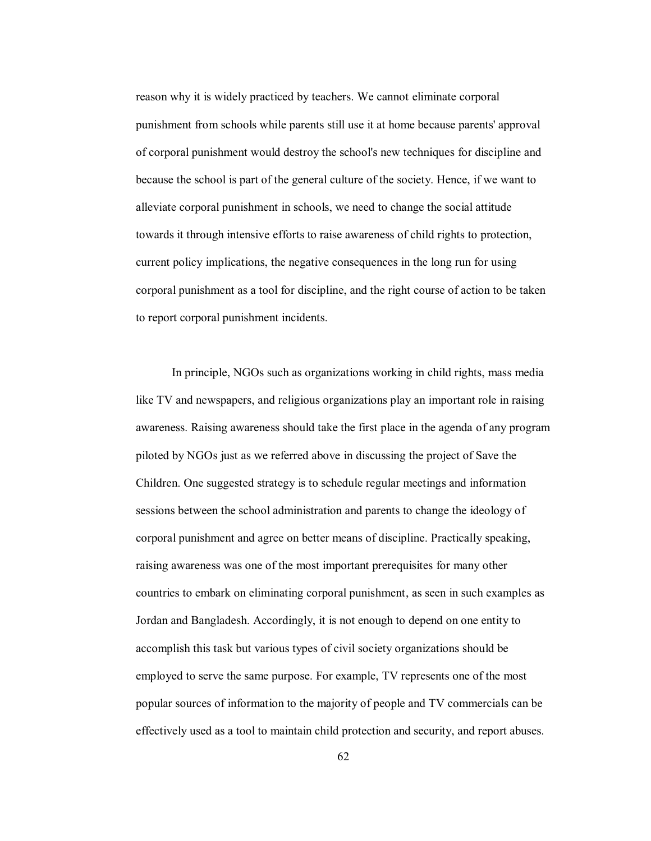reason why it is widely practiced by teachers. We cannot eliminate corporal punishment from schools while parents still use it at home because parents' approval of corporal punishment would destroy the school's new techniques for discipline and because the school is part of the general culture of the society. Hence, if we want to alleviate corporal punishment in schools, we need to change the social attitude towards it through intensive efforts to raise awareness of child rights to protection, current policy implications, the negative consequences in the long run for using corporal punishment as a tool for discipline, and the right course of action to be taken to report corporal punishment incidents.

In principle, NGOs such as organizations working in child rights, mass media like TV and newspapers, and religious organizations play an important role in raising awareness. Raising awareness should take the first place in the agenda of any program piloted by NGOs just as we referred above in discussing the project of Save the Children. One suggested strategy is to schedule regular meetings and information sessions between the school administration and parents to change the ideology of corporal punishment and agree on better means of discipline. Practically speaking, raising awareness was one of the most important prerequisites for many other countries to embark on eliminating corporal punishment, as seen in such examples as Jordan and Bangladesh. Accordingly, it is not enough to depend on one entity to accomplish this task but various types of civil society organizations should be employed to serve the same purpose. For example, TV represents one of the most popular sources of information to the majority of people and TV commercials can be effectively used as a tool to maintain child protection and security, and report abuses.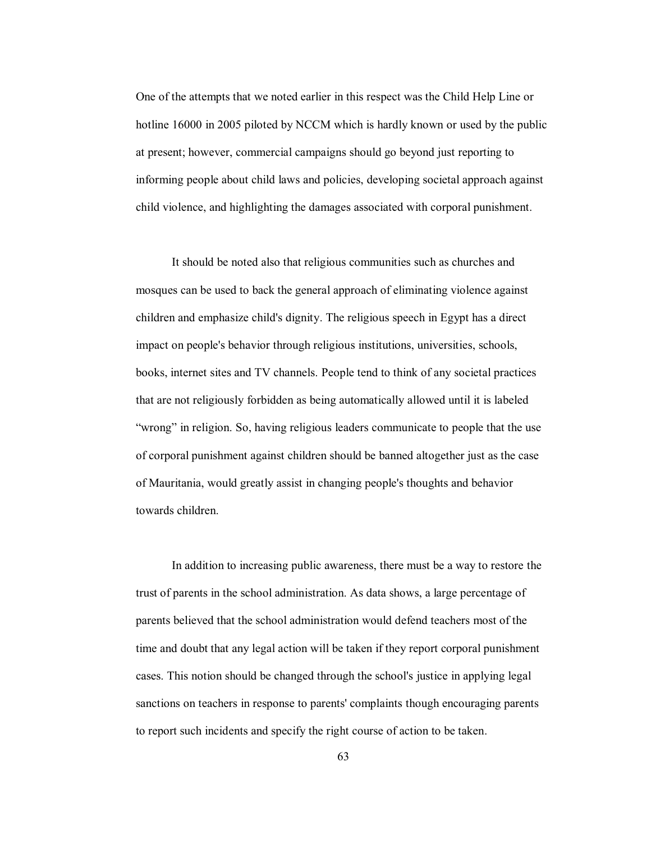One of the attempts that we noted earlier in this respect was the Child Help Line or hotline 16000 in 2005 piloted by NCCM which is hardly known or used by the public at present; however, commercial campaigns should go beyond just reporting to informing people about child laws and policies, developing societal approach against child violence, and highlighting the damages associated with corporal punishment.

It should be noted also that religious communities such as churches and mosques can be used to back the general approach of eliminating violence against children and emphasize child's dignity. The religious speech in Egypt has a direct impact on people's behavior through religious institutions, universities, schools, books, internet sites and TV channels. People tend to think of any societal practices that are not religiously forbidden as being automatically allowed until it is labeled "wrong" in religion. So, having religious leaders communicate to people that the use of corporal punishment against children should be banned altogether just as the case of Mauritania, would greatly assist in changing people's thoughts and behavior towards children.

In addition to increasing public awareness, there must be a way to restore the trust of parents in the school administration. As data shows, a large percentage of parents believed that the school administration would defend teachers most of the time and doubt that any legal action will be taken if they report corporal punishment cases. This notion should be changed through the school's justice in applying legal sanctions on teachers in response to parents' complaints though encouraging parents to report such incidents and specify the right course of action to be taken.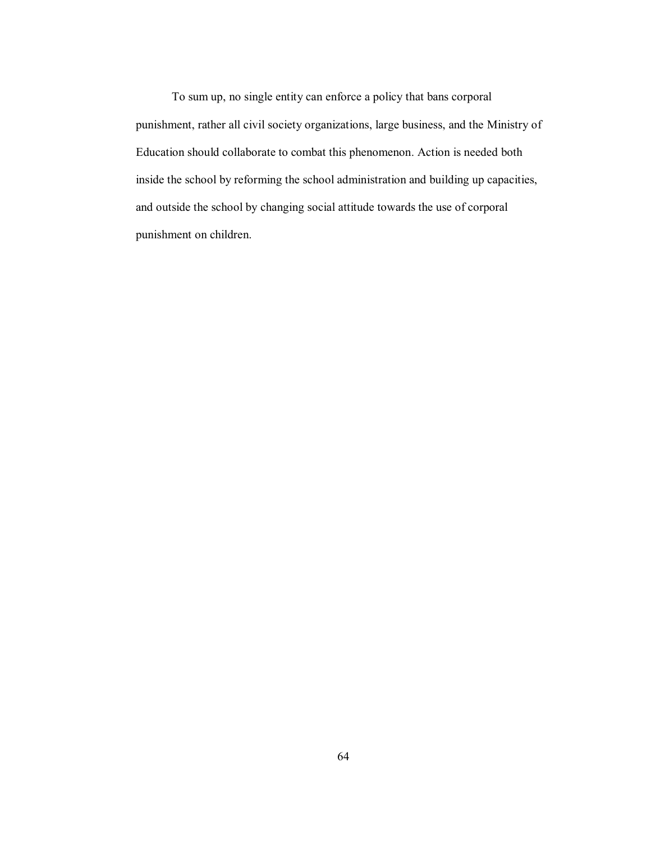To sum up, no single entity can enforce a policy that bans corporal punishment, rather all civil society organizations, large business, and the Ministry of Education should collaborate to combat this phenomenon. Action is needed both inside the school by reforming the school administration and building up capacities, and outside the school by changing social attitude towards the use of corporal punishment on children.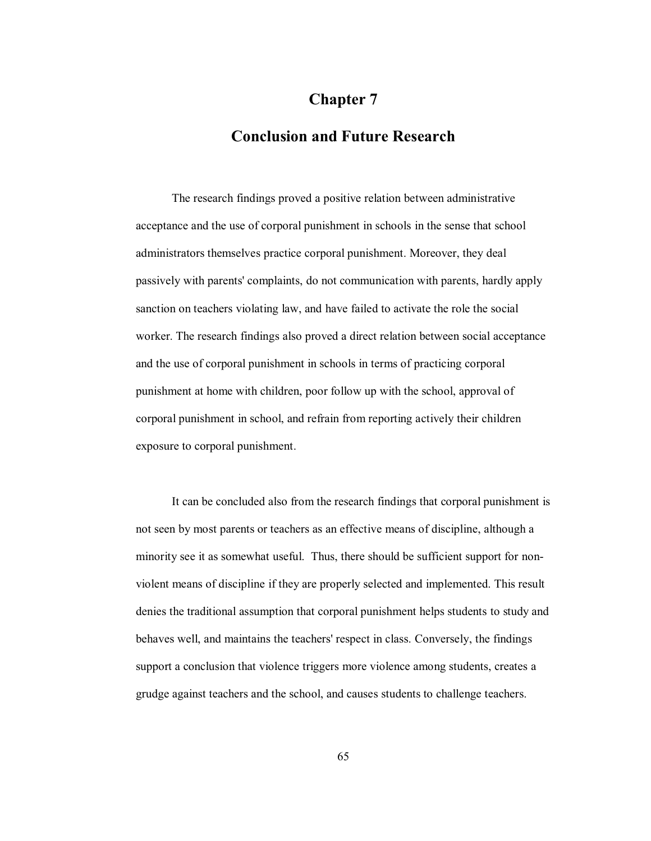# **Chapter 7**

## **Conclusion and Future Research**

The research findings proved a positive relation between administrative acceptance and the use of corporal punishment in schools in the sense that school administrators themselves practice corporal punishment. Moreover, they deal passively with parents' complaints, do not communication with parents, hardly apply sanction on teachers violating law, and have failed to activate the role the social worker. The research findings also proved a direct relation between social acceptance and the use of corporal punishment in schools in terms of practicing corporal punishment at home with children, poor follow up with the school, approval of corporal punishment in school, and refrain from reporting actively their children exposure to corporal punishment.

It can be concluded also from the research findings that corporal punishment is not seen by most parents or teachers as an effective means of discipline, although a minority see it as somewhat useful. Thus, there should be sufficient support for nonviolent means of discipline if they are properly selected and implemented. This result denies the traditional assumption that corporal punishment helps students to study and behaves well, and maintains the teachers' respect in class. Conversely, the findings support a conclusion that violence triggers more violence among students, creates a grudge against teachers and the school, and causes students to challenge teachers.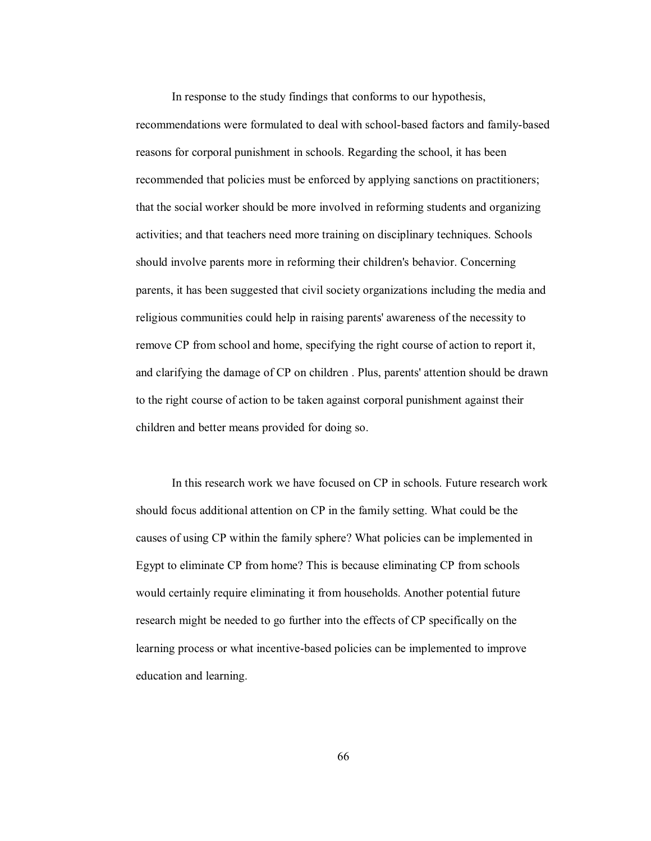In response to the study findings that conforms to our hypothesis, recommendations were formulated to deal with school-based factors and family-based reasons for corporal punishment in schools. Regarding the school, it has been recommended that policies must be enforced by applying sanctions on practitioners; that the social worker should be more involved in reforming students and organizing activities; and that teachers need more training on disciplinary techniques. Schools should involve parents more in reforming their children's behavior. Concerning parents, it has been suggested that civil society organizations including the media and religious communities could help in raising parents' awareness of the necessity to remove CP from school and home, specifying the right course of action to report it, and clarifying the damage of CP on children . Plus, parents' attention should be drawn to the right course of action to be taken against corporal punishment against their children and better means provided for doing so.

In this research work we have focused on CP in schools. Future research work should focus additional attention on CP in the family setting. What could be the causes of using CP within the family sphere? What policies can be implemented in Egypt to eliminate CP from home? This is because eliminating CP from schools would certainly require eliminating it from households. Another potential future research might be needed to go further into the effects of CP specifically on the learning process or what incentive-based policies can be implemented to improve education and learning.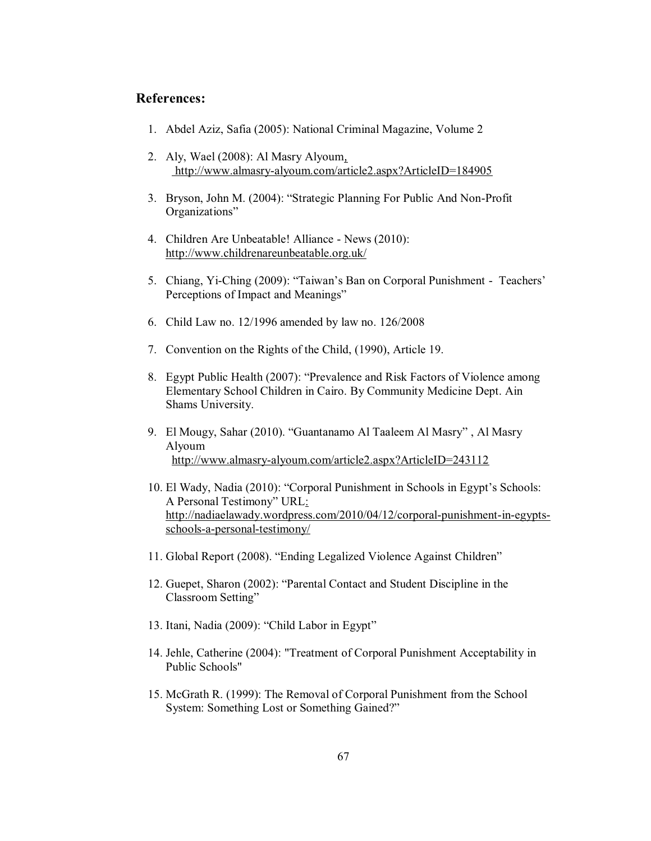#### **References:**

- 1. Abdel Aziz, Safia (2005): National Criminal Magazine, Volume 2
- 2. Aly, Wael (2008): Al Masry Alyoum, http://www.almasry-alyoum.com/article2.aspx?ArticleID=184905
- 3. Bryson, John M. (2004): "Strategic Planning For Public And Non-Profit Organizations"
- 4. Children Are Unbeatable! Alliance News (2010): http://www.childrenareunbeatable.org.uk/
- 5. Chiang, Yi-Ching (2009): "Taiwan's Ban on Corporal Punishment Teachers' Perceptions of Impact and Meanings"
- 6. Child Law no. 12/1996 amended by law no. 126/2008
- 7. Convention on the Rights of the Child, (1990), Article 19.
- 8. Egypt Public Health (2007): "Prevalence and Risk Factors of Violence among Elementary School Children in Cairo. By Community Medicine Dept. Ain Shams University.
- 9. El Mougy, Sahar (2010). "Guantanamo Al Taaleem Al Masry", Al Masry Alyoum http://www.almasry-alyoum.com/article2.aspx?ArticleID=243112
- 10. El Wady, Nadia (2010): "Corporal Punishment in Schools in Egypt's Schools: A Personal Testimony" URL: http://nadiaelawady.wordpress.com/2010/04/12/corporal-punishment-in-egyptsschools-a-personal-testimony/
- 11. Global Report (2008). "Ending Legalized Violence Against Children"
- 12. Guepet, Sharon (2002): "Parental Contact and Student Discipline in the Classroom Setting"
- 13. Itani, Nadia (2009): "Child Labor in Egypt"
- 14. Jehle, Catherine (2004): "Treatment of Corporal Punishment Acceptability in Public Schools"
- 15. McGrath R. (1999): The Removal of Corporal Punishment from the School System: Something Lost or Something Gained?"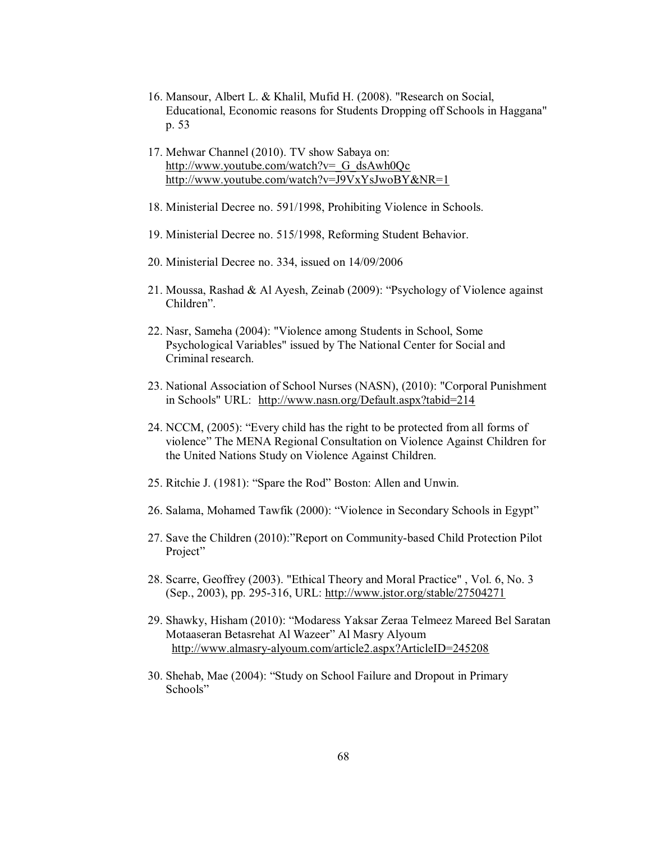- 16. Mansour, Albert L. & Khalil, Mufid H. (2008). "Research on Social, Educational, Economic reasons for Students Dropping off Schools in Haggana" p. 53
- 17. Mehwar Channel (2010). TV show Sabaya on: http://www.youtube.com/watch?v=\_G\_dsAwh0Qc http://www.youtube.com/watch?v=J9VxYsJwoBY&NR=1
- 18. Ministerial Decree no. 591/1998, Prohibiting Violence in Schools.
- 19. Ministerial Decree no. 515/1998, Reforming Student Behavior.
- 20. Ministerial Decree no. 334, issued on 14/09/2006
- 21. Moussa, Rashad & Al Ayesh, Zeinab (2009): "Psychology of Violence against Children".
- 22. Nasr, Sameha (2004): "Violence among Students in School, Some Psychological Variables" issued by The National Center for Social and Criminal research.
- 23. National Association of School Nurses (NASN), (2010): "Corporal Punishment in Schools" URL: http://www.nasn.org/Default.aspx?tabid=214
- 24. NCCM, (2005): "Every child has the right to be protected from all forms of violence" The MENA Regional Consultation on Violence Against Children for the United Nations Study on Violence Against Children.
- 25. Ritchie J. (1981): "Spare the Rod" Boston: Allen and Unwin.
- 26. Salama, Mohamed Tawfik (2000): "Violence in Secondary Schools in Egypt"
- 27. Save the Children (2010): "Report on Community-based Child Protection Pilot Project"
- 28. Scarre, Geoffrey (2003). "Ethical Theory and Moral Practice" , Vol. 6, No. 3 (Sep., 2003), pp. 295-316, URL: http://www.jstor.org/stable/27504271
- 29. Shawky, Hisham (2010): "Modaress Yaksar Zeraa Telmeez Mareed Bel Saratan Motaaseran Betasrehat Al Wazeer" Al Masry Alyoum http://www.almasry-alyoum.com/article2.aspx?ArticleID=245208
- 30. Shehab, Mae (2004): "Study on School Failure and Dropout in Primary Schools"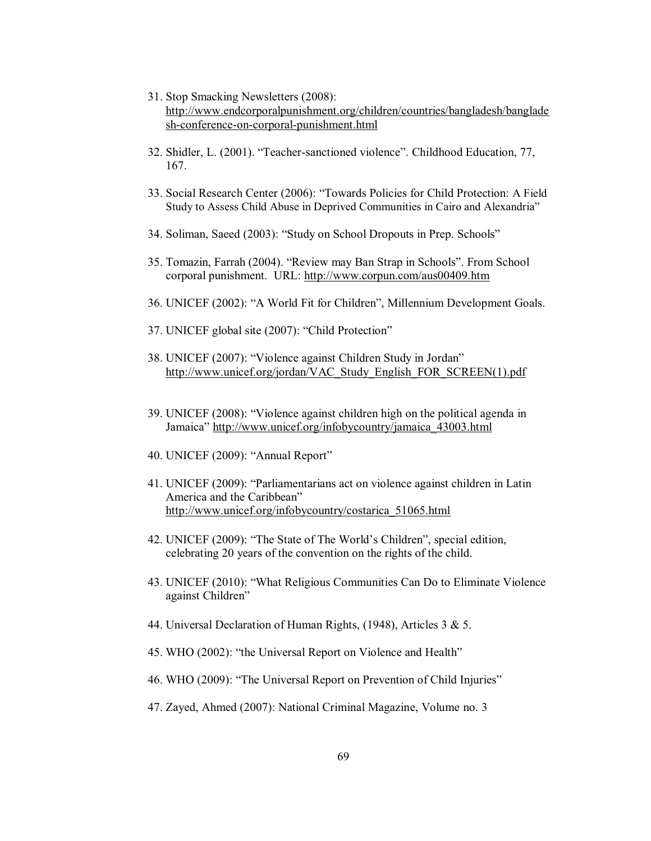- 31. Stop Smacking Newsletters (2008): http://www.endcorporalpunishment.org/children/countries/bangladesh/banglade sh-conference-on-corporal-punishment.html
- 32. Shidler, L. (2001). "Teacher-sanctioned violence". Childhood Education, 77, 167.
- 33. Social Research Center (2006): "Towards Policies for Child Protection: A Field Study to Assess Child Abuse in Deprived Communities in Cairo and Alexandria"
- 34. Soliman, Saeed (2003): "Study on School Dropouts in Prep. Schools"
- 35. Tomazin, Farrah (2004). "Review may Ban Strap in Schools". From School corporal punishment. URL: http://www.corpun.com/aus00409.htm
- 36. UNICEF (2002): "A World Fit for Children", Millennium Development Goals.
- 37. UNICEF global site (2007): "Child Protection"
- 38. UNICEF (2007): "Violence against Children Study in Jordan" http://www.unicef.org/jordan/VAC\_Study\_English\_FOR\_SCREEN(1).pdf
- 39. UNICEF (2008): "Violence against children high on the political agenda in Jamaica" http://www.unicef.org/infobycountry/jamaica\_43003.html
- 40. UNICEF (2009): "Annual Report"
- 41. UNICEF (2009): "Parliamentarians act on violence against children in Latin America and the Caribbean" http://www.unicef.org/infobycountry/costarica\_51065.html
- 42. UNICEF (2009): "The State of The World's Children", special edition, celebrating 20 years of the convention on the rights of the child.
- 43. UNICEF (2010): "What Religious Communities Can Do to Eliminate Violence against Children"
- 44. Universal Declaration of Human Rights, (1948), Articles 3 & 5.
- 45. WHO (2002): "the Universal Report on Violence and Health"
- 46. WHO (2009): "The Universal Report on Prevention of Child Injuries"
- 47. Zayed, Ahmed (2007): National Criminal Magazine, Volume no. 3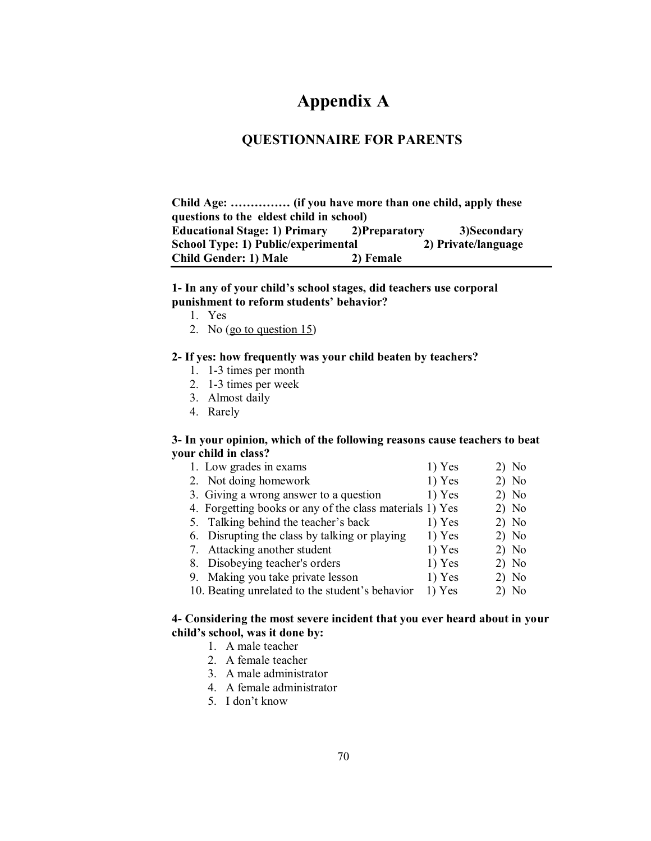# **Appendix A**

### **QUESTIONNAIRE FOR PARENTS**

Child Age: ............... (if you have more than one child, apply these **questions to the eldest child in school) Educational Stage: 1) Primary 2)Preparatory 3)Secondary School Type: 1) Public/experimental 2) Private/language Child Gender: 1) Male 2) Female** 

#### **1- In any of your child's school stages, did teachers use corporal** punishment to reform students' behavior?

- 1. Yes
- 2. No (go to question 15)

#### **2- If yes: how frequently was your child beaten by teachers?**

- 1. 1-3 times per month
- 2. 1-3 times per week
- 3. Almost daily
- 4. Rarely

#### **3- In your opinion, which of the following reasons cause teachers to beat your child in class?**

- 1. Low grades in exams 1) Yes 2) No
- 2. Not doing homework 1) Yes 2) No
- 3. Giving a wrong answer to a question  $1)$  Yes  $2)$  No
- 4. Forgetting books or any of the class materials 1) Yes 2) No
- 5. Talking behind the teacher's back 1) Yes 2) No
- 6. Disrupting the class by talking or playing  $1)$  Yes  $2)$  No
- 7. Attacking another student 1) Yes 2) No
- 8. Disobeying teacher's orders 1) Yes 2) No
- 9. Making you take private lesson 1) Yes 2) No
- 10. Beating unrelated to the student's behavior  $1)$  Yes  $2)$  No

### **4- Considering the most severe incident that you ever heard about in your**  child's school, was it done by:

- 1. A male teacher
- 2. A female teacher
- 3. A male administrator
- 4. A female administrator
- 5. I don't know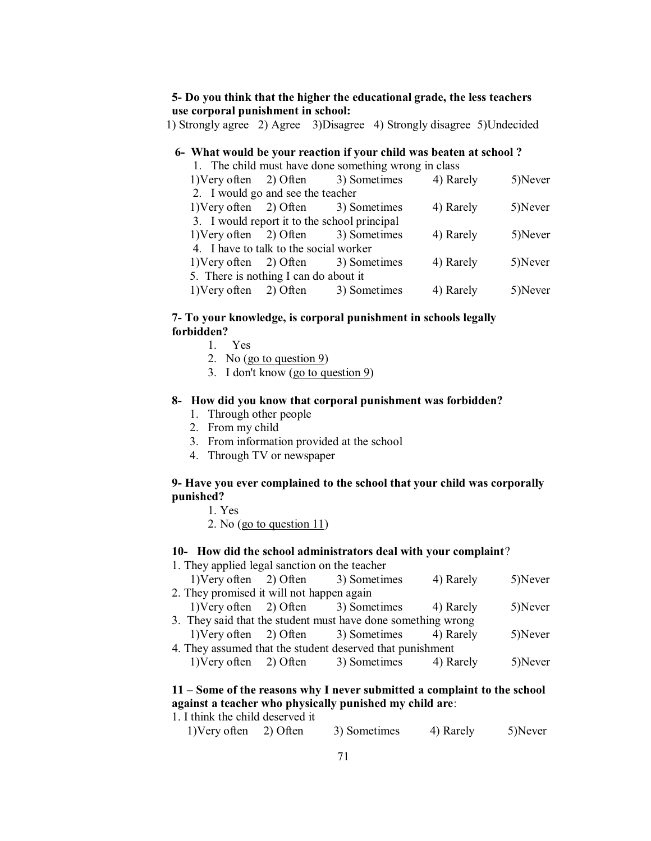#### **5- Do you think that the higher the educational grade, the less teachers use corporal punishment in school:**

1) Strongly agree 2) Agree 3)Disagree 4) Strongly disagree 5)Undecided

### **6- What would be your reaction if your child was beaten at school ?**

| 1. The child must have done something wrong in class |  |                                     |           |         |  |  |  |
|------------------------------------------------------|--|-------------------------------------|-----------|---------|--|--|--|
|                                                      |  | 1) Very often 2) Often 3) Sometimes | 4) Rarely | 5)Never |  |  |  |
| 2. I would go and see the teacher                    |  |                                     |           |         |  |  |  |
|                                                      |  | 1) Very often 2) Often 3) Sometimes | 4) Rarely | 5)Never |  |  |  |
| 3. I would report it to the school principal         |  |                                     |           |         |  |  |  |
|                                                      |  | 1) Very often 2) Often 3) Sometimes | 4) Rarely | 5)Never |  |  |  |
| 4. I have to talk to the social worker               |  |                                     |           |         |  |  |  |
|                                                      |  | 1) Very often 2) Often 3) Sometimes | 4) Rarely | 5)Never |  |  |  |
| 5. There is nothing I can do about it                |  |                                     |           |         |  |  |  |
| 1) Very often $2)$ Often                             |  | 3) Sometimes                        | 4) Rarely | 5)Never |  |  |  |

### **7- To your knowledge, is corporal punishment in schools legally forbidden?**

- 1. Yes
- 2. No  $(g_0 \text{ to question } 9)$
- 3. I don't know (go to question 9)

#### **8- How did you know that corporal punishment was forbidden?**

- 1. Through other people
- 2. From my child
- 3. From information provided at the school
- 4. Through TV or newspaper

#### **9- Have you ever complained to the school that your child was corporally punished?**

- 1. Yes
- 2. No (go to question 11)

#### **10- How did the school administrators deal with your complaint**?

1. They applied legal sanction on the teacher

|                                                              |                                           |  | 1) Very often 2) Often 3) Sometimes                       | 4) Rarely | 5)Never |  |
|--------------------------------------------------------------|-------------------------------------------|--|-----------------------------------------------------------|-----------|---------|--|
|                                                              | 2. They promised it will not happen again |  |                                                           |           |         |  |
|                                                              |                                           |  | 1) Very often 2) Often 3) Sometimes 4) Rarely             |           | 5)Never |  |
| 3. They said that the student must have done something wrong |                                           |  |                                                           |           |         |  |
|                                                              |                                           |  | 1) Very often 2) Often 3) Sometimes 4) Rarely             |           | 5)Never |  |
|                                                              |                                           |  | 4. They assumed that the student deserved that punishment |           |         |  |
|                                                              |                                           |  | 1) Very often 2) Often 3) Sometimes                       | 4) Rarely | 5)Never |  |

### **11 ± Some of the reasons why I never submitted a complaint to the school against a teacher who physically punished my child are**:

1. I think the child deserved it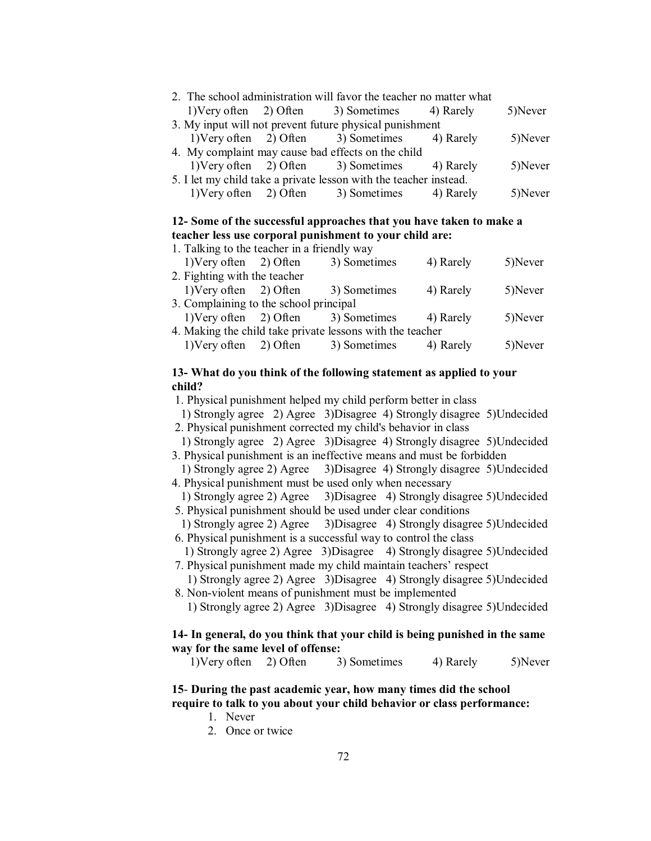| 2. The school administration will favor the teacher no matter what |  |                                                                   |           |         |
|--------------------------------------------------------------------|--|-------------------------------------------------------------------|-----------|---------|
|                                                                    |  | 1) Very often 2) Often 3) Sometimes 4) Rarely                     |           | 5)Never |
|                                                                    |  | 3. My input will not prevent future physical punishment           |           |         |
|                                                                    |  | 1) Very often 2) Often 3) Sometimes 4) Rarely                     |           | 5)Never |
|                                                                    |  | 4. My complaint may cause bad effects on the child                |           |         |
|                                                                    |  | 1) Very often 2) Often 3) Sometimes 4) Rarely                     |           | 5)Never |
|                                                                    |  | 5. I let my child take a private lesson with the teacher instead. |           |         |
| 1) Very often $2)$ Often                                           |  | 3) Sometimes                                                      | 4) Rarely | 5)Never |

#### **2- Some of the successful approaches that you have taken to make a teacher less use corporal punishment to your child are:**

| 1. Talking to the teacher in a friendly way |          |                                                           |           |         |  |
|---------------------------------------------|----------|-----------------------------------------------------------|-----------|---------|--|
| 1) Very often 2) Often                      |          | 3) Sometimes                                              | 4) Rarely | 5)Never |  |
| 2. Fighting with the teacher                |          |                                                           |           |         |  |
| $1)$ Very often $2)$ Often                  |          | 3) Sometimes                                              | 4) Rarely | 5)Never |  |
| 3. Complaining to the school principal      |          |                                                           |           |         |  |
| 1) Very often $2)$ Often                    |          | 3) Sometimes                                              | 4) Rarely | 5)Never |  |
|                                             |          | 4. Making the child take private lessons with the teacher |           |         |  |
| 1) Very often                               | 2) Often | 3) Sometimes                                              | 4) Rarely | 5)Never |  |
|                                             |          |                                                           |           |         |  |

#### **13- What do you think of the following statement as applied to your child?**

1. Physical punishment helped my child perform better in class

1) Strongly agree 2) Agree 3)Disagree 4) Strongly disagree 5)Undecided

2. Physical punishment corrected my child's behavior in class

- 1) Strongly agree 2) Agree 3)Disagree 4) Strongly disagree 5)Undecided 3. Physical punishment is an ineffective means and must be forbidden
- 1) Strongly agree 2) Agree 3)Disagree 4) Strongly disagree 5)Undecided 4. Physical punishment must be used only when necessary
- 1) Strongly agree 2) Agree 3)Disagree 4) Strongly disagree 5)Undecided 5. Physical punishment should be used under clear conditions
- 1) Strongly agree 2) Agree 3)Disagree 4) Strongly disagree 5)Undecided 6. Physical punishment is a successful way to control the class
- 1) Strongly agree 2) Agree 3)Disagree 4) Strongly disagree 5)Undecided 7. Physical punishment made my child maintain teachers' respect
- 1) Strongly agree 2) Agree 3)Disagree 4) Strongly disagree 5)Undecided 8. Non-violent means of punishment must be implemented

1) Strongly agree 2) Agree 3)Disagree 4) Strongly disagree 5)Undecided

#### **14- In general, do you think that your child is being punished in the same way for the same level of offense:**

1)Very often 2) Often 3) Sometimes 4) Rarely 5)Never

# **15**- **During the past academic year, how many times did the school require to talk to you about your child behavior or class performance:**

- 1. Never
- 2. Once or twice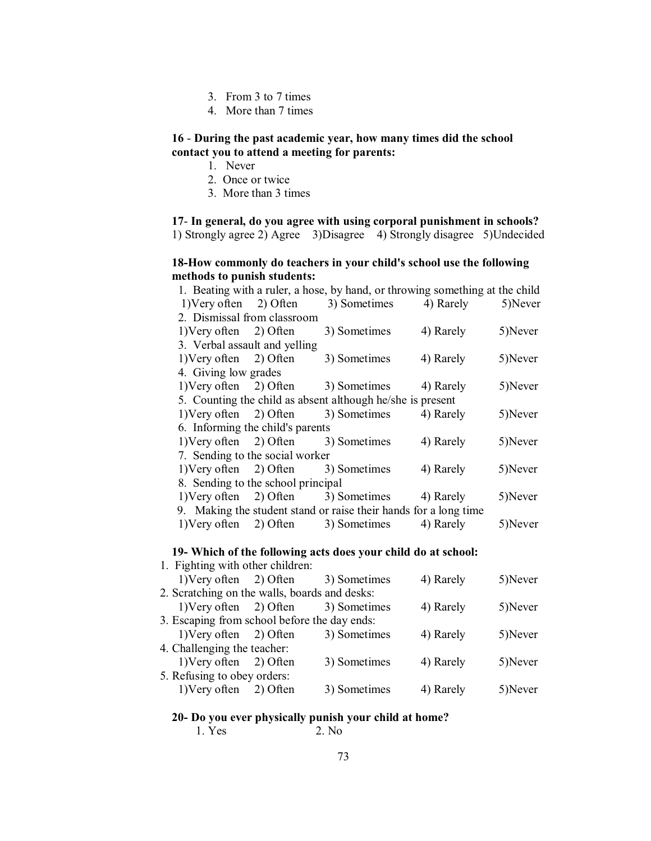- 3. From 3 to 7 times
- 4. More than 7 times

### - **During the past academic year, how many times did the school contact you to attend a meeting for parents:**

- 1. Never
- 2. Once or twice
- 3. More than 3 times

- **In general, do you agree with using corporal punishment in schools?**  1) Strongly agree 2) Agree 3)Disagree 4) Strongly disagree 5)Undecided

# **18-How commonly do teachers in your child's school use the following methods to punish students:**

|                                 |                                    | 1. Beating with a ruler, a hose, by hand, or throwing something at the child |           |         |
|---------------------------------|------------------------------------|------------------------------------------------------------------------------|-----------|---------|
|                                 |                                    | 1) Very often 2) Often 3) Sometimes 4) Rarely                                |           | 5)Never |
| 2. Dismissal from classroom     |                                    |                                                                              |           |         |
| $1)$ Very often $2)$ Often      |                                    | 3) Sometimes                                                                 | 4) Rarely | 5)Never |
| 3. Verbal assault and yelling   |                                    |                                                                              |           |         |
|                                 | 1) Very often 2) Often             | 3) Sometimes                                                                 | 4) Rarely | 5)Never |
| 4. Giving low grades            |                                    |                                                                              |           |         |
|                                 |                                    | 1) Very often 2) Often 3) Sometimes 4) Rarely                                |           | 5)Never |
|                                 |                                    | 5. Counting the child as absent although he/she is present                   |           |         |
|                                 |                                    | 1) Very often 2) Often 3) Sometimes                                          | 4) Rarely | 5)Never |
|                                 | 6. Informing the child's parents   |                                                                              |           |         |
|                                 |                                    | 1) Very often 2) Often 3) Sometimes                                          | 4) Rarely | 5)Never |
| 7. Sending to the social worker |                                    |                                                                              |           |         |
|                                 |                                    | 1) Very often 2) Often 3) Sometimes                                          | 4) Rarely | 5)Never |
|                                 | 8. Sending to the school principal |                                                                              |           |         |
|                                 |                                    | 1) Very often 2) Often 3) Sometimes 4) Rarely                                |           | 5)Never |
|                                 |                                    | 9. Making the student stand or raise their hands for a long time             |           |         |
|                                 |                                    | 1) Very often 2) Often 3) Sometimes                                          | 4) Rarely | 5)Never |

#### **9- Which of the following acts does your child do at school:**

| 1. Fighting with other children:              |                                     |           |         |
|-----------------------------------------------|-------------------------------------|-----------|---------|
|                                               | 1) Very often 2) Often 3) Sometimes | 4) Rarely | 5)Never |
| 2. Scratching on the walls, boards and desks: |                                     |           |         |
| 1) Very often $2)$ Often                      | 3) Sometimes                        | 4) Rarely | 5)Never |
| 3. Escaping from school before the day ends:  |                                     |           |         |
| 1) Very often 2) Often                        | 3) Sometimes                        | 4) Rarely | 5)Never |
| 4. Challenging the teacher:                   |                                     |           |         |
| 1) Very often 2) Often                        | 3) Sometimes                        | 4) Rarely | 5)Never |
| 5. Refusing to obey orders:                   |                                     |           |         |
| 1) Very often 2) Often                        | 3) Sometimes                        | 4) Rarely | 5)Never |
|                                               |                                     |           |         |

# **20- Do you ever physically punish your child at home?**

1. Yes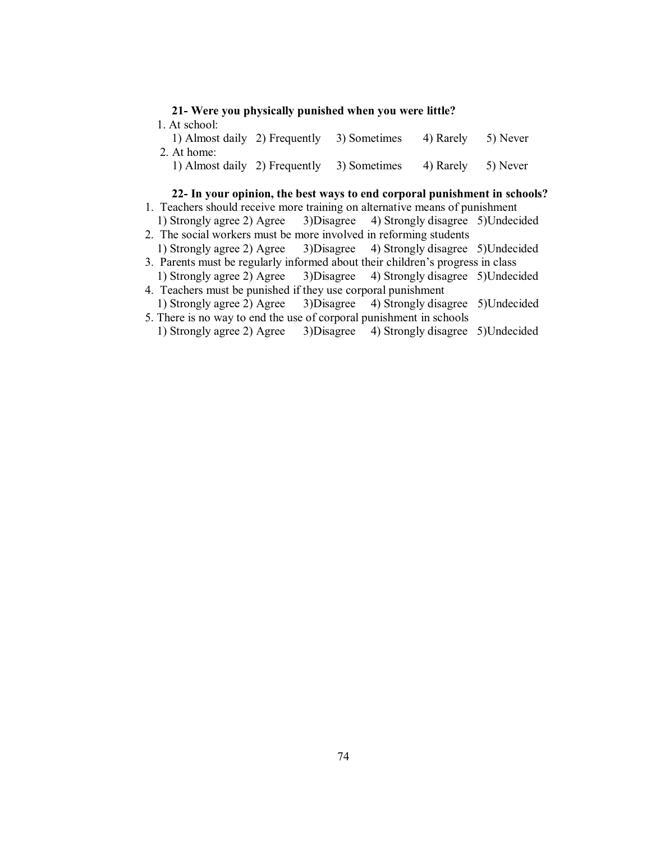| 21- Were you physically punished when you were little?<br>1. At school: |  |                              |          |  |  |
|-------------------------------------------------------------------------|--|------------------------------|----------|--|--|
| 1) Almost daily 2) Frequently                                           |  | 4) Rarely                    | 5) Never |  |  |
| 1) Almost daily 2) Frequently                                           |  | 4) Rarely                    | 5) Never |  |  |
|                                                                         |  | 3) Sometimes<br>3) Sometimes |          |  |  |

#### **22- In your opinion, the best ways to end corporal punishment in schools?**

- 1. Teachers should receive more training on alternative means of punishment 1) Strongly agree 2) Agree 3)Disagree 4) Strongly disagree 5)Undecided
- 2. The social workers must be more involved in reforming students 1) Strongly agree 2) Agree 3)Disagree 4) Strongly disagree 5)Undecided
- 3. Parents must be regularly informed about their children's progress in class 1) Strongly agree 2) Agree 3)Disagree 4) Strongly disagree 5)Undecided
- 4. Teachers must be punished if they use corporal punishment 1) Strongly agree 2) Agree 3)Disagree 4) Strongly disagree 5)Undecided
- 5. There is no way to end the use of corporal punishment in schools 1) Strongly agree 2) Agree 3)Disagree 4) Strongly disagree 5)Undecided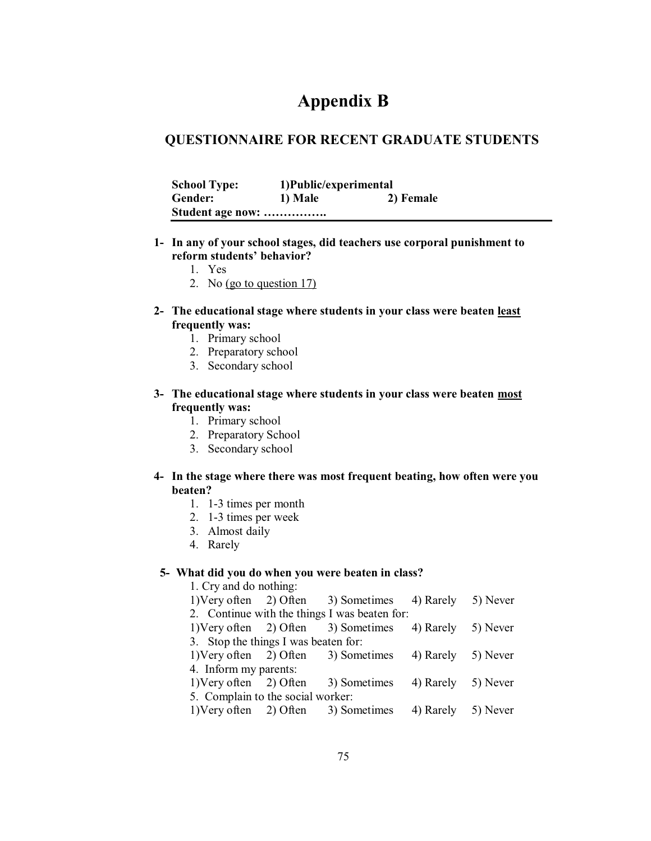# **Appendix B**

# **QUESTIONNAIRE FOR RECENT GRADUATE STUDENTS**

| <b>School Type:</b> | 1) Public/experimental |           |
|---------------------|------------------------|-----------|
| <b>Gender:</b>      | 1) Male                | 2) Female |
| Student age now:    |                        |           |

- **1- In any of your school stages, did teachers use corporal punishment to**  reform students' behavior?
	- 1. Yes
	- 2. No (go to question 17)
- **2- The educational stage where students in your class were beaten least frequently was:** 
	- 1. Primary school
	- 2. Preparatory school
	- 3. Secondary school

# **3- The educational stage where students in your class were beaten most frequently was:**

- 1. Primary school
- 2. Preparatory School
- 3. Secondary school

#### **4- In the stage where there was most frequent beating, how often were you beaten?**

- 1. 1-3 times per month
- 2. 1-3 times per week
- 3. Almost daily
- 4. Rarely

#### **- What did you do when you were beaten in class?**

| 1. Cry and do nothing:               |  |                                               |                    |          |  |  |  |
|--------------------------------------|--|-----------------------------------------------|--------------------|----------|--|--|--|
| 1) Very often $2)$ Often             |  | 3) Sometimes                                  | 4) Rarely          | 5) Never |  |  |  |
|                                      |  | 2. Continue with the things I was beaten for: |                    |          |  |  |  |
| 1) Very often $2)$ Often             |  | 3) Sometimes                                  | 4) Rarely 5) Never |          |  |  |  |
| 3. Stop the things I was beaten for: |  |                                               |                    |          |  |  |  |
|                                      |  | 1) Very often 2) Often 3) Sometimes           | 4) Rarely 5) Never |          |  |  |  |
| 4. Inform my parents:                |  |                                               |                    |          |  |  |  |
| 1) Very often 2) Often               |  | 3) Sometimes                                  | 4) Rarely 5) Never |          |  |  |  |
| 5. Complain to the social worker:    |  |                                               |                    |          |  |  |  |
| 1) Very often $2)$ Often             |  | 3) Sometimes                                  | 4) Rarely          | 5) Never |  |  |  |
|                                      |  |                                               |                    |          |  |  |  |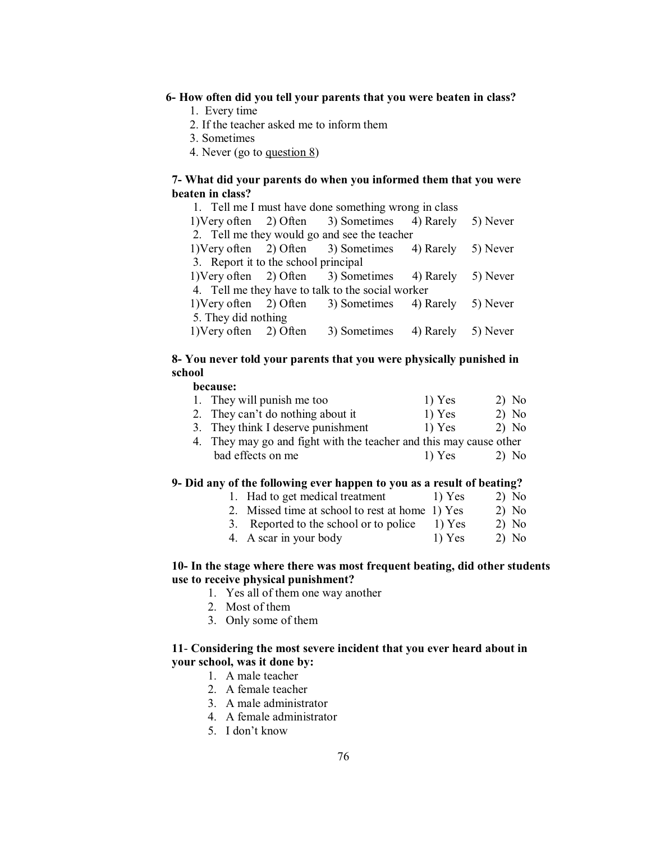#### **- How often did you tell your parents that you were beaten in class?**

- 1. Every time
- 2. If the teacher asked me to inform them
- 3. Sometimes
- 4. Never (go to question 8)

#### **- What did your parents do when you informed them that you were beaten in class?**

| 1. Tell me I must have done something wrong in class |  |                                      |                                                                                                                                                                                                                                                                                                                         |  |  |  |
|------------------------------------------------------|--|--------------------------------------|-------------------------------------------------------------------------------------------------------------------------------------------------------------------------------------------------------------------------------------------------------------------------------------------------------------------------|--|--|--|
|                                                      |  |                                      |                                                                                                                                                                                                                                                                                                                         |  |  |  |
|                                                      |  |                                      |                                                                                                                                                                                                                                                                                                                         |  |  |  |
|                                                      |  |                                      |                                                                                                                                                                                                                                                                                                                         |  |  |  |
|                                                      |  |                                      |                                                                                                                                                                                                                                                                                                                         |  |  |  |
|                                                      |  |                                      |                                                                                                                                                                                                                                                                                                                         |  |  |  |
| 4. Tell me they have to talk to the social worker    |  |                                      |                                                                                                                                                                                                                                                                                                                         |  |  |  |
|                                                      |  |                                      |                                                                                                                                                                                                                                                                                                                         |  |  |  |
| 5. They did nothing                                  |  |                                      |                                                                                                                                                                                                                                                                                                                         |  |  |  |
| $1)$ Very often $2)$ Often                           |  |                                      |                                                                                                                                                                                                                                                                                                                         |  |  |  |
|                                                      |  | 3. Report it to the school principal | 1) Very often 2) Often 3) Sometimes 4) Rarely 5) Never<br>2. Tell me they would go and see the teacher<br>1) Very often 2) Often 3) Sometimes 4) Rarely 5) Never<br>1) Very often 2) Often 3) Sometimes 4) Rarely 5) Never<br>1) Very often 2) Often 3) Sometimes 4) Rarely 5) Never<br>3) Sometimes 4) Rarely 5) Never |  |  |  |

#### **8- You never told your parents that you were physically punished in school**

#### **because:**

| 1. They will punish me too         | $1)$ Yes | $2)$ No |
|------------------------------------|----------|---------|
| 2. They can't do nothing about it  | $1)$ Yes | 2) No   |
| 3. They think I deserve punishment | $1)$ Yes | 2) No   |

4. They may go and fight with the teacher and this may cause other bad effects on me 1) Yes 2) No

#### **9- Did any of the following ever happen to you as a result of beating?**

- 1. Had to get medical treatment 1) Yes 2) No
- 2. Missed time at school to rest at home 1) Yes 2) No
- 3. Reported to the school or to police  $1)$  Yes  $2)$  No
- 4. A scar in your body 1) Yes 2) No

#### **10- In the stage where there was most frequent beating, did other students use to receive physical punishment?**

- 1. Yes all of them one way another
- 2. Most of them
- 3. Only some of them

#### **11**- **Considering the most severe incident that you ever heard about in your school, was it done by:**

- 1. A male teacher
- 2. A female teacher
- 3. A male administrator
- 4. A female administrator
- 5. I don't know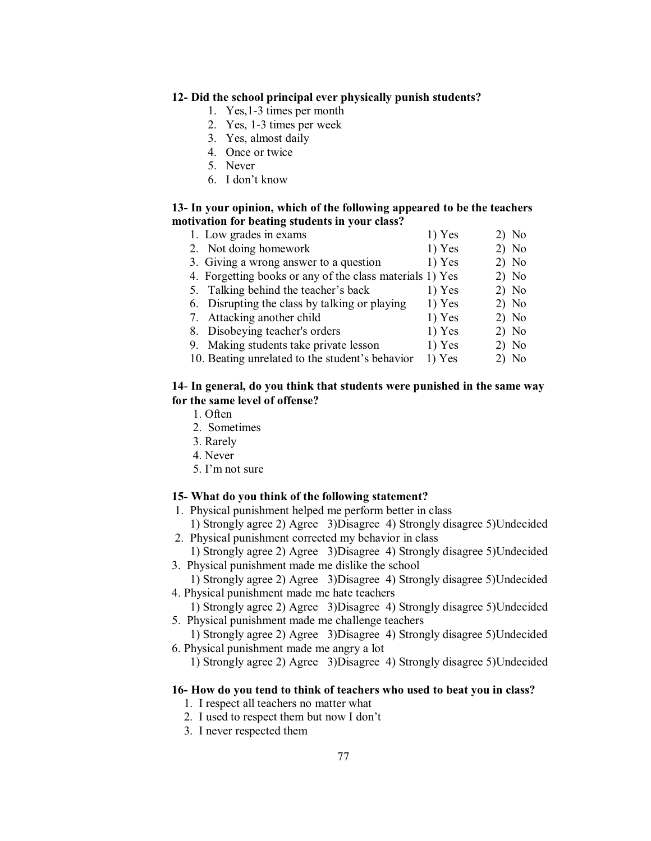#### **12- Did the school principal ever physically punish students?**

- 1. Yes,1-3 times per month
- 2. Yes, 1-3 times per week
- 3. Yes, almost daily
- 4. Once or twice
- 5. Never
- 6. I don't know

#### **13- In your opinion, which of the following appeared to be the teachers motivation for beating students in your class?**

| 1. Low grades in exams                                   | $1)$ Yes | $2)$ No |
|----------------------------------------------------------|----------|---------|
| 2. Not doing homework                                    | $1)$ Yes | $2)$ No |
| 3. Giving a wrong answer to a question                   | $1)$ Yes | $2)$ No |
| 4. Forgetting books or any of the class materials 1) Yes |          | $2)$ No |
| 5. Talking behind the teacher's back                     | 1) Yes   | $2)$ No |
| 6. Disrupting the class by talking or playing            | $1)$ Yes | $2)$ No |
| 7. Attacking another child                               | $1)$ Yes | $2)$ No |
| 8. Disobeying teacher's orders                           | $1)$ Yes | $2)$ No |
| 9. Making students take private lesson                   | $1)$ Yes | $2)$ No |
| 10. Beating unrelated to the student's behavior          | 1) Yes   | 2) No   |

#### **14**- **In general, do you think that students were punished in the same way for the same level of offense?**

- 1. Often
- 2. Sometimes
- 3. Rarely
- 4. Never
- $5.$  I'm not sure

# **15- What do you think of the following statement?**

- 1. Physical punishment helped me perform better in class
- 1) Strongly agree 2) Agree 3)Disagree 4) Strongly disagree 5)Undecided 2. Physical punishment corrected my behavior in class
	- 1) Strongly agree 2) Agree 3)Disagree 4) Strongly disagree 5)Undecided
- 3. Physical punishment made me dislike the school
- 1) Strongly agree 2) Agree 3)Disagree 4) Strongly disagree 5)Undecided 4. Physical punishment made me hate teachers
- 1) Strongly agree 2) Agree 3)Disagree 4) Strongly disagree 5)Undecided 5. Physical punishment made me challenge teachers
- 1) Strongly agree 2) Agree 3)Disagree 4) Strongly disagree 5)Undecided 6. Physical punishment made me angry a lot
	- 1) Strongly agree 2) Agree 3)Disagree 4) Strongly disagree 5)Undecided

#### **16- How do you tend to think of teachers who used to beat you in class?**

- 1. I respect all teachers no matter what
- 2. I used to respect them but now I don't
- 3. I never respected them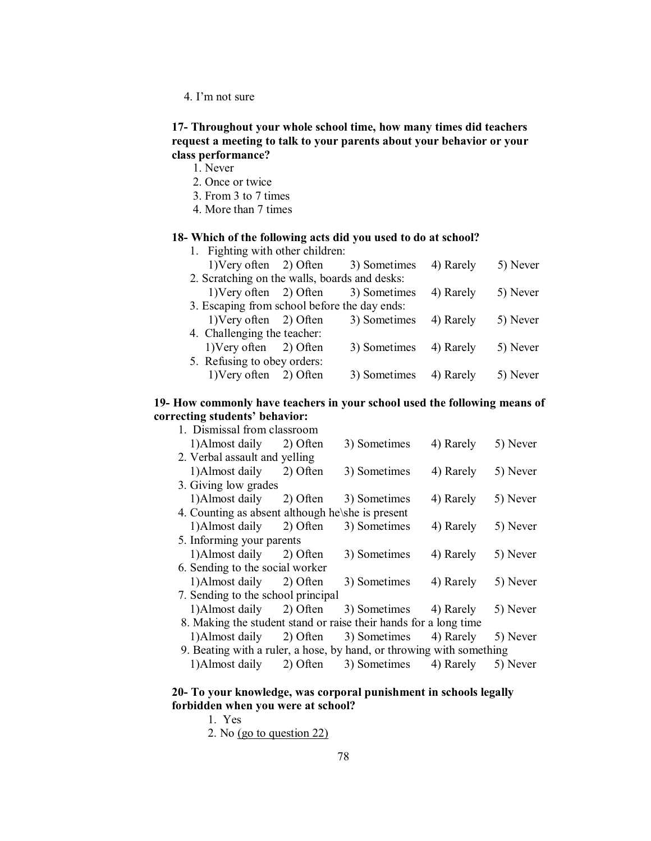4. I'm not sure

# **17- Throughout your whole school time, how many times did teachers request a meeting to talk to your parents about your behavior or your class performance?**

1. Never

- 2. Once or twice
- 3. From 3 to 7 times
- 4. More than 7 times

#### **18- Which of the following acts did you used to do at school?** 1. Fighting with other children:

| 1. Fighting with other children.              |              |           |          |
|-----------------------------------------------|--------------|-----------|----------|
| 1) Very often $2)$ Often                      | 3) Sometimes | 4) Rarely | 5) Never |
| 2. Scratching on the walls, boards and desks: |              |           |          |
| 1) Very often $2)$ Often                      | 3) Sometimes | 4) Rarely | 5) Never |
| 3. Escaping from school before the day ends:  |              |           |          |
| $1)$ Very often $2)$ Often                    | 3) Sometimes | 4) Rarely | 5) Never |
| 4. Challenging the teacher:                   |              |           |          |
| 1) Very often 2) Often                        | 3) Sometimes | 4) Rarely | 5) Never |
| 5. Refusing to obey orders:                   |              |           |          |
| 1) Very often 2) Often                        | 3) Sometimes | 4) Rarely | 5) Never |
|                                               |              |           |          |

#### **19- How commonly have teachers in your school used the following means of** correcting students' behavior:

| 1. Dismissal from classroom                                          |          |              |           |          |
|----------------------------------------------------------------------|----------|--------------|-----------|----------|
| 1) Almost daily                                                      | 2) Often | 3) Sometimes | 4) Rarely | 5) Never |
| 2. Verbal assault and yelling                                        |          |              |           |          |
| 1)Almost daily                                                       | 2) Often | 3) Sometimes | 4) Rarely | 5) Never |
| 3. Giving low grades                                                 |          |              |           |          |
| 1) Almost daily 2) Often                                             |          | 3) Sometimes | 4) Rarely | 5) Never |
| 4. Counting as absent although he\she is present                     |          |              |           |          |
| 1) Almost daily 2) Often                                             |          | 3) Sometimes | 4) Rarely | 5) Never |
| 5. Informing your parents                                            |          |              |           |          |
| 1) Almost daily 2) Often                                             |          | 3) Sometimes | 4) Rarely | 5) Never |
| 6. Sending to the social worker                                      |          |              |           |          |
| 1) Almost daily 2) Often                                             |          | 3) Sometimes | 4) Rarely | 5) Never |
| 7. Sending to the school principal                                   |          |              |           |          |
| 1)Almost daily                                                       | 2) Often | 3) Sometimes | 4) Rarely | 5) Never |
| 8. Making the student stand or raise their hands for a long time     |          |              |           |          |
| 1)Almost daily                                                       | 2) Often | 3) Sometimes | 4) Rarely | 5) Never |
| 9. Beating with a ruler, a hose, by hand, or throwing with something |          |              |           |          |
| 1) Almost daily                                                      | 2) Often | 3) Sometimes | 4) Rarely | 5) Never |
|                                                                      |          |              |           |          |

#### **20- To your knowledge, was corporal punishment in schools legally forbidden when you were at school?**

- 1. Yes
- 2. No (go to question 22)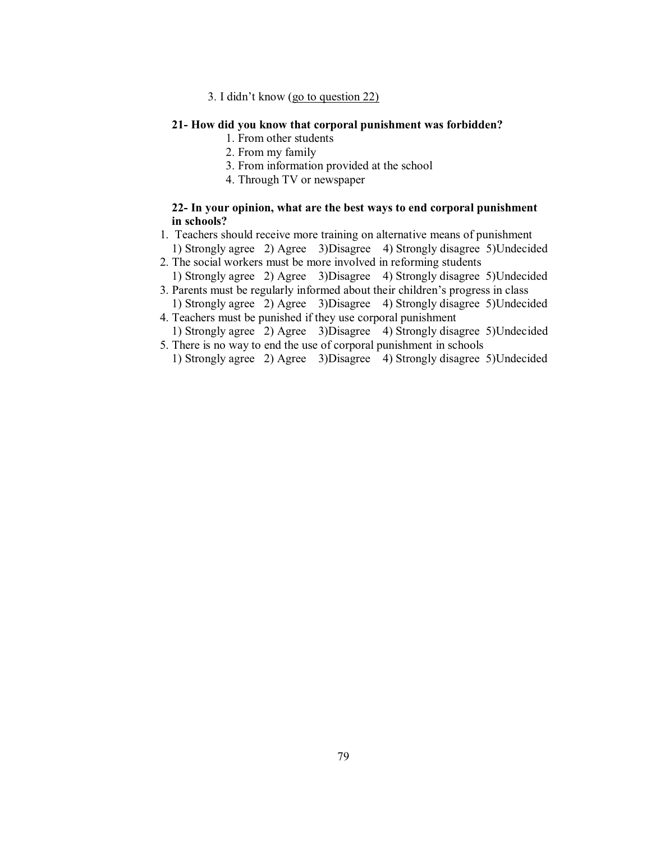3. I didn't know (go to question  $22$ )

#### **21- How did you know that corporal punishment was forbidden?**

- 1. From other students
- 2. From my family
- 3. From information provided at the school
- 4. Through TV or newspaper

# **22- In your opinion, what are the best ways to end corporal punishment in schools?**

- 1. Teachers should receive more training on alternative means of punishment
- 1) Strongly agree 2) Agree 3)Disagree 4) Strongly disagree 5)Undecided 2. The social workers must be more involved in reforming students
- 1) Strongly agree 2) Agree 3)Disagree 4) Strongly disagree 5)Undecided 3. Parents must be regularly informed about their children's progress in class
- 1) Strongly agree 2) Agree 3)Disagree 4) Strongly disagree 5)Undecided 4. Teachers must be punished if they use corporal punishment
- 1) Strongly agree 2) Agree 3)Disagree 4) Strongly disagree 5)Undecided 5. There is no way to end the use of corporal punishment in schools
	- 1) Strongly agree 2) Agree 3)Disagree 4) Strongly disagree 5)Undecided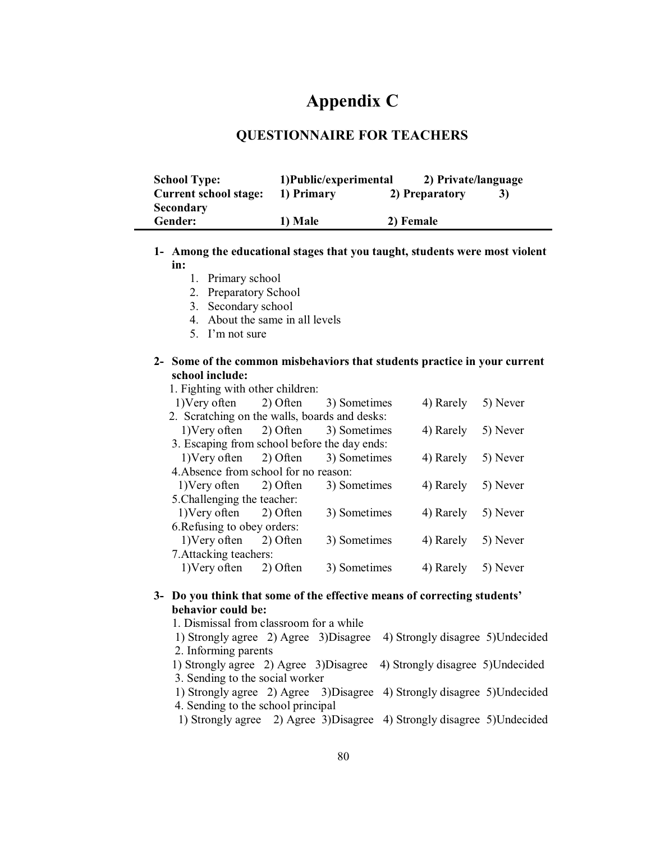# **Appendix C**

# **QUESTIONNAIRE FOR TEACHERS**

| <b>School Type:</b>          | 1) Public/experimental |                | 2) Private/language |  |
|------------------------------|------------------------|----------------|---------------------|--|
| <b>Current school stage:</b> | 1) Primary             | 2) Preparatory | 3)                  |  |
| <b>Secondary</b>             |                        |                |                     |  |
| Gender:                      | 1) Male                | 2) Female      |                     |  |

# **1- Among the educational stages that you taught, students were most violent in:**

- 1. Primary school
- 2. Preparatory School
- 3. Secondary school
- 4. About the same in all levels
- 5.  $\Gamma$ m not sure

#### **2- Some of the common misbehaviors that students practice in your current school include:**

1. Fighting with other children:

|                             | 1) Very often 2) Often                        |          | 3) Sometimes | 4) Rarely | 5) Never |  |  |
|-----------------------------|-----------------------------------------------|----------|--------------|-----------|----------|--|--|
|                             | 2. Scratching on the walls, boards and desks: |          |              |           |          |  |  |
|                             | $1)$ Very often $2)$ Often                    |          | 3) Sometimes | 4) Rarely | 5) Never |  |  |
|                             | 3. Escaping from school before the day ends:  |          |              |           |          |  |  |
|                             | $1)$ Very often $2)$ Often                    |          | 3) Sometimes | 4) Rarely | 5) Never |  |  |
|                             | 4. Absence from school for no reason:         |          |              |           |          |  |  |
|                             | 1) Very often 2) Often                        |          | 3) Sometimes | 4) Rarely | 5) Never |  |  |
| 5. Challenging the teacher: |                                               |          |              |           |          |  |  |
|                             | 1) Very often 2) Often                        |          | 3) Sometimes | 4) Rarely | 5) Never |  |  |
|                             | 6. Refusing to obey orders:                   |          |              |           |          |  |  |
|                             | 1) Very often 2) Often                        |          | 3) Sometimes | 4) Rarely | 5) Never |  |  |
|                             | 7. Attacking teachers:                        |          |              |           |          |  |  |
|                             | 1) Very often                                 | 2) Often | 3) Sometimes | 4) Rarely | 5) Never |  |  |
|                             |                                               |          |              |           |          |  |  |

#### 3- Do you think that some of the effective means of correcting students' **behavior could be:**

 1. Dismissal from classroom for a while 1) Strongly agree 2) Agree 3)Disagree 4) Strongly disagree 5)Undecided 2. Informing parents 1) Strongly agree 2) Agree 3)Disagree 4) Strongly disagree 5)Undecided 3. Sending to the social worker 1) Strongly agree 2) Agree 3)Disagree 4) Strongly disagree 5)Undecided 4. Sending to the school principal 1) Strongly agree 2) Agree 3)Disagree 4) Strongly disagree 5)Undecided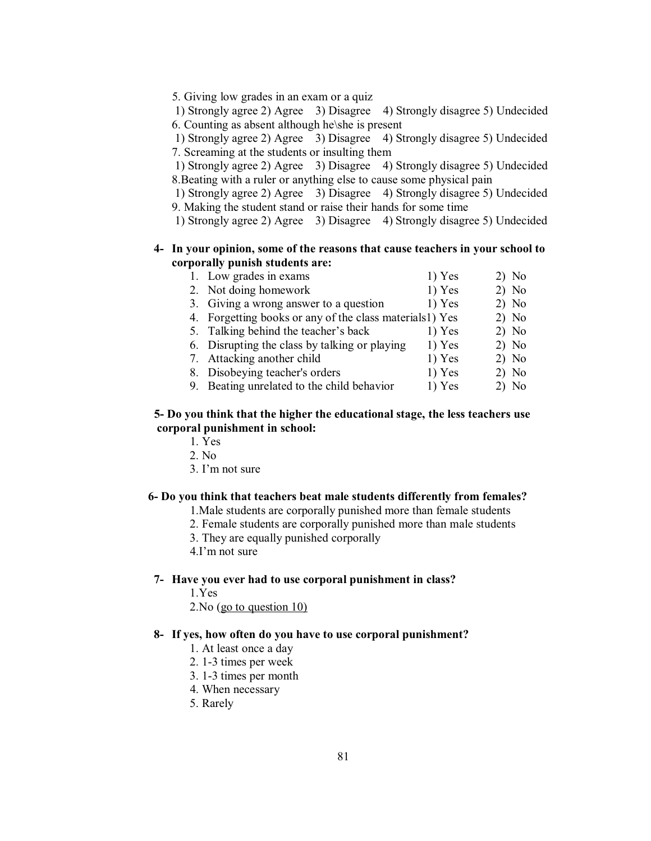5. Giving low grades in an exam or a quiz

 1) Strongly agree 2) Agree 3) Disagree 4) Strongly disagree 5) Undecided 6. Counting as absent although he\she is present

 1) Strongly agree 2) Agree 3) Disagree 4) Strongly disagree 5) Undecided 7. Screaming at the students or insulting them

 1) Strongly agree 2) Agree 3) Disagree 4) Strongly disagree 5) Undecided 8.Beating with a ruler or anything else to cause some physical pain

1) Strongly agree 2) Agree 3) Disagree 4) Strongly disagree 5) Undecided 9. Making the student stand or raise their hands for some time

1) Strongly agree 2) Agree 3) Disagree 4) Strongly disagree 5) Undecided

#### **4- In your opinion, some of the reasons that cause teachers in your school to corporally punish students are:**

| 1. Low grades in exams                                  | $1)$ Yes | $2)$ No |
|---------------------------------------------------------|----------|---------|
| 2. Not doing homework                                   | $1)$ Yes | $2)$ No |
| 3. Giving a wrong answer to a question                  | 1) Yes   | $2)$ No |
| 4. Forgetting books or any of the class materials1) Yes |          | $2)$ No |
| 5. Talking behind the teacher's back                    | 1) Yes   | $2)$ No |
| 6. Disrupting the class by talking or playing           | $1)$ Yes | $2)$ No |
| 7. Attacking another child                              | $1)$ Yes | $2)$ No |
| 8. Disobeying teacher's orders                          | $1)$ Yes | $2)$ No |
| 9. Beating unrelated to the child behavior              | $1)$ Yes | 2) No   |

#### **5- Do you think that the higher the educational stage, the less teachers use corporal punishment in school:**

- 1. Yes
- 2. No
- $3.$  I'm not sure

#### **6- Do you think that teachers beat male students differently from females?**

1.Male students are corporally punished more than female students

- 2. Female students are corporally punished more than male students
- 3. They are equally punished corporally
- $4$ . I'm not sure

#### **7- Have you ever had to use corporal punishment in class?**

1.Yes

2.No (go to question 10)

#### **8- If yes, how often do you have to use corporal punishment?**

- 1. At least once a day
- 2. 1-3 times per week
- 3. 1-3 times per month
- 4. When necessary
- 5. Rarely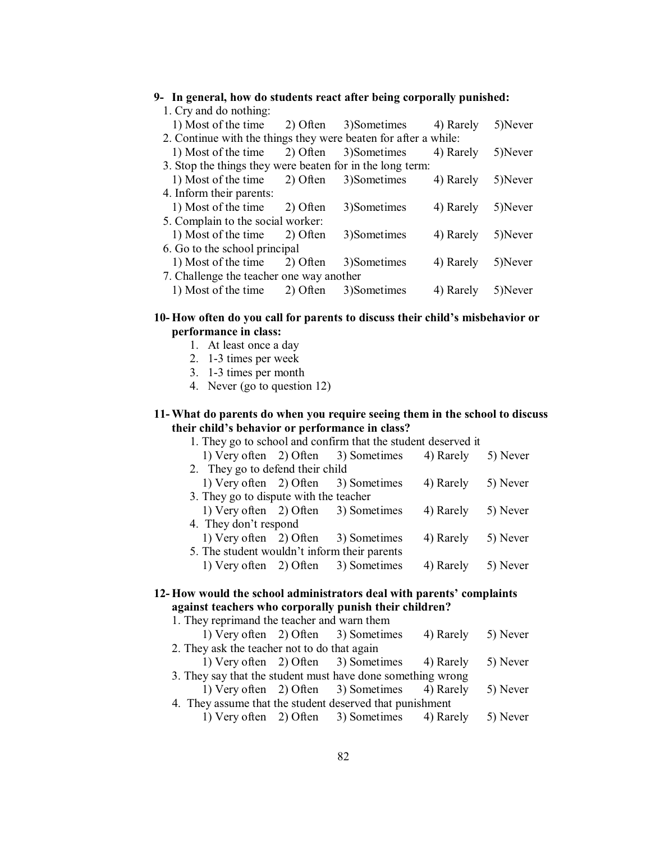| 9- In general, how do students react after being corporally punished: |          |             |           |         |
|-----------------------------------------------------------------------|----------|-------------|-----------|---------|
| 1. Cry and do nothing:                                                |          |             |           |         |
| 1) Most of the time                                                   | 2) Often | 3)Sometimes | 4) Rarely | 5)Never |
| 2. Continue with the things they were beaten for after a while:       |          |             |           |         |
| 1) Most of the time                                                   | 2) Often | 3)Sometimes | 4) Rarely | 5)Never |
| 3. Stop the things they were beaten for in the long term:             |          |             |           |         |
| 1) Most of the time                                                   | 2) Often | 3)Sometimes | 4) Rarely | 5)Never |
| 4. Inform their parents:                                              |          |             |           |         |
| 1) Most of the time 2) Often                                          |          | 3)Sometimes | 4) Rarely | 5)Never |
| 5. Complain to the social worker:                                     |          |             |           |         |
| 1) Most of the time                                                   | 2) Often | 3)Sometimes | 4) Rarely | 5)Never |
| 6. Go to the school principal                                         |          |             |           |         |
| 1) Most of the time                                                   | 2) Often | 3)Sometimes | 4) Rarely | 5)Never |
| 7. Challenge the teacher one way another                              |          |             |           |         |
| 1) Most of the time                                                   | 2) Often | 3)Sometimes | 4) Rarely | 5)Never |
|                                                                       |          |             |           |         |

#### 10- How often do you call for parents to discuss their child's misbehavior or **performance in class:**

- 1. At least once a day
- 2. 1-3 times per week
- 3. 1-3 times per month
- 4. Never (go to question 12)

#### **11- What do parents do when you require seeing them in the school to discuss**  their child's behavior or performance in class?

| 1. They go to school and confirm that the student deserved it |  |                                     |           |          |  |  |
|---------------------------------------------------------------|--|-------------------------------------|-----------|----------|--|--|
|                                                               |  | 1) Very often 2) Often 3) Sometimes | 4) Rarely | 5) Never |  |  |
| 2. They go to defend their child                              |  |                                     |           |          |  |  |
| 1) Very often 2) Often                                        |  | 3) Sometimes                        | 4) Rarely | 5) Never |  |  |
| 3. They go to dispute with the teacher                        |  |                                     |           |          |  |  |
| 1) Very often 2) Often                                        |  | 3) Sometimes                        | 4) Rarely | 5) Never |  |  |
| 4. They don't respond                                         |  |                                     |           |          |  |  |
| 1) Very often 2) Often                                        |  | 3) Sometimes                        | 4) Rarely | 5) Never |  |  |
| 5. The student wouldn't inform their parents                  |  |                                     |           |          |  |  |
| 1) Very often 2) Often                                        |  | 3) Sometimes                        | 4) Rarely | 5) Never |  |  |
|                                                               |  |                                     |           |          |  |  |

# 12- How would the school administrators deal with parents' complaints **against teachers who corporally punish their children?**

| 1. They reprimand the teacher and warn them                 |  |                                               |                    |          |  |  |
|-------------------------------------------------------------|--|-----------------------------------------------|--------------------|----------|--|--|
|                                                             |  | 1) Very often 2) Often 3) Sometimes           | 4) Rarely 5) Never |          |  |  |
| 2. They ask the teacher not to do that again                |  |                                               |                    |          |  |  |
|                                                             |  | 1) Very often 2) Often 3) Sometimes 4) Rarely |                    | 5) Never |  |  |
| 3. They say that the student must have done something wrong |  |                                               |                    |          |  |  |
|                                                             |  | 1) Very often 2) Often 3) Sometimes 4) Rarely |                    | 5) Never |  |  |
| 4. They assume that the student deserved that punishment    |  |                                               |                    |          |  |  |
|                                                             |  | 1) Very often 2) Often 3) Sometimes 4) Rarely |                    | 5) Never |  |  |